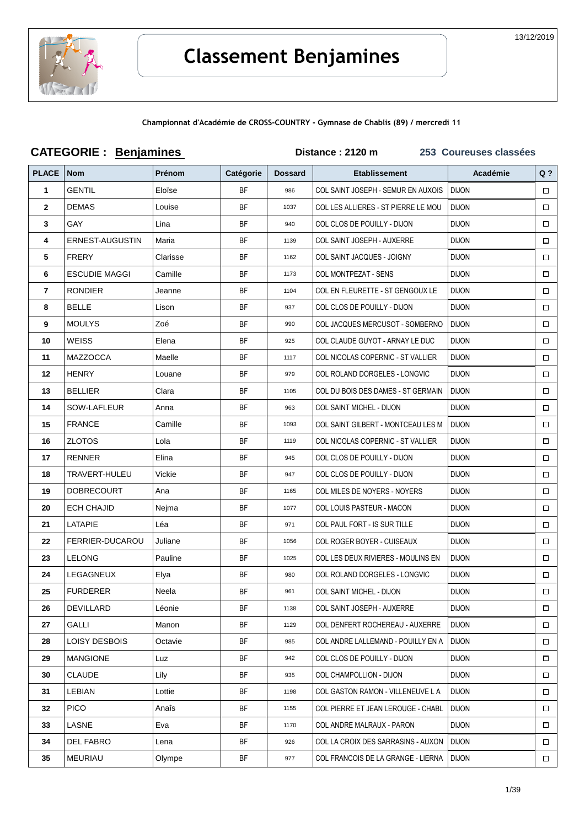

Championnat d'Académie de CROSS-COUNTRY - Gymnase de Chablis (89) / mercredi 11

|                | <b>CATEGORIE: Benjamines</b> |          |           | Distance: 2120 m | 253 Coureuses classées              |              |        |
|----------------|------------------------------|----------|-----------|------------------|-------------------------------------|--------------|--------|
| <b>PLACE</b>   | Nom                          | Prénom   | Catégorie | <b>Dossard</b>   | <b>Etablissement</b>                | Académie     | $Q$ ?  |
| $\mathbf{1}$   | <b>GENTIL</b>                | Eloïse   | <b>BF</b> | 986              | COL SAINT JOSEPH - SEMUR EN AUXOIS  | <b>DIJON</b> | □      |
| $\mathbf{2}$   | <b>DEMAS</b>                 | Louise   | <b>BF</b> | 1037             | COL LES ALLIERES - ST PIERRE LE MOU | <b>DIJON</b> | $\Box$ |
| 3              | <b>GAY</b>                   | Lina     | <b>BF</b> | 940              | COL CLOS DE POUILLY - DIJON         | <b>DIJON</b> | □      |
| 4              | ERNEST-AUGUSTIN              | Maria    | <b>BF</b> | 1139             | COL SAINT JOSEPH - AUXERRE          | <b>DIJON</b> | □      |
| 5              | <b>FRERY</b>                 | Clarisse | BF        | 1162             | <b>COL SAINT JACQUES - JOIGNY</b>   | <b>DIJON</b> | □      |
| 6              | <b>ESCUDIE MAGGI</b>         | Camille  | <b>BF</b> | 1173             | <b>COL MONTPEZAT - SENS</b>         | <b>DIJON</b> | $\Box$ |
| $\overline{7}$ | <b>RONDIER</b>               | Jeanne   | <b>BF</b> | 1104             | COL EN FLEURETTE - ST GENGOUX LE    | <b>DIJON</b> | □      |
| 8              | <b>BELLE</b>                 | Lison    | <b>BF</b> | 937              | COL CLOS DE POUILLY - DIJON         | <b>DIJON</b> | □      |
| 9              | <b>MOULYS</b>                | Zoé      | <b>BF</b> | 990              | COL JACQUES MERCUSOT - SOMBERNO     | <b>DIJON</b> | $\Box$ |
| 10             | <b>WEISS</b>                 | Elena    | <b>BF</b> | 925              | COL CLAUDE GUYOT - ARNAY LE DUC     | <b>DIJON</b> | □      |
| 11             | <b>MAZZOCCA</b>              | Maelle   | BF        | 1117             | COL NICOLAS COPERNIC - ST VALLIER   | <b>DIJON</b> | □      |
| 12             | <b>HENRY</b>                 | Louane   | <b>BF</b> | 979              | COL ROLAND DORGELES - LONGVIC       | <b>DIJON</b> | □      |
| 13             | <b>BELLIER</b>               | Clara    | BF        | 1105             | COL DU BOIS DES DAMES - ST GERMAIN  | <b>DIJON</b> | □      |
| 14             | SOW-LAFLEUR                  | Anna     | <b>BF</b> | 963              | COL SAINT MICHEL - DIJON            | <b>DIJON</b> | □      |
| 15             | <b>FRANCE</b>                | Camille  | <b>BF</b> | 1093             | COL SAINT GILBERT - MONTCEAU LES M  | <b>DIJON</b> | □      |
| 16             | <b>ZLOTOS</b>                | Lola     | <b>BF</b> | 1119             | COL NICOLAS COPERNIC - ST VALLIER   | <b>DIJON</b> | □      |
| 17             | <b>RENNER</b>                | Elina    | BF        | 945              | COL CLOS DE POUILLY - DIJON         | <b>DIJON</b> | □      |
| 18             | TRAVERT-HULEU                | Vickie   | BF        | 947              | COL CLOS DE POUILLY - DIJON         | <b>DIJON</b> | □      |
| 19             | <b>DOBRECOURT</b>            | Ana      | BF        | 1165             | COL MILES DE NOYERS - NOYERS        | <b>DIJON</b> | □      |
| 20             | <b>ECH CHAJID</b>            | Nejma    | <b>BF</b> | 1077             | COL LOUIS PASTEUR - MACON           | <b>DIJON</b> | □      |
| 21             | LATAPIE                      | Léa      | <b>BF</b> | 971              | COL PAUL FORT - IS SUR TILLE        | <b>DIJON</b> | $\Box$ |
| 22             | <b>FERRIER-DUCAROU</b>       | Juliane  | <b>BF</b> | 1056             | COL ROGER BOYER - CUISEAUX          | <b>DIJON</b> | □      |
| 23             | <b>LELONG</b>                | Pauline  | BF        | 1025             | COL LES DEUX RIVIERES - MOULINS EN  | <b>DIJON</b> | □      |
| 24             | LEGAGNEUX                    | Elya     | <b>BF</b> | 980              | COL ROLAND DORGELES - LONGVIC       | <b>DIJON</b> | $\Box$ |
| 25             | FURDERER                     | Neela    | BF        | 961              | <b>COL SAINT MICHEL - DIJON</b>     | <b>DIJON</b> | □      |
| 26             | DEVILLARD                    | Léonie   | <b>BF</b> | 1138             | COL SAINT JOSEPH - AUXERRE          | <b>DIJON</b> | □      |
| 27             | <b>GALLI</b>                 | Manon    | <b>BF</b> | 1129             | COL DENFERT ROCHEREAU - AUXERRE     | <b>DIJON</b> | $\Box$ |
| 28             | LOISY DESBOIS                | Octavie  | BF        | 985              | COL ANDRE LALLEMAND - POUILLY EN A  | <b>DIJON</b> | □      |
| 29             | <b>MANGIONE</b>              | Luz      | BF        | 942              | COL CLOS DE POUILLY - DIJON         | <b>DIJON</b> | □      |
| 30             | <b>CLAUDE</b>                | Lily     | BF        | 935              | COL CHAMPOLLION - DIJON             | <b>DIJON</b> | □      |
| 31             | LEBIAN                       | Lottie   | BF        | 1198             | COL GASTON RAMON - VILLENEUVE L A   | <b>DIJON</b> | □      |
| 32             | <b>PICO</b>                  | Anaîs    | <b>BF</b> | 1155             | COL PIERRE ET JEAN LEROUGE - CHABL  | <b>DIJON</b> | □      |
| 33             | LASNE                        | Eva      | <b>BF</b> | 1170             | COL ANDRE MALRAUX - PARON           | <b>DIJON</b> | □      |
| 34             | DEL FABRO                    | Lena     | BF        | 926              | COL LA CROIX DES SARRASINS - AUXON  | <b>DIJON</b> | □      |
| 35             | MEURIAU                      | Olympe   | BF        | 977              | COL FRANCOIS DE LA GRANGE - LIERNA  | <b>DIJON</b> | $\Box$ |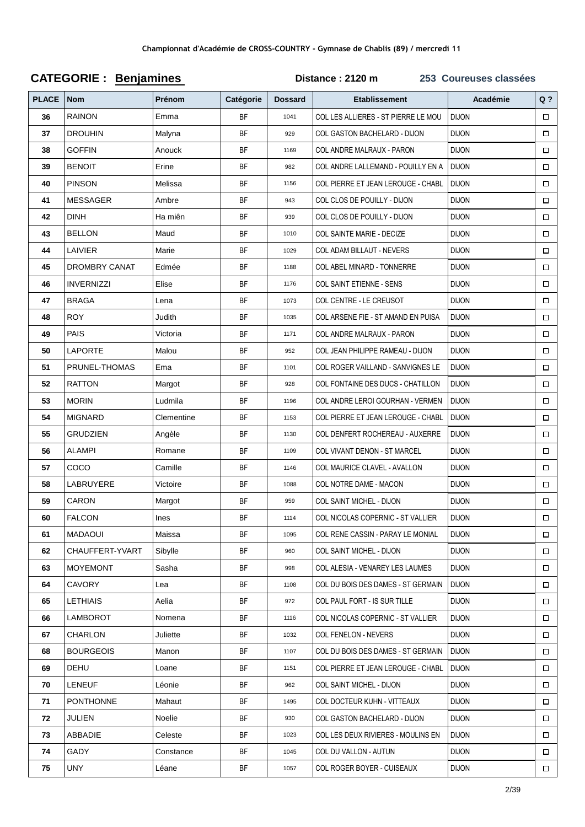|              | <b>CATEGORIE: Benjamines</b> |               |           | Distance: 2120 m<br>253 Coureuses classées |                                     |              |        |  |  |
|--------------|------------------------------|---------------|-----------|--------------------------------------------|-------------------------------------|--------------|--------|--|--|
| <b>PLACE</b> | <b>Nom</b>                   | <b>Prénom</b> | Catégorie | <b>Dossard</b>                             | <b>Etablissement</b>                | Académie     | $Q$ ?  |  |  |
| 36           | <b>RAINON</b>                | Emma          | <b>BF</b> | 1041                                       | COL LES ALLIERES - ST PIERRE LE MOU | <b>DIJON</b> | $\Box$ |  |  |
| 37           | <b>DROUHIN</b>               | Malyna        | <b>BF</b> | 929                                        | <b>COL GASTON BACHELARD - DIJON</b> | <b>DIJON</b> | $\Box$ |  |  |
| 38           | <b>GOFFIN</b>                | Anouck        | <b>BF</b> | 1169                                       | COL ANDRE MALRAUX - PARON           | <b>DIJON</b> | $\Box$ |  |  |
| 39           | <b>BENOIT</b>                | Erine         | <b>BF</b> | 982                                        | COL ANDRE LALLEMAND - POUILLY EN A  | <b>DIJON</b> | $\Box$ |  |  |
| 40           | <b>PINSON</b>                | Melissa       | BF        | 1156                                       | COL PIERRE ET JEAN LEROUGE - CHABL  | <b>DIJON</b> | $\Box$ |  |  |
| 41           | <b>MESSAGER</b>              | Ambre         | <b>BF</b> | 943                                        | COL CLOS DE POUILLY - DIJON         | <b>DIJON</b> | $\Box$ |  |  |
| 42           | <b>DINH</b>                  | Ha miên       | <b>BF</b> | 939                                        | COL CLOS DE POUILLY - DIJON         | <b>DIJON</b> | $\Box$ |  |  |
| 43           | <b>BELLON</b>                | Maud          | <b>BF</b> | 1010                                       | COL SAINTE MARIE - DECIZE           | <b>DIJON</b> | $\Box$ |  |  |
| 44           | LAIVIER                      | Marie         | <b>BF</b> | 1029                                       | COL ADAM BILLAUT - NEVERS           | <b>DIJON</b> | $\Box$ |  |  |
| 45           | <b>DROMBRY CANAT</b>         | Edmée         | BF        | 1188                                       | COL ABEL MINARD - TONNERRE          | <b>DIJON</b> | $\Box$ |  |  |
| 46           | <b>INVERNIZZI</b>            | Elise         | BF        | 1176                                       | COL SAINT ETIENNE - SENS            | <b>DIJON</b> | $\Box$ |  |  |
| 47           | <b>BRAGA</b>                 | Lena          | <b>BF</b> | 1073                                       | COL CENTRE - LE CREUSOT             | <b>DIJON</b> | $\Box$ |  |  |
| 48           | <b>ROY</b>                   | Judith        | <b>BF</b> | 1035                                       | COL ARSENE FIE - ST AMAND EN PUISA  | <b>DIJON</b> | $\Box$ |  |  |
| 49           | PAIS                         | Victoria      | <b>BF</b> | 1171                                       | COL ANDRE MALRAUX - PARON           | <b>DIJON</b> | $\Box$ |  |  |
| 50           | <b>LAPORTE</b>               | Malou         | <b>BF</b> | 952                                        | COL JEAN PHILIPPE RAMEAU - DIJON    | <b>DIJON</b> | $\Box$ |  |  |
| 51           | PRUNEL-THOMAS                | Ema           | <b>BF</b> | 1101                                       | COL ROGER VAILLAND - SANVIGNES LE   | <b>DIJON</b> | $\Box$ |  |  |
| 52           | <b>RATTON</b>                | Margot        | BF        | 928                                        | COL FONTAINE DES DUCS - CHATILLON   | <b>DIJON</b> | $\Box$ |  |  |
| 53           | <b>MORIN</b>                 | Ludmila       | <b>BF</b> | 1196                                       | COL ANDRE LEROI GOURHAN - VERMEN    | <b>DIJON</b> | $\Box$ |  |  |
| 54           | <b>MIGNARD</b>               | Clementine    | <b>BF</b> | 1153                                       | COL PIERRE ET JEAN LEROUGE - CHABL  | <b>DIJON</b> | $\Box$ |  |  |
| 55           | <b>GRUDZIEN</b>              | Angèle        | <b>BF</b> | 1130                                       | COL DENFERT ROCHEREAU - AUXERRE     | <b>DIJON</b> | $\Box$ |  |  |
| 56           | ALAMPI                       | Romane        | <b>BF</b> | 1109                                       | COL VIVANT DENON - ST MARCEL        | <b>DIJON</b> | $\Box$ |  |  |
| 57           | COCO                         | Camille       | BF        | 1146                                       | COL MAURICE CLAVEL - AVALLON        | <b>DIJON</b> | $\Box$ |  |  |
| 58           | LABRUYERE                    | Victoire      | BF        | 1088                                       | COL NOTRE DAME - MACON              | <b>DIJON</b> | $\Box$ |  |  |
| 59           | <b>CARON</b>                 | Margot        | <b>BF</b> | 959                                        | COL SAINT MICHEL - DIJON            | <b>DIJON</b> | $\Box$ |  |  |
| 60           | <b>FALCON</b>                | Ines          | <b>BF</b> | 1114                                       | COL NICOLAS COPERNIC - ST VALLIER   | <b>DIJON</b> | $\Box$ |  |  |
| 61           | MADAOUI                      | Maissa        | BF        | 1095                                       | COL RENE CASSIN - PARAY LE MONIAL   | <b>DIJON</b> | $\Box$ |  |  |
| 62           | CHAUFFERT-YVART              | Sibylle       | <b>BF</b> | 960                                        | COL SAINT MICHEL - DIJON            | <b>DIJON</b> | $\Box$ |  |  |
| 63           | <b>MOYEMONT</b>              | Sasha         | BF        | 998                                        | COL ALESIA - VENAREY LES LAUMES     | <b>DIJON</b> | $\Box$ |  |  |
| 64           | CAVORY                       | Lea           | BF        | 1108                                       | COL DU BOIS DES DAMES - ST GERMAIN  | <b>DIJON</b> | $\Box$ |  |  |
| 65           | LETHIAIS                     | Aelia         | <b>BF</b> | 972                                        | COL PAUL FORT - IS SUR TILLE        | <b>DIJON</b> | $\Box$ |  |  |
| 66           | LAMBOROT                     | Nomena        | BF        | 1116                                       | COL NICOLAS COPERNIC - ST VALLIER   | <b>DIJON</b> | $\Box$ |  |  |
| 67           | <b>CHARLON</b>               | Juliette      | BF        | 1032                                       | <b>COL FENELON - NEVERS</b>         | <b>DIJON</b> | $\Box$ |  |  |
| 68           | <b>BOURGEOIS</b>             | Manon         | <b>BF</b> | 1107                                       | COL DU BOIS DES DAMES - ST GERMAIN  | <b>DIJON</b> | $\Box$ |  |  |
| 69           | DEHU                         | Loane         | BF        | 1151                                       | COL PIERRE ET JEAN LEROUGE - CHABL  | <b>DIJON</b> | $\Box$ |  |  |
| 70           | LENEUF                       | Léonie        | BF        | 962                                        | COL SAINT MICHEL - DIJON            | <b>DIJON</b> | $\Box$ |  |  |
| 71           | <b>PONTHONNE</b>             | Mahaut        | <b>BF</b> | 1495                                       | COL DOCTEUR KUHN - VITTEAUX         | <b>DIJON</b> | $\Box$ |  |  |
| 72           | JULIEN                       | Noelie        | BF        | 930                                        | COL GASTON BACHELARD - DIJON        | <b>DIJON</b> | $\Box$ |  |  |
| 73           | ABBADIE                      | Celeste       | BF        | 1023                                       | COL LES DEUX RIVIERES - MOULINS EN  | <b>DIJON</b> | $\Box$ |  |  |
| 74           | GADY                         | Constance     | BF        | 1045                                       | COL DU VALLON - AUTUN               | <b>DIJON</b> | $\Box$ |  |  |
| 75           | <b>UNY</b>                   | Léane         | BF        | 1057                                       | COL ROGER BOYER - CUISEAUX          | <b>DIJON</b> | $\Box$ |  |  |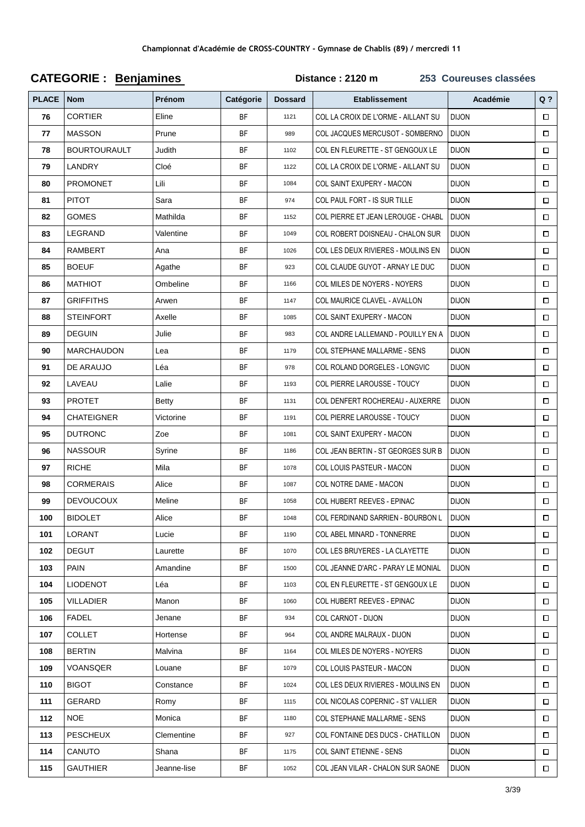| <b>PLACE</b> | <b>Nom</b>          | Prénom      | Catégorie | <b>Dossard</b> | <b>Etablissement</b>                | Académie     | Q <sub>2</sub> |
|--------------|---------------------|-------------|-----------|----------------|-------------------------------------|--------------|----------------|
| 76           | <b>CORTIER</b>      | Eline       | <b>BF</b> | 1121           | COL LA CROIX DE L'ORME - AILLANT SU | <b>DIJON</b> | $\Box$         |
| 77           | <b>MASSON</b>       | Prune       | BF        | 989            | COL JACQUES MERCUSOT - SOMBERNO     | <b>DIJON</b> | $\Box$         |
| 78           | <b>BOURTOURAULT</b> | Judith      | <b>BF</b> | 1102           | COL EN FLEURETTE - ST GENGOUX LE    | <b>DIJON</b> | $\Box$         |
| 79           | LANDRY              | Cloé        | <b>BF</b> | 1122           | COL LA CROIX DE L'ORME - AILLANT SU | <b>DIJON</b> | $\Box$         |
| 80           | PROMONET            | Lili        | <b>BF</b> | 1084           | COL SAINT EXUPERY - MACON           | <b>DIJON</b> | $\Box$         |
| 81           | <b>PITOT</b>        | Sara        | <b>BF</b> | 974            | COL PAUL FORT - IS SUR TILLE        | <b>DIJON</b> | $\Box$         |
| 82           | <b>GOMES</b>        | Mathilda    | BF        | 1152           | COL PIERRE ET JEAN LEROUGE - CHABL  | <b>DIJON</b> | $\Box$         |
| 83           | LEGRAND             | Valentine   | BF        | 1049           | COL ROBERT DOISNEAU - CHALON SUR    | <b>DIJON</b> | $\Box$         |
| 84           | RAMBERT             | Ana         | <b>BF</b> | 1026           | COL LES DEUX RIVIERES - MOULINS EN  | <b>DIJON</b> | $\Box$         |
| 85           | <b>BOEUF</b>        | Agathe      | <b>BF</b> | 923            | COL CLAUDE GUYOT - ARNAY LE DUC     | <b>DIJON</b> | $\Box$         |
| 86           | <b>MATHIOT</b>      | Ombeline    | <b>BF</b> | 1166           | COL MILES DE NOYERS - NOYERS        | <b>DIJON</b> | $\Box$         |
| 87           | <b>GRIFFITHS</b>    | Arwen       | <b>BF</b> | 1147           | COL MAURICE CLAVEL - AVALLON        | <b>DIJON</b> | $\Box$         |
| 88           | <b>STEINFORT</b>    | Axelle      | BF        | 1085           | COL SAINT EXUPERY - MACON           | <b>DIJON</b> | $\Box$         |
| 89           | <b>DEGUIN</b>       | Julie       | <b>BF</b> | 983            | COL ANDRE LALLEMAND - POUILLY EN A  | <b>DIJON</b> | $\Box$         |
| 90           | <b>MARCHAUDON</b>   | Lea         | <b>BF</b> | 1179           | <b>COL STEPHANE MALLARME - SENS</b> | <b>DIJON</b> | $\Box$         |
| 91           | DE ARAUJO           | Léa         | <b>BF</b> | 978            | COL ROLAND DORGELES - LONGVIC       | <b>DIJON</b> | $\Box$         |
| 92           | LAVEAU              | Lalie       | <b>BF</b> | 1193           | COL PIERRE LAROUSSE - TOUCY         | <b>DIJON</b> | $\Box$         |
| 93           | <b>PROTET</b>       | Betty       | <b>BF</b> | 1131           | COL DENFERT ROCHEREAU - AUXERRE     | <b>DIJON</b> | $\Box$         |
| 94           | <b>CHATEIGNER</b>   | Victorine   | BF        | 1191           | COL PIERRE LAROUSSE - TOUCY         | <b>DIJON</b> | $\Box$         |
| 95           | <b>DUTRONC</b>      | Zoe         | BF        | 1081           | COL SAINT EXUPERY - MACON           | <b>DIJON</b> | $\Box$         |
| 96           | <b>NASSOUR</b>      | Syrine      | <b>BF</b> | 1186           | COL JEAN BERTIN - ST GEORGES SUR B  | <b>DIJON</b> | $\Box$         |
| 97           | <b>RICHE</b>        | Mila        | BF        | 1078           | COL LOUIS PASTEUR - MACON           | <b>DIJON</b> | $\Box$         |
| 98           | <b>CORMERAIS</b>    | Alice       | BF        | 1087           | COL NOTRE DAME - MACON              | <b>DIJON</b> | $\Box$         |
| 99           | <b>DEVOUCOUX</b>    | Meline      | <b>BF</b> | 1058           | COL HUBERT REEVES - EPINAC          | <b>DIJON</b> | $\Box$         |
| 100          | <b>BIDOLET</b>      | Alice       | <b>BF</b> | 1048           | COL FERDINAND SARRIEN - BOURBON L   | <b>DIJON</b> |                |
| 101          | <b>LORANT</b>       | Lucie       | BF        | 1190           | <b>COL ABEL MINARD - TONNERRE</b>   | <b>DIJON</b> | $\Box$         |
| 102          | <b>DEGUT</b>        | Laurette    | <b>BF</b> | 1070           | COL LES BRUYERES - LA CLAYETTE      | <b>DIJON</b> | $\Box$         |
| 103          | <b>PAIN</b>         | Amandine    | BF        | 1500           | COL JEANNE D'ARC - PARAY LE MONIAL  | <b>DIJON</b> | $\Box$         |
| 104          | <b>LIODENOT</b>     | Léa         | BF        | 1103           | COL EN FLEURETTE - ST GENGOUX LE    | <b>DIJON</b> | $\Box$         |
| 105          | <b>VILLADIER</b>    | Manon       | <b>BF</b> | 1060           | COL HUBERT REEVES - EPINAC          | <b>DIJON</b> | $\Box$         |
| 106          | FADEL               | Jenane      | BF        | 934            | COL CARNOT - DIJON                  | <b>DIJON</b> | $\Box$         |
| 107          | COLLET              | Hortense    | BF        | 964            | COL ANDRE MALRAUX - DIJON           | <b>DIJON</b> | $\Box$         |
| 108          | <b>BERTIN</b>       | Malvina     | <b>BF</b> | 1164           | COL MILES DE NOYERS - NOYERS        | <b>DIJON</b> | $\Box$         |
| 109          | VOANSQER            | Louane      | BF        | 1079           | COL LOUIS PASTEUR - MACON           | <b>DIJON</b> | $\Box$         |
| 110          | <b>BIGOT</b>        | Constance   | <b>BF</b> | 1024           | COL LES DEUX RIVIERES - MOULINS EN  | <b>DIJON</b> | $\Box$         |
| 111          | GERARD              | Romy        | <b>BF</b> | 1115           | COL NICOLAS COPERNIC - ST VALLIER   | <b>DIJON</b> | $\Box$         |
| 112          | <b>NOE</b>          | Monica      | BF        | 1180           | <b>COL STEPHANE MALLARME - SENS</b> | <b>DIJON</b> | $\Box$         |
| 113          | <b>PESCHEUX</b>     | Clementine  | BF        | 927            | COL FONTAINE DES DUCS - CHATILLON   | <b>DIJON</b> | $\Box$         |
| 114          | CANUTO              | Shana       | BF        | 1175           | COL SAINT ETIENNE - SENS            | <b>DIJON</b> | $\Box$         |
| 115          | <b>GAUTHIER</b>     | Jeanne-lise | BF        | 1052           | COL JEAN VILAR - CHALON SUR SAONE   | <b>DIJON</b> | $\Box$         |

#### **CATEGORIE: Benjamines** Distance: 2120 m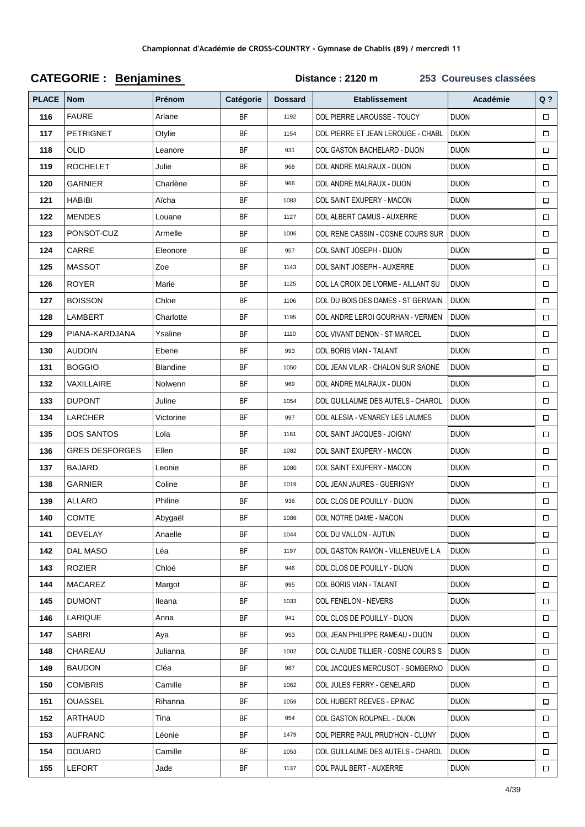| <b>PLACE</b> | <b>Nom</b>            | Prénom    | Catégorie | <b>Dossard</b> | <b>Etablissement</b>                | Académie     | $Q$ ?  |
|--------------|-----------------------|-----------|-----------|----------------|-------------------------------------|--------------|--------|
| 116          | <b>FAURE</b>          | Arlane    | <b>BF</b> | 1192           | COL PIERRE LAROUSSE - TOUCY         | <b>DIJON</b> | $\Box$ |
| 117          | <b>PETRIGNET</b>      | Otylie    | BF        | 1154           | COL PIERRE ET JEAN LEROUGE - CHABL  | <b>DIJON</b> | $\Box$ |
| 118          | <b>OLID</b>           | Leanore   | <b>BF</b> | 931            | COL GASTON BACHELARD - DIJON        | <b>DIJON</b> | $\Box$ |
| 119          | <b>ROCHELET</b>       | Julie     | <b>BF</b> | 968            | COL ANDRE MALRAUX - DIJON           | <b>DIJON</b> | $\Box$ |
| 120          | GARNIER               | Charlène  | <b>BF</b> | 966            | COL ANDRE MALRAUX - DIJON           | <b>DIJON</b> | $\Box$ |
| 121          | <b>HABIBI</b>         | Aicha     | <b>BF</b> | 1083           | COL SAINT EXUPERY - MACON           | <b>DIJON</b> | $\Box$ |
| 122          | <b>MENDES</b>         | Louane    | BF        | 1127           | COL ALBERT CAMUS - AUXERRE          | <b>DIJON</b> | $\Box$ |
| 123          | PONSOT-CUZ            | Armelle   | BF        | 1006           | COL RENE CASSIN - COSNE COURS SUR   | <b>DIJON</b> | $\Box$ |
| 124          | CARRE                 | Eleonore  | <b>BF</b> | 957            | COL SAINT JOSEPH - DIJON            | <b>DIJON</b> | $\Box$ |
| 125          | <b>MASSOT</b>         | Zoe       | <b>BF</b> | 1143           | COL SAINT JOSEPH - AUXERRE          | <b>DIJON</b> | $\Box$ |
| 126          | <b>ROYER</b>          | Marie     | <b>BF</b> | 1125           | COL LA CROIX DE L'ORME - AILLANT SU | <b>DIJON</b> | $\Box$ |
| 127          | <b>BOISSON</b>        | Chloe     | <b>BF</b> | 1106           | COL DU BOIS DES DAMES - ST GERMAIN  | <b>DIJON</b> | $\Box$ |
| 128          | LAMBERT               | Charlotte | BF        | 1195           | COL ANDRE LEROI GOURHAN - VERMEN    | <b>DIJON</b> | $\Box$ |
| 129          | PIANA-KARDJANA        | Ysaline   | BF        | 1110           | COL VIVANT DENON - ST MARCEL        | <b>DIJON</b> | $\Box$ |
| 130          | <b>AUDOIN</b>         | Ebene     | BF        | 993            | COL BORIS VIAN - TALANT             | <b>DIJON</b> | $\Box$ |
| 131          | <b>BOGGIO</b>         | Blandine  | <b>BF</b> | 1050           | COL JEAN VILAR - CHALON SUR SAONE   | <b>DIJON</b> | $\Box$ |
| 132          | VAXILLAIRE            | Nolwenn   | <b>BF</b> | 969            | COL ANDRE MALRAUX - DIJON           | <b>DIJON</b> | $\Box$ |
| 133          | <b>DUPONT</b>         | Juline    | <b>BF</b> | 1054           | COL GUILLAUME DES AUTELS - CHAROL   | <b>DIJON</b> | $\Box$ |
| 134          | LARCHER               | Victorine | BF        | 997            | COL ALESIA - VENAREY LES LAUMES     | <b>DIJON</b> | $\Box$ |
| 135          | <b>DOS SANTOS</b>     | Lola      | BF        | 1161           | COL SAINT JACQUES - JOIGNY          | <b>DIJON</b> | $\Box$ |
| 136          | <b>GRES DESFORGES</b> | Ellen     | <b>BF</b> | 1082           | COL SAINT EXUPERY - MACON           | <b>DIJON</b> | $\Box$ |
| 137          | <b>BAJARD</b>         | Leonie    | BF        | 1080           | COL SAINT EXUPERY - MACON           | <b>DIJON</b> | $\Box$ |
| 138          | GARNIER               | Coline    | <b>BF</b> | 1019           | COL JEAN JAURES - GUERIGNY          | <b>DIJON</b> | $\Box$ |
| 139          | ALLARD                | Philine   | <b>BF</b> | 936            | COL CLOS DE POUILLY - DIJON         | <b>DIJON</b> | $\Box$ |
| 140          | <b>COMTE</b>          | Abygaël   | <b>BF</b> | 1086           | COL NOTRE DAME - MACON              | <b>DIJON</b> | $\Box$ |
| 141          | <b>DEVELAY</b>        | Anaelle   | <b>BF</b> | 1044           | COL DU VALLON - AUTUN               | <b>DIJON</b> | $\Box$ |
| 142          | <b>DAL MASO</b>       | Léa       | <b>BF</b> | 1197           | COL GASTON RAMON - VILLENEUVE L A   | <b>DIJON</b> | $\Box$ |
| 143          | <b>ROZIER</b>         | Chloé     | BF        | 946            | COL CLOS DE POUILLY - DIJON         | <b>DIJON</b> | $\Box$ |
| 144          | <b>MACAREZ</b>        | Margot    | <b>BF</b> | 995            | COL BORIS VIAN - TALANT             | <b>DIJON</b> | $\Box$ |
| 145          | <b>DUMONT</b>         | Ileana    | <b>BF</b> | 1033           | COL FENELON - NEVERS                | <b>DIJON</b> | $\Box$ |
| 146          | LARIQUE               | Anna      | BF        | 941            | COL CLOS DE POUILLY - DIJON         | <b>DIJON</b> | $\Box$ |
| 147          | SABRI                 | Aya       | BF        | 953            | COL JEAN PHILIPPE RAMEAU - DIJON    | <b>DIJON</b> | $\Box$ |
| 148          | CHAREAU               | Julianna  | <b>BF</b> | 1002           | COL CLAUDE TILLIER - COSNE COURS S  | <b>DIJON</b> | $\Box$ |
| 149          | <b>BAUDON</b>         | Cléa      | BF        | 987            | COL JACQUES MERCUSOT - SOMBERNO     | <b>DIJON</b> | $\Box$ |
| 150          | <b>COMBRIS</b>        | Camille   | <b>BF</b> | 1062           | COL JULES FERRY - GENELARD          | <b>DIJON</b> | $\Box$ |
| 151          | <b>OUASSEL</b>        | Rihanna   | <b>BF</b> | 1059           | COL HUBERT REEVES - EPINAC          | <b>DIJON</b> | $\Box$ |
| 152          | ARTHAUD               | Tina      | BF        | 954            | COL GASTON ROUPNEL - DIJON          | <b>DIJON</b> | $\Box$ |
| 153          | <b>AUFRANC</b>        | Léonie    | BF        | 1479           | COL PIERRE PAUL PRUD'HON - CLUNY    | <b>DIJON</b> | $\Box$ |
| 154          | <b>DOUARD</b>         | Camille   | BF        | 1053           | COL GUILLAUME DES AUTELS - CHAROL   | <b>DIJON</b> | $\Box$ |
| 155          | LEFORT                | Jade      | BF        | 1137           | COL PAUL BERT - AUXERRE             | <b>DIJON</b> | $\Box$ |

#### **CATEGORIE: Benjamines** Distance: 2120 m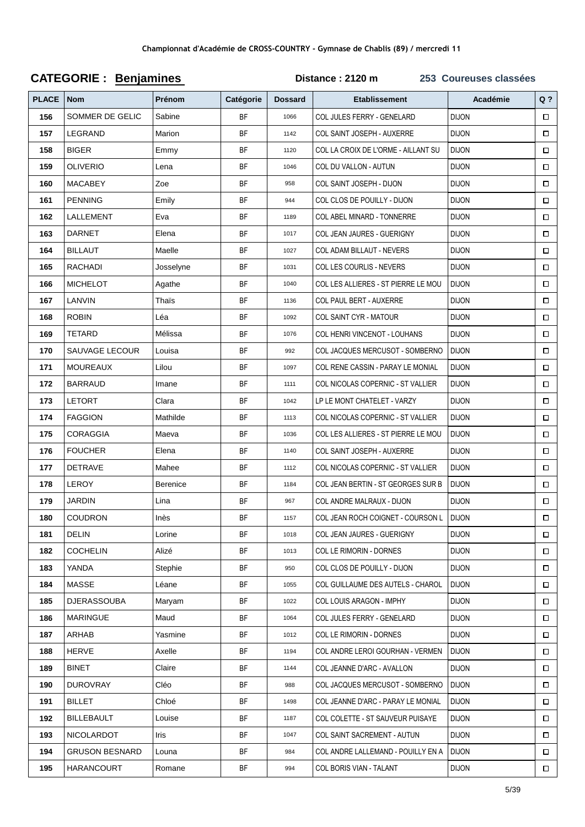| <b>PLACE</b> | <b>Nom</b>            | Prénom    | Catégorie | <b>Dossard</b> | <b>Etablissement</b>                | Académie     | $Q$ ?  |
|--------------|-----------------------|-----------|-----------|----------------|-------------------------------------|--------------|--------|
| 156          | SOMMER DE GELIC       | Sabine    | <b>BF</b> | 1066           | COL JULES FERRY - GENELARD          | <b>DIJON</b> | $\Box$ |
| 157          | LEGRAND               | Marion    | <b>BF</b> | 1142           | COL SAINT JOSEPH - AUXERRE          | <b>DIJON</b> | $\Box$ |
| 158          | <b>BIGER</b>          | Emmy      | BF        | 1120           | COL LA CROIX DE L'ORME - AILLANT SU | <b>DIJON</b> | $\Box$ |
| 159          | <b>OLIVERIO</b>       | Lena      | <b>BF</b> | 1046           | COL DU VALLON - AUTUN               | <b>DIJON</b> | $\Box$ |
| 160          | <b>MACABEY</b>        | Zoe       | <b>BF</b> | 958            | COL SAINT JOSEPH - DIJON            | <b>DIJON</b> | $\Box$ |
| 161          | <b>PENNING</b>        | Emily     | <b>BF</b> | 944            | COL CLOS DE POUILLY - DIJON         | <b>DIJON</b> | $\Box$ |
| 162          | LALLEMENT             | Eva       | BF        | 1189           | COL ABEL MINARD - TONNERRE          | <b>DIJON</b> | $\Box$ |
| 163          | <b>DARNET</b>         | Elena     | <b>BF</b> | 1017           | COL JEAN JAURES - GUERIGNY          | <b>DIJON</b> | $\Box$ |
| 164          | <b>BILLAUT</b>        | Maelle    | BF        | 1027           | COL ADAM BILLAUT - NEVERS           | <b>DIJON</b> | $\Box$ |
| 165          | <b>RACHADI</b>        | Josselyne | <b>BF</b> | 1031           | COL LES COURLIS - NEVERS            | <b>DIJON</b> | $\Box$ |
| 166          | <b>MICHELOT</b>       | Agathe    | <b>BF</b> | 1040           | COL LES ALLIERES - ST PIERRE LE MOU | <b>DIJON</b> | $\Box$ |
| 167          | LANVIN                | Thais     | BF        | 1136           | <b>COL PAUL BERT - AUXERRE</b>      | <b>DIJON</b> | $\Box$ |
| 168          | <b>ROBIN</b>          | Léa       | BF        | 1092           | COL SAINT CYR - MATOUR              | <b>DIJON</b> | $\Box$ |
| 169          | <b>TETARD</b>         | Mélissa   | <b>BF</b> | 1076           | COL HENRI VINCENOT - LOUHANS        | <b>DIJON</b> | $\Box$ |
| 170          | <b>SAUVAGE LECOUR</b> | Louisa    | BF        | 992            | COL JACQUES MERCUSOT - SOMBERNO     | <b>DIJON</b> | $\Box$ |
| 171          | <b>MOUREAUX</b>       | Lilou     | <b>BF</b> | 1097           | COL RENE CASSIN - PARAY LE MONIAL   | <b>DIJON</b> | $\Box$ |
| 172          | <b>BARRAUD</b>        | Imane     | <b>BF</b> | 1111           | COL NICOLAS COPERNIC - ST VALLIER   | <b>DIJON</b> | $\Box$ |
| 173          | <b>LETORT</b>         | Clara     | BF        | 1042           | LP LE MONT CHATELET - VARZY         | <b>DIJON</b> | $\Box$ |
| 174          | <b>FAGGION</b>        | Mathilde  | BF        | 1113           | COL NICOLAS COPERNIC - ST VALLIER   | <b>DIJON</b> | $\Box$ |
| 175          | CORAGGIA              | Maeva     | <b>BF</b> | 1036           | COL LES ALLIERES - ST PIERRE LE MOU | <b>DIJON</b> | $\Box$ |
| 176          | <b>FOUCHER</b>        | Elena     | BF        | 1140           | COL SAINT JOSEPH - AUXERRE          | <b>DIJON</b> | $\Box$ |
| 177          | <b>DETRAVE</b>        | Mahee     | <b>BF</b> | 1112           | COL NICOLAS COPERNIC - ST VALLIER   | <b>DIJON</b> | $\Box$ |
| 178          | LEROY                 | Berenice  | <b>BF</b> | 1184           | COL JEAN BERTIN - ST GEORGES SUR B  | <b>DIJON</b> | $\Box$ |
| 179          | <b>JARDIN</b>         | Lina      | BF        | 967            | COL ANDRE MALRAUX - DIJON           | <b>DIJON</b> | $\Box$ |
| 180          | <b>COUDRON</b>        | Inès      | <b>BF</b> | 1157           | COL JEAN ROCH COIGNET - COURSON L   | <b>DIJON</b> | $\Box$ |
| 181          | <b>DELIN</b>          | Lorine    | BF        | 1018           | <b>COL JEAN JAURES - GUERIGNY</b>   | <b>DIJON</b> | $\Box$ |
| 182          | <b>COCHELIN</b>       | Alizé     | BF        | 1013           | COL LE RIMORIN - DORNES             | <b>DIJON</b> | $\Box$ |
| 183          | YANDA                 | Stephie   | BF        | 950            | COL CLOS DE POUILLY - DIJON         | <b>DIJON</b> | $\Box$ |
| 184          | MASSE                 | Léane     | <b>BF</b> | 1055           | COL GUILLAUME DES AUTELS - CHAROL   | <b>DIJON</b> | $\Box$ |
| 185          | <b>DJERASSOUBA</b>    | Maryam    | BF        | 1022           | <b>COL LOUIS ARAGON - IMPHY</b>     | <b>DIJON</b> | $\Box$ |
| 186          | <b>MARINGUE</b>       | Maud      | BF        | 1064           | COL JULES FERRY - GENELARD          | <b>DIJON</b> | $\Box$ |
| 187          | ARHAB                 | Yasmine   | BF        | 1012           | COL LE RIMORIN - DORNES             | <b>DIJON</b> | $\Box$ |
| 188          | <b>HERVE</b>          | Axelle    | BF        | 1194           | COL ANDRE LEROI GOURHAN - VERMEN    | <b>DIJON</b> | $\Box$ |
| 189          | <b>BINET</b>          | Claire    | BF        | 1144           | COL JEANNE D'ARC - AVALLON          | <b>DIJON</b> | $\Box$ |
| 190          | <b>DUROVRAY</b>       | Cléo      | <b>BF</b> | 988            | COL JACQUES MERCUSOT - SOMBERNO     | <b>DIJON</b> | $\Box$ |
| 191          | <b>BILLET</b>         | Chloé     | BF        | 1498           | COL JEANNE D'ARC - PARAY LE MONIAL  | <b>DIJON</b> | $\Box$ |
| 192          | <b>BILLEBAULT</b>     | Louise    | BF        | 1187           | COL COLETTE - ST SAUVEUR PUISAYE    | <b>DIJON</b> | $\Box$ |
| 193          | NICOLARDOT            | Iris      | BF        | 1047           | COL SAINT SACREMENT - AUTUN         | <b>DIJON</b> | $\Box$ |
| 194          | <b>GRUSON BESNARD</b> | Louna     | BF        | 984            | COL ANDRE LALLEMAND - POUILLY EN A  | <b>DIJON</b> | $\Box$ |
| 195          | HARANCOURT            | Romane    | BF        | 994            | COL BORIS VIAN - TALANT             | <b>DIJON</b> | $\Box$ |

# **CATEGORIE: Benjamines**

Distance: 2120 m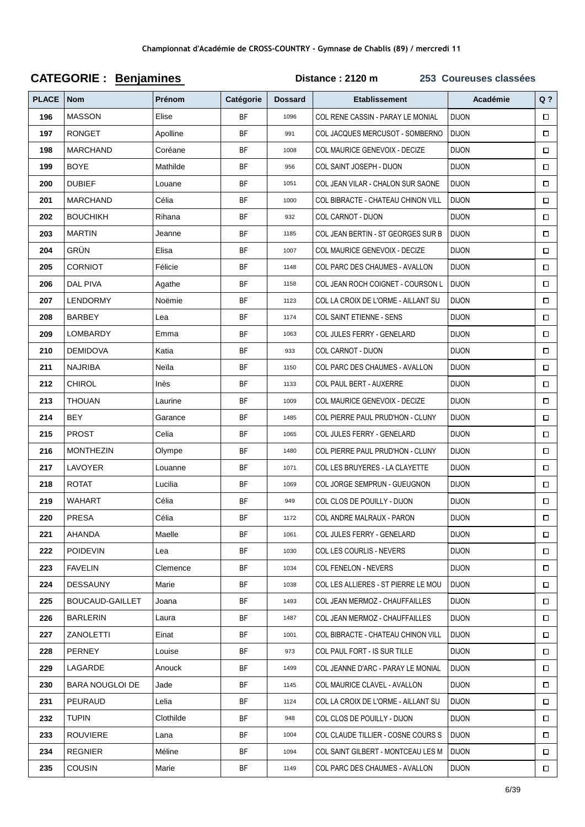| <b>PLACE</b> | <b>Nom</b>             | Prénom    | Catégorie | <b>Dossard</b> | <b>Etablissement</b>                  | Académie     | $Q$ ?  |
|--------------|------------------------|-----------|-----------|----------------|---------------------------------------|--------------|--------|
| 196          | <b>MASSON</b>          | Elise     | <b>BF</b> | 1096           | COL RENE CASSIN - PARAY LE MONIAL     | <b>DIJON</b> | $\Box$ |
| 197          | <b>RONGET</b>          | Apolline  | <b>BF</b> | 991            | COL JACQUES MERCUSOT - SOMBERNO       | <b>DIJON</b> | $\Box$ |
| 198          | <b>MARCHAND</b>        | Coréane   | BF        | 1008           | COL MAURICE GENEVOIX - DECIZE         | <b>DIJON</b> | $\Box$ |
| 199          | <b>BOYE</b>            | Mathilde  | <b>BF</b> | 956            | COL SAINT JOSEPH - DIJON              | <b>DIJON</b> | $\Box$ |
| 200          | <b>DUBIEF</b>          | Louane    | <b>BF</b> | 1051           | COL JEAN VILAR - CHALON SUR SAONE     | <b>DIJON</b> | $\Box$ |
| 201          | <b>MARCHAND</b>        | Célia     | BF        | 1000           | COL BIBRACTE - CHATEAU CHINON VILL    | <b>DIJON</b> | $\Box$ |
| 202          | <b>BOUCHIKH</b>        | Rihana    | <b>BF</b> | 932            | COL CARNOT - DIJON                    | <b>DIJON</b> | $\Box$ |
| 203          | <b>MARTIN</b>          | Jeanne    | BF        | 1185           | COL JEAN BERTIN - ST GEORGES SUR B    | <b>DIJON</b> | $\Box$ |
| 204          | GRÜN                   | Elisa     | <b>BF</b> | 1007           | COL MAURICE GENEVOIX - DECIZE         | <b>DIJON</b> | $\Box$ |
| 205          | <b>CORNIOT</b>         | Félicie   | <b>BF</b> | 1148           | COL PARC DES CHAUMES - AVALLON        | <b>DIJON</b> | $\Box$ |
| 206          | <b>DAL PIVA</b>        | Agathe    | <b>BF</b> | 1158           | COL JEAN ROCH COIGNET - COURSON L     | <b>DIJON</b> | $\Box$ |
| 207          | LENDORMY               | Noëmie    | <b>BF</b> | 1123           | COL LA CROIX DE L'ORME - AILLANT SU   | <b>DIJON</b> | $\Box$ |
| 208          | BARBEY                 | Lea       | <b>BF</b> | 1174           | COL SAINT ETIENNE - SENS              | <b>DIJON</b> | $\Box$ |
| 209          | LOMBARDY               | Emma      | BF        | 1063           | COL JULES FERRY - GENELARD            | <b>DIJON</b> | $\Box$ |
| 210          | <b>DEMIDOVA</b>        | Katia     | BF        | 933            | COL CARNOT - DIJON                    | <b>DIJON</b> | $\Box$ |
| 211          | <b>NAJRIBA</b>         | Neïla     | <b>BF</b> | 1150           | <b>COL PARC DES CHAUMES - AVALLON</b> | <b>DIJON</b> | $\Box$ |
| 212          | <b>CHIROL</b>          | Inès      | <b>BF</b> | 1133           | <b>COL PAUL BERT - AUXERRE</b>        | <b>DIJON</b> | $\Box$ |
| 213          | <b>THOUAN</b>          | Laurine   | <b>BF</b> | 1009           | COL MAURICE GENEVOIX - DECIZE         | <b>DIJON</b> | $\Box$ |
| 214          | BEY                    | Garance   | <b>BF</b> | 1485           | COL PIERRE PAUL PRUD'HON - CLUNY      | <b>DIJON</b> | $\Box$ |
| 215          | <b>PROST</b>           | Celia     | BF        | 1065           | COL JULES FERRY - GENELARD            | <b>DIJON</b> | $\Box$ |
| 216          | <b>MONTHEZIN</b>       | Olympe    | <b>BF</b> | 1480           | COL PIERRE PAUL PRUD'HON - CLUNY      | <b>DIJON</b> | $\Box$ |
| 217          | LAVOYER                | Louanne   | <b>BF</b> | 1071           | COL LES BRUYERES - LA CLAYETTE        | <b>DIJON</b> | $\Box$ |
| 218          | <b>ROTAT</b>           | Lucilia   | <b>BF</b> | 1069           | COL JORGE SEMPRUN - GUEUGNON          | <b>DIJON</b> | $\Box$ |
| 219          | WAHART                 | Célia     | <b>BF</b> | 949            | COL CLOS DE POUILLY - DIJON           | <b>DIJON</b> | $\Box$ |
| 220          | <b>PRESA</b>           | Célia     | <b>BF</b> | 1172           | COL ANDRE MALRAUX - PARON             | <b>DIJON</b> | $\Box$ |
| 221          | AHANDA                 | Maelle    | BF        | 1061           | COL JULES FERRY - GENELARD            | <b>DIJON</b> | $\Box$ |
| 222          | <b>POIDEVIN</b>        | Lea       | BF        | 1030           | COL LES COURLIS - NEVERS              | <b>DIJON</b> | $\Box$ |
| 223          | <b>FAVELIN</b>         | Clemence  | <b>BF</b> | 1034           | <b>COL FENELON - NEVERS</b>           | <b>DIJON</b> | □      |
| 224          | <b>DESSAUNY</b>        | Marie     | BF        | 1038           | COL LES ALLIERES - ST PIERRE LE MOU   | <b>DIJON</b> | $\Box$ |
| 225          | <b>BOUCAUD-GAILLET</b> | Joana     | BF        | 1493           | COL JEAN MERMOZ - CHAUFFAILLES        | <b>DIJON</b> | $\Box$ |
| 226          | BARLERIN               | Laura     | BF        | 1487           | COL JEAN MERMOZ - CHAUFFAILLES        | <b>DIJON</b> | $\Box$ |
| 227          | ZANOLETTI              | Einat     | BF        | 1001           | COL BIBRACTE - CHATEAU CHINON VILL    | <b>DIJON</b> | $\Box$ |
| 228          | PERNEY                 | Louise    | BF        | 973            | COL PAUL FORT - IS SUR TILLE          | <b>DIJON</b> | $\Box$ |
| 229          | LAGARDE                | Anouck    | BF        | 1499           | COL JEANNE D'ARC - PARAY LE MONIAL    | <b>DIJON</b> | □      |
| 230          | BARA NOUGLOI DE        | Jade      | BF        | 1145           | COL MAURICE CLAVEL - AVALLON          | <b>DIJON</b> | $\Box$ |
| 231          | PEURAUD                | Lelia     | BF        | 1124           | COL LA CROIX DE L'ORME - AILLANT SU   | <b>DIJON</b> | $\Box$ |
| 232          | Tupin                  | Clothilde | BF        | 948            | COL CLOS DE POUILLY - DIJON           | <b>DIJON</b> | $\Box$ |
| 233          | ROUVIERE               | Lana      | BF        | 1004           | COL CLAUDE TILLIER - COSNE COURS S    | <b>DIJON</b> | $\Box$ |
| 234          | <b>REGNIER</b>         | Méline    | BF        | 1094           | COL SAINT GILBERT - MONTCEAU LES M    | <b>DIJON</b> | $\Box$ |
| 235          | <b>COUSIN</b>          | Marie     | BF        | 1149           | COL PARC DES CHAUMES - AVALLON        | <b>DIJON</b> | $\Box$ |

#### **CATEGORIE: Benjamines** Distance: 2120 m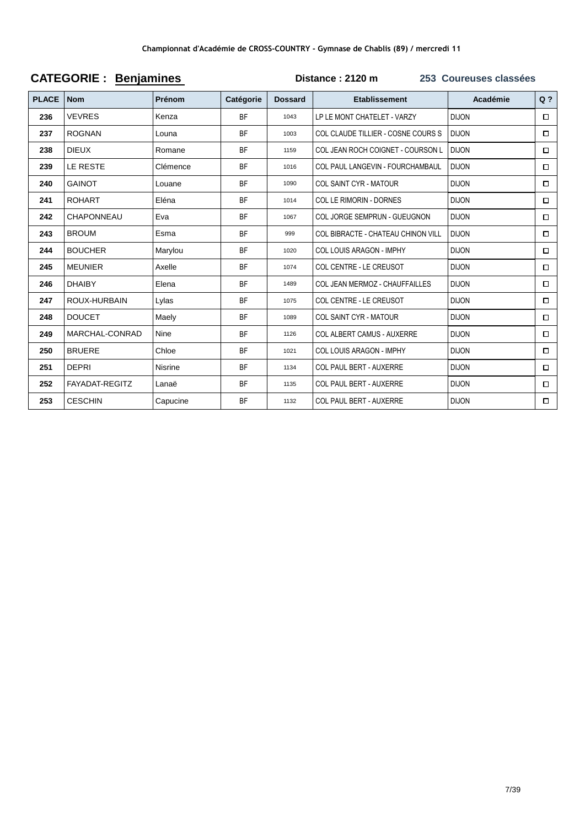| <b>PLACE</b> | <b>Nom</b>        | <b>Prénom</b>  | Catégorie | <b>Dossard</b> | <b>Etablissement</b>                    | Académie     | $Q$ ?  |
|--------------|-------------------|----------------|-----------|----------------|-----------------------------------------|--------------|--------|
| 236          | <b>VEVRES</b>     | Kenza          | <b>BF</b> | 1043           | LP LE MONT CHATELET - VARZY             | <b>DIJON</b> | $\Box$ |
| 237          | <b>ROGNAN</b>     | Louna          | <b>BF</b> | 1003           | COL CLAUDE TILLIER - COSNE COURS S      | <b>DIJON</b> | $\Box$ |
| 238          | <b>DIEUX</b>      | Romane         | <b>BF</b> | 1159           | COL JEAN ROCH COIGNET - COURSON L       | <b>DIJON</b> | $\Box$ |
| 239          | LE RESTE          | Clémence       | <b>BF</b> | 1016           | <b>COL PAUL LANGEVIN - FOURCHAMBAUL</b> | <b>DIJON</b> | 0      |
| 240          | <b>GAINOT</b>     | Louane         | <b>BF</b> | 1090           | <b>COL SAINT CYR - MATOUR</b>           | <b>DIJON</b> | $\Box$ |
| 241          | <b>ROHART</b>     | Eléna          | <b>BF</b> | 1014           | COL LE RIMORIN - DORNES                 | <b>DIJON</b> | $\Box$ |
| 242          | <b>CHAPONNEAU</b> | Eva            | <b>BF</b> | 1067           | COL JORGE SEMPRUN - GUEUGNON            | <b>DIJON</b> | □      |
| 243          | <b>BROUM</b>      | Esma           | <b>BF</b> | 999            | COL BIBRACTE - CHATEAU CHINON VILL      | <b>DIJON</b> | $\Box$ |
| 244          | <b>BOUCHER</b>    | Marylou        | <b>BF</b> | 1020           | <b>COL LOUIS ARAGON - IMPHY</b>         | <b>DIJON</b> | $\Box$ |
| 245          | <b>MEUNIER</b>    | Axelle         | <b>BF</b> | 1074           | <b>COL CENTRE - LE CREUSOT</b>          | <b>DIJON</b> | □      |
| 246          | <b>DHAIBY</b>     | Elena          | <b>BF</b> | 1489           | COL JEAN MERMOZ - CHAUFFAILLES          | <b>DIJON</b> | $\Box$ |
| 247          | ROUX-HURBAIN      | Lylas          | <b>BF</b> | 1075           | COL CENTRE - LE CREUSOT                 | <b>DIJON</b> | □      |
| 248          | <b>DOUCET</b>     | Maely          | <b>BF</b> | 1089           | <b>COL SAINT CYR - MATOUR</b>           | <b>DIJON</b> | $\Box$ |
| 249          | MARCHAL-CONRAD    | <b>Nine</b>    | <b>BF</b> | 1126           | <b>COL ALBERT CAMUS - AUXERRE</b>       | <b>DIJON</b> | о      |
| 250          | <b>BRUERE</b>     | Chloe          | <b>BF</b> | 1021           | <b>COL LOUIS ARAGON - IMPHY</b>         | <b>DIJON</b> | $\Box$ |
| 251          | <b>DEPRI</b>      | <b>Nisrine</b> | <b>BF</b> | 1134           | <b>COL PAUL BERT - AUXERRE</b>          | <b>DIJON</b> | $\Box$ |
| 252          | FAYADAT-REGITZ    | Lanaë          | <b>BF</b> | 1135           | <b>COL PAUL BERT - AUXERRE</b>          | <b>DIJON</b> | $\Box$ |
| 253          | <b>CESCHIN</b>    | Capucine       | <b>BF</b> | 1132           | <b>COL PAUL BERT - AUXERRE</b>          | <b>DIJON</b> | □      |

#### **CATEGORIE: Benjamines** Distance: 2120 m 253 Coureuses classées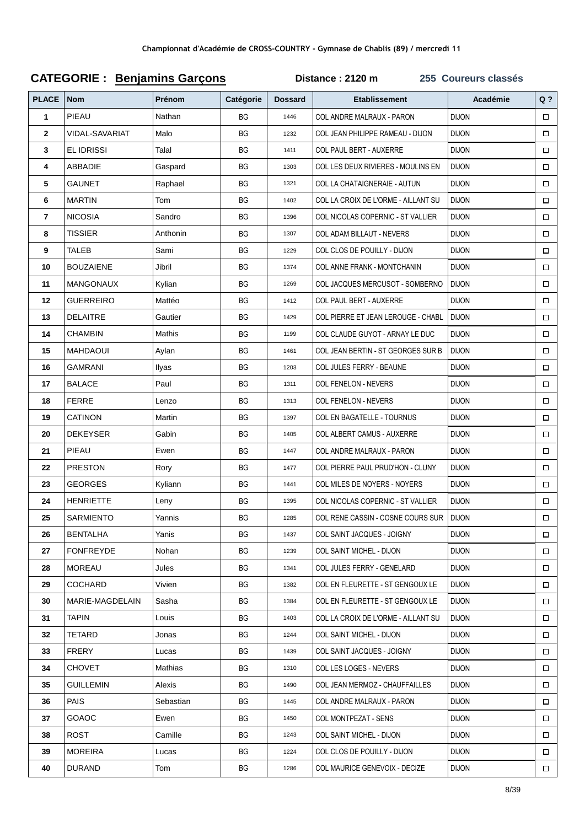| <b>PLACE</b> | <b>Nom</b>        | Prénom    | Catégorie | <b>Dossard</b> | <b>Etablissement</b>                | Académie     | $Q$ ?  |
|--------------|-------------------|-----------|-----------|----------------|-------------------------------------|--------------|--------|
| 1            | PIEAU             | Nathan    | BG        | 1446           | COL ANDRE MALRAUX - PARON           | <b>DIJON</b> | $\Box$ |
| $\mathbf{2}$ | VIDAL-SAVARIAT    | Malo      | ВG        | 1232           | COL JEAN PHILIPPE RAMEAU - DIJON    | <b>DIJON</b> | $\Box$ |
| 3            | <b>EL IDRISSI</b> | Talal     | ВG        | 1411           | COL PAUL BERT - AUXERRE             | <b>DIJON</b> | $\Box$ |
| 4            | ABBADIE           | Gaspard   | ВG        | 1303           | COL LES DEUX RIVIERES - MOULINS EN  | <b>DIJON</b> | $\Box$ |
| 5            | GAUNET            | Raphael   | BG        | 1321           | COL LA CHATAIGNERAIE - AUTUN        | <b>DIJON</b> | $\Box$ |
| 6            | <b>MARTIN</b>     | Tom       | BG        | 1402           | COL LA CROIX DE L'ORME - AILLANT SU | <b>DIJON</b> | $\Box$ |
| 7            | <b>NICOSIA</b>    | Sandro    | BG        | 1396           | COL NICOLAS COPERNIC - ST VALLIER   | <b>DIJON</b> | $\Box$ |
| 8            | TISSIER           | Anthonin  | ВG        | 1307           | COL ADAM BILLAUT - NEVERS           | <b>DIJON</b> | $\Box$ |
| 9            | <b>TALEB</b>      | Sami      | ВG        | 1229           | COL CLOS DE POUILLY - DIJON         | <b>DIJON</b> | $\Box$ |
| 10           | <b>BOUZAIENE</b>  | Jibril    | ВG        | 1374           | COL ANNE FRANK - MONTCHANIN         | <b>DIJON</b> | $\Box$ |
| 11           | <b>MANGONAUX</b>  | Kylian    | BG        | 1269           | COL JACQUES MERCUSOT - SOMBERNO     | <b>DIJON</b> | $\Box$ |
| 12           | <b>GUERREIRO</b>  | Mattéo    | BG        | 1412           | COL PAUL BERT - AUXERRE             | <b>DIJON</b> | $\Box$ |
| 13           | <b>DELAITRE</b>   | Gautier   | ВG        | 1429           | COL PIERRE ET JEAN LEROUGE - CHABL  | <b>DIJON</b> | $\Box$ |
| 14           | <b>CHAMBIN</b>    | Mathis    | ВG        | 1199           | COL CLAUDE GUYOT - ARNAY LE DUC     | <b>DIJON</b> | $\Box$ |
| 15           | MAHDAOUI          | Aylan     | ВG        | 1461           | COL JEAN BERTIN - ST GEORGES SUR B  | <b>DIJON</b> | $\Box$ |
| 16           | <b>GAMRANI</b>    | Ilyas     | ВG        | 1203           | COL JULES FERRY - BEAUNE            | <b>DIJON</b> | $\Box$ |
| 17           | <b>BALACE</b>     | Paul      | BG        | 1311           | COL FENELON - NEVERS                | <b>DIJON</b> | $\Box$ |
| 18           | <b>FERRE</b>      | Lenzo     | BG        | 1313           | COL FENELON - NEVERS                | <b>DIJON</b> | □      |
| 19           | <b>CATINON</b>    | Martin    | ВG        | 1397           | COL EN BAGATELLE - TOURNUS          | <b>DIJON</b> | $\Box$ |
| 20           | <b>DEKEYSER</b>   | Gabin     | ВG        | 1405           | COL ALBERT CAMUS - AUXERRE          | <b>DIJON</b> | $\Box$ |
| 21           | PIEAU             | Ewen      | ВG        | 1447           | COL ANDRE MALRAUX - PARON           | <b>DIJON</b> | $\Box$ |
| 22           | <b>PRESTON</b>    | Rory      | ВG        | 1477           | COL PIERRE PAUL PRUD'HON - CLUNY    | <b>DIJON</b> | $\Box$ |
| 23           | <b>GEORGES</b>    | Kyliann   | BG        | 1441           | COL MILES DE NOYERS - NOYERS        | <b>DIJON</b> | $\Box$ |
| 24           | <b>HENRIETTE</b>  | Leny      | BG        | 1395           | COL NICOLAS COPERNIC - ST VALLIER   | <b>DIJON</b> | $\Box$ |
| 25           | SARMIENTO         | Yannis    | BG        | 1285           | COL RENE CASSIN - COSNE COURS SUR   | <b>DIJON</b> | $\Box$ |
| 26           | <b>BENTALHA</b>   | Yanis     | BG        | 1437           | COL SAINT JACQUES - JOIGNY          | <b>DIJON</b> | $\Box$ |
| 27           | <b>FONFREYDE</b>  | Nohan     | ВG        | 1239           | COL SAINT MICHEL - DIJON            | <b>DIJON</b> | $\Box$ |
| 28           | <b>MOREAU</b>     | Jules     | ВG        | 1341           | COL JULES FERRY - GENELARD          | DIJON        | $\Box$ |
| 29           | COCHARD           | Vivien    | ВG        | 1382           | COL EN FLEURETTE - ST GENGOUX LE    | DIJON        | $\Box$ |
| 30           | MARIE-MAGDELAIN   | Sasha     | ВG        | 1384           | COL EN FLEURETTE - ST GENGOUX LE    | <b>DIJON</b> | $\Box$ |
| 31           | TAPIN             | Louis     | ВG        | 1403           | COL LA CROIX DE L'ORME - AILLANT SU | DIJON        | □      |
| 32           | TETARD            | Jonas     | ВG        | 1244           | <b>COL SAINT MICHEL - DIJON</b>     | DIJON        | $\Box$ |
| 33           | <b>FRERY</b>      | Lucas     | BG        | 1439           | COL SAINT JACQUES - JOIGNY          | DIJON        | $\Box$ |
| 34           | CHOVET            | Mathias   | BG        | 1310           | COL LES LOGES - NEVERS              | DIJON        | □      |
| 35           | <b>GUILLEMIN</b>  | Alexis    | ВG        | 1490           | COL JEAN MERMOZ - CHAUFFAILLES      | DIJON        | $\Box$ |
| 36           | PAIS              | Sebastian | ВG        | 1445           | COL ANDRE MALRAUX - PARON           | DIJON        | $\Box$ |
| 37           | GOAOC             | Ewen      | ВG        | 1450           | COL MONTPEZAT - SENS                | DIJON        | $\Box$ |
| 38           | ROST              | Camille   | ВG        | 1243           | COL SAINT MICHEL - DIJON            | DIJON        | $\Box$ |
| 39           | <b>MOREIRA</b>    | Lucas     | ВG        | 1224           | COL CLOS DE POUILLY - DIJON         | DIJON        | $\Box$ |
| 40           | <b>DURAND</b>     | Tom       | BG        | 1286           | COL MAURICE GENEVOIX - DECIZE       | <b>DIJON</b> | $\Box$ |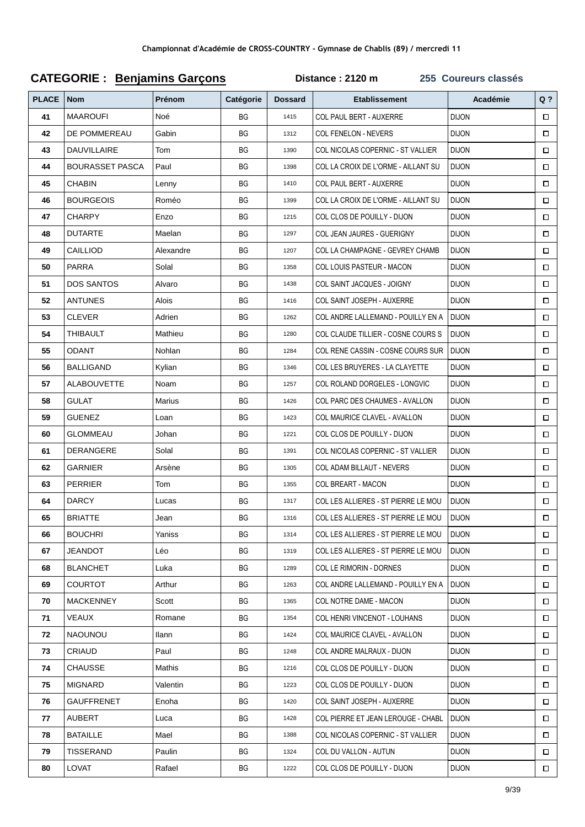#### **PLACE Nom Prénom Catégorie Dossard Etablissement Académie Q ? 41** MAAROUFI Noé BG 1415 COL PAUL BERT - AUXERRE DIJON  $\Box$ **42** DE POMMEREAU Gabin BG 1312 COL FENELON - NEVERS DIJON  $\Box$ **43** DAUVILLAIRE Tom RG 8G 1390 COLNICOLAS COPERNIC - ST VALLIER DIJON  $\Box$ **44** BOURASSET PASCA Paul BG 1398 COL LA CROIX DE L'ORME - AILLANT SU DIJON  $\Box$ **45** CHABIN Lenny I BG 1410 COL PAUL BERT - AUXERRE DIJON  $\Box$ **46** BOURGEOIS Roméo RG 1399 COL LA CROIX DE L'ORME - AILLANT SU DIJON  $\Box$ **47** CHARPY **Enzo** BG 1215 COL CLOS DE POUILLY - DIJON DIJON  $\Box$ **48** DUTARTE Maelan BG 1297 COL JEAN JAURES - GUERIGNY DIJON  $\Box$ **49** CAILLIOD Alexandre **BG** 1207 COL LA CHAMPAGNE - GEVREY CHAMB DIJON  $\Box$ **50** PARRA Solal BG 1358 COL LOUIS PASTEUR - MACON DIJON  $\Box$ **51** DOS SANTOS Alvaro BG 1438 COL SAINT JACQUES - JOIGNY DIJON  $\Box$ **52** ANTUNES Alois BG 1416 COL SAINT JOSEPH - AUXERRE DIJON  $\Box$ **53** CLEVER Adrien BG 1262 COL ANDRE LALLEMAND - POUILLY EN A DIJON  $\Box$ **54** THIBAULT Mathieu **BG** 1280 COL CLAUDE TILLIER - COSNE COURS S DIJON  $\Box$ **55** ODANT Nohlan BG 1284 COL RENE CASSIN - COSNE COURS SUR DIJON  $\Box$ **56** BALLIGAND Kylian BG 1346 COL LES BRUYERES - LA CLAYETTE DIJON  $\Box$ **57** ALABOUVETTE Noam BG 1257 COL ROLAND DORGELES - LONGVIC DIJON  $\Box$ **58** GULAT Marius BG 1426 COL PARC DES CHAUMES - AVALLON DIJON  $\Box$ **59** GUENEZ Loan BG 1423 COL MAURICE CLAVEL - AVALLON DIJON  $\Box$ **60** GLOMMEAU Johan BG 221 COL CLOS DE POUILLY - DIJON DIJON  $\Box$ **61** DERANGERE Solal BG 1391 COL NICOLAS COPERNIC - ST VALLIER DIJON  $\Box$ **62** GARNIER Arsène BG 1305 COL ADAM BILLAUT - NEVERS DIJON  $\Box$ **63** PERRIER Tom BG 1355 COL BREART - MACON DIJON  $\Box$ **64** DARCY Lucas BG 1317 COLLES ALLIERES - ST PIERRE LE MOU DIJON  $\Box$ **65** BRIATTE Jean Jean BG 1316 COL LES ALLIERES - ST PIERRE LE MOU DIJON  $\Box$ **66** BOUCHRI Yaniss Reserves BG 1314 COL LES ALLIERES - ST PIERRE LE MOU DIJON  $\Box$ **67** JEANDOT Léo Result BG 1319 COL LES ALLIERES - ST PIERRE LE MOU DIJON  $\Box$ **68** BLANCHET Luka BG 1289 COL LE RIMORIN - DORNES DIJON  $\Box$ **69** COURTOT Arthur **BG** 1263 COL ANDRE LALLEMAND - POUILLY EN A DIJON  $\Box$ **70** MACKENNEY Scott BG 1365 COL NOTRE DAME - MACON DIJON  $\Box$ **71** VEAUX Romane BG 354 COL HENRI VINCENOT - LOUHANS DIJON  $\Box$ **72** NAOUNOU Ilann BG 1424 COL MAURICE CLAVEL - AVALLON DIJON  $\Box$ **73** CRIAUD Paul BG 1248 COL ANDRE MALRAUX - DIJON DIJON  $\Box$ **74** CHAUSSE Mathis **BG** 1216 COL CLOS DE POUILLY - DIJON DIJON  $\Box$ **75** MIGNARD Valentin BG 1223 COL CLOS DE POUILLY - DIJON DIJON  $\Box$ **76** GAUFFRENET Enoha BG 1420 COL SAINT JOSEPH - AUXERRE DIJON  $\Box$ **77** AUBERT Luca BG 1428 COL PIERRE ET JEAN LEROUGE - CHABL DIJON  $\Box$ **78** BATAILLE Mael BG 1388 COL NICOLAS COPERNIC - ST VALLIER DIJON  $\Box$ **79** TISSERAND Paulin | BG | 1324 COL DU VALLON - AUTUN | DIJON  $\Box$ **80** LOVAT Rafael BG 1222 COL CLOS DE POUILLY - DIJON DIJON  $\Box$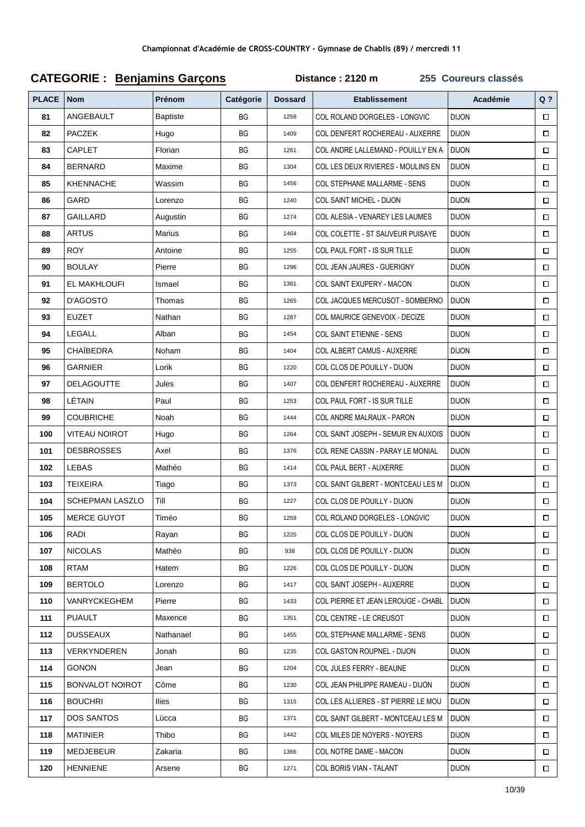#### **Q ? PLACE Nom Prénom Catégorie Dossard Etablissement Académie 81** ANGEBAULT Baptiste BG 1258 COL ROLAND DORGELES - LONGVIC DIJON  $\Box$ **82** PACZEK Hugo RG 8G 1409 COL DENFERT ROCHEREAU - AUXERRE DIJON  $\Box$ **83** CAPLET Florian BG 83 CAPLET BG 1261 COLANDRE LALLEMAND - POUILLY EN A DIJON  $\Box$ **84** BERNARD Maxime BG 1304 COL LES DEUX RIVIERES - MOULINS EN DIJON  $\Box$ **85** KHENNACHE Wassim BG 1456 COL STEPHANE MALLARME - SENS DIJON  $\Box$ **86** GARD Lorenzo I BG 1240 COL SAINT MICHEL - DIJON DIJON  $\Box$ **87** GAILLARD Augustin BG 1274 COL ALESIA - VENAREY LES LAUMES DIJON  $\Box$ **88** ARTUS Marius BG 1464 COL COLETTE - ST SAUVEUR PUISAYE DIJON  $\Box$ **89** ROY Antoine **BG** 1255 COL PAUL FORT - IS SUR TILLE DIJON  $\Box$ **90** BOULAY Pierre BG 1296 COL JEAN JAURES - GUERIGNY DIJON  $\Box$ **91** EL MAKHLOUFI | Ismael BG | 1361 COL SAINT EXUPERY - MACON | DIJON  $\Box$ **92** D'AGOSTO Thomas BG 1265 COL JACQUES MERCUSOT - SOMBERNO DIJON  $\Box$ **93** EUZET Nathan BG 1287 COL MAURICE GENEVOIX - DECIZE DIJON  $\Box$ **94** LEGALL Alban BG 1454 COL SAINT ETIENNE - SENS DIJON  $\Box$ **95** CHAÏBEDRA Noham BG 1404 COL ALBERT CAMUS - AUXERRE DIJON  $\Box$ **96** GARNIER Lorik BG 1220 COL CLOS DE POUILLY - DIJON DIJON  $\Box$ **97** DELAGOUTTE Jules BG 1407 COLDENFERT ROCHEREAU - AUXERRE DIJON  $\Box$ **98** LÉTAIN Paul BG 1253 COL PAUL FORT - IS SUR TILLE DIJON  $\Box$ **99** COUBRICHE Noah BG 1444 COL ANDRE MALRAUX - PARON DIJON  $\Box$ **100** VITEAU NOIROT Hugo **BG** BG 1264 COL SAINT JOSEPH - SEMUR EN AUXOIS DIJON  $\Box$ **101** DESBROSSES Axel BG 1376 COL RENE CASSIN - PARAY LE MONIAL DIJON  $\Box$ **102** LEBAS Mathéo BG 1414 COL PAUL BERT - AUXERRE DIJON  $\Box$ **103** TEIXEIRA Tiago RG 86 1373 COL SAINT GILBERT - MONTCEAU LES M DIJON  $\Box$ **104** SCHEPMAN LASZLO TIII BG 227 COL CLOS DE POUILLY - DIJON DIJON  $\Box$ **105** MERCE GUYOT Timéo BG 1259 COL ROLAND DORGELES - LONGVIC DIJON  $\Box$ **106** RADI Rayan BG 1225 COL CLOS DE POUILLY - DIJON DIJON  $\Box$ **107** NICOLAS Mathèo BG 938 COL CLOS DE POUILLY - DIJON DIJON  $\Box$ **108** RTAM **Hatem BG** 1226 COL CLOS DE POUILLY - DIJON DIJON  $\Box$ **109** BERTOLO Lorenzo BG 1417 COL SAINT JOSEPH - AUXERRE DIJON  $\Box$ **110** VANRYCKEGHEM Pierre BG 1433 COL PIERRE ET JEAN LEROUGE - CHABL DIJON  $\Box$ **111** PUAULT Maxence **BG** 1351 COL CENTRE - LE CREUSOT DIJON  $\Box$ **112** DUSSEAUX Nathanael BG 1455 COL STEPHANE MALLARME - SENS DIJON  $\Box$ **113** VERKYNDEREN Jonah BG 1235 COL GASTON ROUPNEL - DIJON DIJON  $\Box$ **114** GONON Jean BG 1204 COL JULES FERRY - BEAUNE DIJON  $\Box$ **115** BONVALOT NOIROT Côme **BG** 8230 COL JEAN PHILIPPE RAMEAU - DIJON DIJON  $\Box$ **116** BOUCHRI | Ilies | BG | 1315 COL LES ALLIERES - ST PIERRE LE MOU | DIJON  $\Box$ **117** DOS SANTOS Lücca RG 1371 COL SAINT GILBERT - MONTCEAU LES M DIJON  $\Box$ **118** MATINIER Thibo **BG** 1442 COL MILES DE NOYERS - NOYERS DIJON  $\Box$ **119** MEDJEBEUR | Zakaria | BG | 1366 COL NOTRE DAME - MACON | DIJON  $\Box$ **120** HENNIENE Arsene BG 1271 COL BORIS VIAN - TALANT DIJON  $\Box$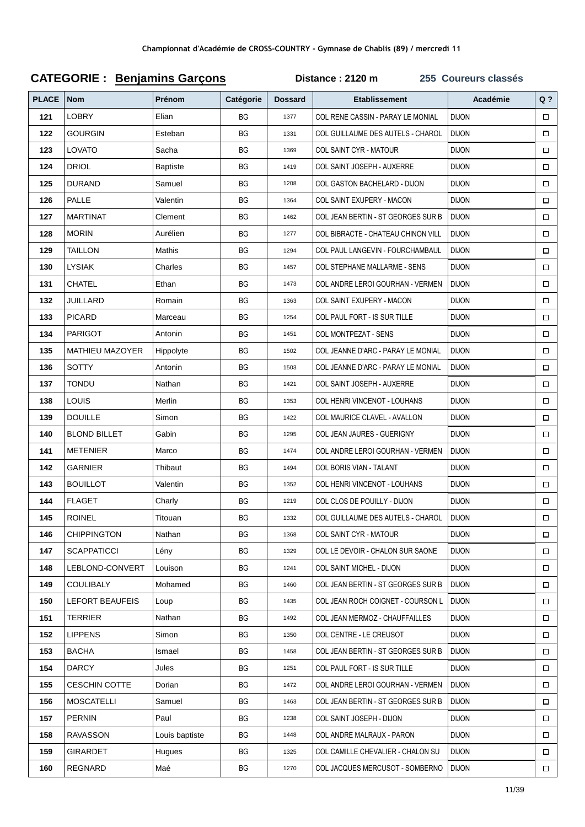| <b>PLACE</b> | <b>Nom</b>             | Prénom          | Catégorie | <b>Dossard</b> | <b>Etablissement</b>                | Académie     | $Q$ ?  |
|--------------|------------------------|-----------------|-----------|----------------|-------------------------------------|--------------|--------|
| 121          | <b>LOBRY</b>           | Elian           | BG        | 1377           | COL RENE CASSIN - PARAY LE MONIAL   | <b>DIJON</b> | $\Box$ |
| 122          | <b>GOURGIN</b>         | Esteban         | ВG        | 1331           | COL GUILLAUME DES AUTELS - CHAROL   | <b>DIJON</b> | $\Box$ |
| 123          | LOVATO                 | Sacha           | ВG        | 1369           | COL SAINT CYR - MATOUR              | <b>DIJON</b> | $\Box$ |
| 124          | <b>DRIOL</b>           | <b>Baptiste</b> | BG        | 1419           | COL SAINT JOSEPH - AUXERRE          | <b>DIJON</b> | $\Box$ |
| 125          | <b>DURAND</b>          | Samuel          | BG        | 1208           | COL GASTON BACHELARD - DIJON        | <b>DIJON</b> | $\Box$ |
| 126          | PALLE                  | Valentin        | ВG        | 1364           | COL SAINT EXUPERY - MACON           | <b>DIJON</b> | $\Box$ |
| 127          | <b>MARTINAT</b>        | Clement         | ВG        | 1462           | COL JEAN BERTIN - ST GEORGES SUR B  | <b>DIJON</b> | $\Box$ |
| 128          | <b>MORIN</b>           | Aurélien        | ВG        | 1277           | COL BIBRACTE - CHATEAU CHINON VILL  | <b>DIJON</b> | $\Box$ |
| 129          | TAILLON                | Mathis          | ВG        | 1294           | COL PAUL LANGEVIN - FOURCHAMBAUL    | <b>DIJON</b> | $\Box$ |
| 130          | <b>LYSIAK</b>          | Charles         | BG        | 1457           | <b>COL STEPHANE MALLARME - SENS</b> | <b>DIJON</b> | $\Box$ |
| 131          | CHATEL                 | Ethan           | ВG        | 1473           | COL ANDRE LEROI GOURHAN - VERMEN    | <b>DIJON</b> | $\Box$ |
| 132          | JUILLARD               | Romain          | ВG        | 1363           | COL SAINT EXUPERY - MACON           | <b>DIJON</b> | $\Box$ |
| 133          | <b>PICARD</b>          | Marceau         | ВG        | 1254           | COL PAUL FORT - IS SUR TILLE        | <b>DIJON</b> | $\Box$ |
| 134          | <b>PARIGOT</b>         | Antonin         | ВG        | 1451           | COL MONTPEZAT - SENS                | <b>DIJON</b> | $\Box$ |
| 135          | <b>MATHIEU MAZOYER</b> | Hippolyte       | ВG        | 1502           | COL JEANNE D'ARC - PARAY LE MONIAL  | <b>DIJON</b> | $\Box$ |
| 136          | SOTTY                  | Antonin         | BG        | 1503           | COL JEANNE D'ARC - PARAY LE MONIAL  | <b>DIJON</b> | $\Box$ |
| 137          | TONDU                  | Nathan          | BG        | 1421           | COL SAINT JOSEPH - AUXERRE          | <b>DIJON</b> | $\Box$ |
| 138          | <b>LOUIS</b>           | Merlin          | BG        | 1353           | COL HENRI VINCENOT - LOUHANS        | <b>DIJON</b> | $\Box$ |
| 139          | <b>DOUILLE</b>         | Simon           | ВG        | 1422           | COL MAURICE CLAVEL - AVALLON        | <b>DIJON</b> | $\Box$ |
| 140          | <b>BLOND BILLET</b>    | Gabin           | ВG        | 1295           | COL JEAN JAURES - GUERIGNY          | <b>DIJON</b> | $\Box$ |
| 141          | <b>METENIER</b>        | Marco           | BG        | 1474           | COL ANDRE LEROI GOURHAN - VERMEN    | <b>DIJON</b> | $\Box$ |
| 142          | GARNIER                | Thibaut         | BG        | 1494           | COL BORIS VIAN - TALANT             | <b>DIJON</b> | $\Box$ |
| 143          | <b>BOUILLOT</b>        | Valentin        | BG        | 1352           | COL HENRI VINCENOT - LOUHANS        | <b>DIJON</b> | $\Box$ |
| 144          | <b>FLAGET</b>          | Charly          | BG        | 1219           | COL CLOS DE POUILLY - DIJON         | <b>DIJON</b> | $\Box$ |
| 145          | <b>ROINEL</b>          | Titouan         | BG        | 1332           | COL GUILLAUME DES AUTELS - CHAROL   | <b>DIJON</b> | $\Box$ |
| 146          | <b>CHIPPINGTON</b>     | Nathan          | ВG        | 1368           | COL SAINT CYR - MATOUR              | <b>DIJON</b> | $\Box$ |
| 147          | <b>SCAPPATICCI</b>     | Lény            | ВG        | 1329           | COL LE DEVOIR - CHALON SUR SAONE    | <b>DIJON</b> | $\Box$ |
| 148          | LEBLOND-CONVERT        | Louison         | ВG        | 1241           | COL SAINT MICHEL - DIJON            | <b>DIJON</b> | □      |
| 149          | <b>COULIBALY</b>       | Mohamed         | ВG        | 1460           | COL JEAN BERTIN - ST GEORGES SUR B  | <b>DIJON</b> | □      |
| 150          | <b>LEFORT BEAUFEIS</b> | Loup            | ВG        | 1435           | COL JEAN ROCH COIGNET - COURSON L   | <b>DIJON</b> | $\Box$ |
| 151          | <b>TERRIER</b>         | Nathan          | BG        | 1492           | COL JEAN MERMOZ - CHAUFFAILLES      | <b>DIJON</b> | □      |
| 152          | <b>LIPPENS</b>         | Simon           | ВG        | 1350           | COL CENTRE - LE CREUSOT             | <b>DIJON</b> | $\Box$ |
| 153          | <b>BACHA</b>           | Ismael          | ВG        | 1458           | COL JEAN BERTIN - ST GEORGES SUR B  | <b>DIJON</b> | $\Box$ |
| 154          | <b>DARCY</b>           | Jules           | ВG        | 1251           | COL PAUL FORT - IS SUR TILLE        | <b>DIJON</b> | □      |
| 155          | <b>CESCHIN COTTE</b>   | Dorian          | ВG        | 1472           | COL ANDRE LEROI GOURHAN - VERMEN    | <b>DIJON</b> | $\Box$ |
| 156          | <b>MOSCATELLI</b>      | Samuel          | ВG        | 1463           | COL JEAN BERTIN - ST GEORGES SUR B  | <b>DIJON</b> | $\Box$ |
| 157          | <b>PERNIN</b>          | Paul            | ВG        | 1238           | COL SAINT JOSEPH - DIJON            | <b>DIJON</b> | $\Box$ |
| 158          | RAVASSON               | Louis baptiste  | ВG        | 1448           | COL ANDRE MALRAUX - PARON           | <b>DIJON</b> | $\Box$ |
| 159          | <b>GIRARDET</b>        | Hugues          | ВG        | 1325           | COL CAMILLE CHEVALIER - CHALON SU   | <b>DIJON</b> | $\Box$ |
| 160          | REGNARD                | Maé             | BG        | 1270           | COL JACQUES MERCUSOT - SOMBERNO     | <b>DIJON</b> | $\Box$ |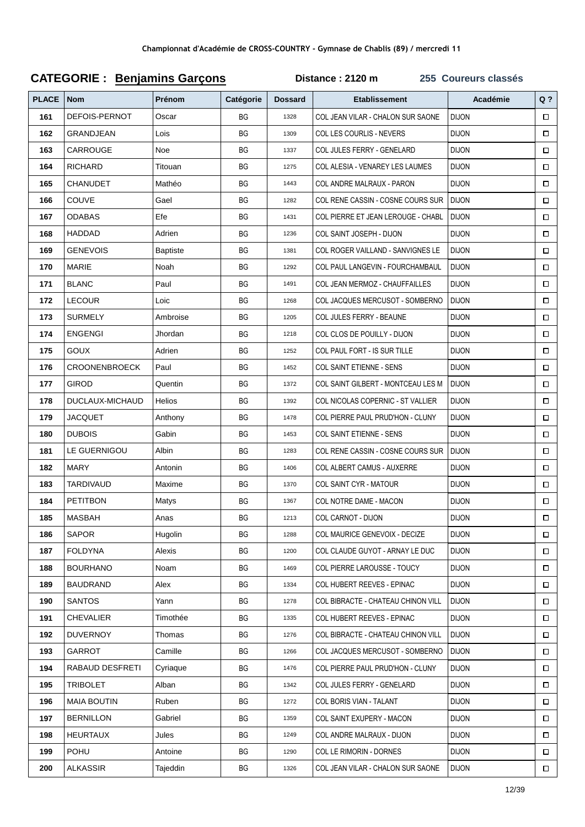#### **PLACE Nom** Académie  $Q<sub>2</sub>$ Prénom Catégorie **Dossard Ftablissement** 161 DEFOIS-PERNOT COL JEAN VILAR - CHALON SUR SAONE ועטו וט Oscar  $RG$ 1328  $\Box$ 162 **GRAND.IFAN**  $RG$ COLLES COURLIS - NEVERS DI.ION  $\Box$ Lois 1309 163 CARROUGE **Noe**  $RG$ COL.JULES FERRY - GENELARD **DI ION**  $\Box$ 1337 **RICHARD** Titouan COL ALESIA - VENAREY LES LAUMES 164  $RG$ 1275 **DIJON**  $\Box$ CHANLIDET Mathéo COL ANDRE MALRALIX - PARON וחרו וח 165 **RG**  $1113$  $\Box$ 166 COUVE Gael **BG** 1282 COL RENE CASSIN - COSNE COURS SUR **DIJON**  $\Box$ 167 **ODABAS** Efe **BG** 1431 COL PIERRE ET JEAN LEROUGE - CHABL **DIJON**  $\Box$ HADDAD 168 Adrien  $RG$ 1236 COL SAINT JOSEPH - DLION **DIJON**  $\Box$ 169 **GENEVOIS Baptiste BG** 1381 COL ROGER VAILLAND - SANVIGNES LE **DIJON**  $\Box$ **MARIE** 170 Noah **BG** 1292 COL PAUL LANGEVIN - FOURCHAMBAUL **DIJON**  $\Box$ 171 **BLANC** Paul **BG** COL JEAN MERMOZ - CHAUFFAILLES **DIJON** 1491  $\Box$ LECOUR 172 Loic **BG** 1268 COL JACQUES MERCUSOT - SOMBERNO **DIJON**  $\Box$ 173 **SURMELY** BG 1205 COL JULES FERRY - BEAUNE **DIJON**  $\Box$ Ambroise 174 **ENGENGI Ihordan BG** 1218 COL CLOS DE POULLY-DIJON **DIJON**  $\Box$ 175 GOUX Adrien  $RG$ 1252 COL PAUL FORT - IS SUR TILLE **DIJON**  $\Box$ 176 **CROONENBROECK** Paul  $RG$ 1452 COL SAINT FTIFNNF - SENS DI.ION  $\Box$ GIROD Quentin **DIJON**  $\Box$ 177 **BG** 1372 COL SAINT GILBERT - MONTCEAULES M 178 **DUCLAUX-MICHAUD** Helios  $RG$ 1392 COL NICOLAS COPERNIC - ST VALLIER DI.ION  $\Box$ 179  $\Box$ **JACQUET BG** 1478 COL PIERRE PAUL PRUD'HON - CLUNY **DI ION** Anthony **DUBOIS** Gahin 180 **BG** 1453 **COL SAINT ETIENNE - SENS DIJON**  $\Box$ LE GUERNIGOU Alhin  $RC$ COL RENE CASSIN - COSNE COURS SUR וחרו וח 181  $1283$  $\Box$ 182 **MARY** Antonin **BG**  $1406$ COL ALBERT CAMUS - AUXERRE DI.ION  $\Box$ **TARDIVALID** 183 Maxime **BG** 1370 COL SAINT CYR - MATOUR **DIJON**  $\Box$ PETITRON 184 Matys **BG** 1367 COL NOTRE DAME - MACON **DIJON**  $\Box$ 185 **MASBAH** Anas **BG** 1213 COL CARNOT - DIJON **DIJON**  $\Box$ **SAPOR** COL MAURICE GENEVOIX - DECIZE **DIJON** 186 Hugolin  $RG$ 1288  $\Box$ 187 **FOLDYNA** Alexis **BG** 1200 COL CLAUDE GUYOT - ARNAY LE DUC **DIJON**  $\Box$ **BOURHANO** COL PIERRE LAROUSSE - TOUCY 188 Noam  $RG$ 1469 DI.ION  $\Box$ 189 **BAUDRAND** Alex  $RG$ 1334 COL HUBERT REEVES - EPINAC **DIJON**  $\Box$ **SANTOS** 190 Yann COL BIBRACTE - CHATEAU CHINON VILL **BG** 1278 **DIJON**  $\Box$ 191 **CHEVALIER** Timothée  $RG$ 1335 COL HUBERT REEVES - EPINAC **DIJON**  $\Box$ **DUVERNOY** 192 Thomas  $RG$ 1276 COL BIBRACTE - CHATEAU CHINON VILL DI.ION  $\Box$ 193 **GARROT** Camille  $RG$ COL JACQUES MERCUSOT - SOMBERNO **DIJON**  $\Box$ 1266 **RABAUD DESFRETI** COL PIERRE PAUL PRUD'HON - CLUNY 194  $RG$ 1476 DI.ION Cvriague  $\Box$ **TRIBOL FT** COL JULES FERRY - GENELARD **DIJON**  $\Box$ 195 Alban  $RG$ 1342 **MAIA BOUTIN** Ruhen **DIJON** 196 **BG** 1272 **COL BORIS VIAN - TALANT**  $\Box$ **RERNILLON** COL SAINT FXUPFRY - MACON ועטו וט 197 Gabriel  $RC$ 1350  $\Box$ **HEURTAUX DIJON** 198 Jules **BG** 1249 COL ANDRE MALRAUX - DIJON  $\Box$ **POHLI** 199 Antoine **BG** 1290 COL LE RIMORIN - DORNES **DIJON**  $\Box$  $RG$ **DIJON** 200 **ALKASSIR** Tajeddin  $1326$ COL JEAN VILAR - CHALON SUR SAONE  $\Box$

#### **CATEGORIE: Benjamins Garçons**

Distance: 2120 m

255 Coureurs classés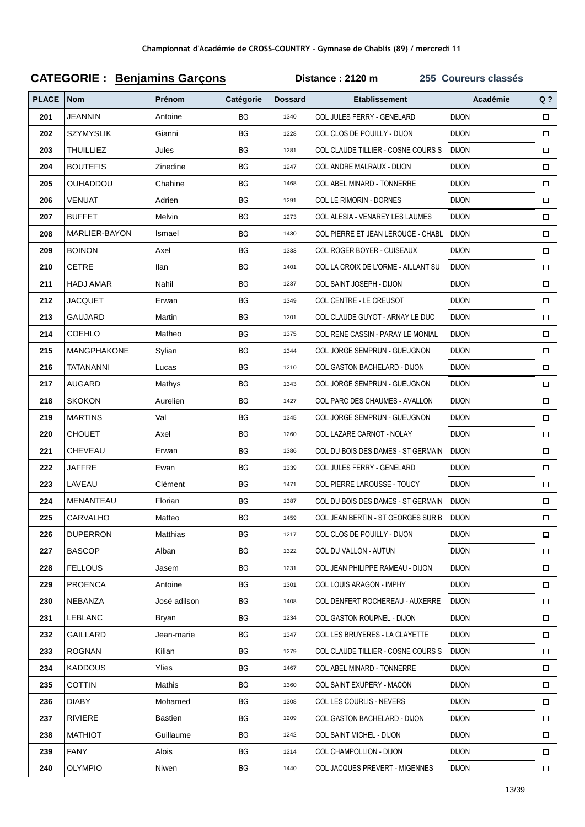#### **Q ? PLACE Nom Prénom Catégorie Dossard Etablissement Académie 201** JEANNIN Antoine BG 1340 COL JULES FERRY - GENELARD DIJON  $\Box$ **202** SZYMYSLIK Gianni BG 1228 COL CLOS DE POUILLY - DIJON DIJON  $\Box$ **203** THUILLIEZ Jules **BG** 1281 COL CLAUDE TILLIER - COSNE COURS S | DIJON  $\Box$ **204** BOUTEFIS 2inedine BG 1247 COL ANDRE MALRAUX - DIJON DIJON  $\Box$ **205** OUHADDOU Chahine **BG** 1468 COL ABEL MINARD - TONNERRE DIJON  $\Box$ **206** VENUAT Adrien BG 1291 COL LE RIMORIN - DORNES DIJON  $\Box$ **207** BUFFET Melvin BG 1273 COL ALESIA - VENAREY LES LAUMES DIJON  $\Box$ **208** MARLIER-BAYON Ismael RG 1430 COL PIERRE ET JEAN LEROUGE - CHABL DIJON  $\Box$ **209** BOINON Axel Axel BG 1333 COL ROGER BOYER - CUISEAUX DIJON  $\Box$ **210** CETRE **IIIan** Ilan **BG** 1401 COL LA CROIX DE L'ORME - AILLANT SU DIJON  $\Box$ **211** HADJ AMAR Nahil BG 237 COL SAINT JOSEPH - DIJON DIJON  $\Box$ **212** JACQUET Erwan BG 349 COL CENTRE - LE CREUSOT DIJON  $\Box$ **213** GAUJARD Martin **BG** 1201 COL CLAUDE GUYOT - ARNAY LE DUC DIJON  $\Box$ **214 COEHLO Matheo 8 BG 1375 COL RENE CASSIN - PARAY LE MONIAL DIJON**  $\Box$ **215** MANGPHAKONE Sylian BG 1344 COL JORGE SEMPRUN - GUEUGNON DIJON  $\Box$ **216** TATANANNI Lucas **BG 1210 COL GASTON BACHELARD - DIJON** DIJON  $\Box$ **217** AUGARD Mathys BG 1343 COL JORGE SEMPRUN - GUEUGNON DIJON  $\Box$ **218** SKOKON Aurelien **BG** 1427 COL PARC DES CHAUMES - AVALLON DIJON  $\Box$  $\Box$ **219** | MARTINS | Val | BG | 1345 | COL JORGE SEMPRUN - GUEUGNON | DIJON **220** CHOUET Axel BG 1260 COL LAZARE CARNOT - NOLAY DIJON  $\Box$ **221** CHEVEAU **Erwan BG 8**G 1386 COL DU BOIS DES DAMES - ST GERMAIN DIJON  $\Box$ **222** JAFFRE **Ewan** BG 1339 COL JULES FERRY - GENELARD DIJON  $\Box$ **223** LAVEAU Clément | BG | 1471 COL PIERRE LAROUSSE - TOUCY | DIJON  $\Box$ **224** MENANTEAU Florian **BG 1387 COL DU BOIS DES DAMES - ST GERMAIN I** DIJON  $\Box$ **225** CARVALHO Matteo BG 1459 COL JEAN BERTIN - ST GEORGES SUR B DIJON  $\Box$ **226** DUPERRON Matthias **BG** 1217 COL CLOS DE POUILLY - DIJON DIJON  $\Box$ **227** BASCOP Alban BG 1322 COL DU VALLON - AUTUN DIJON  $\Box$ **228** FELLOUS Jasem BG 1231 COL JEAN PHILIPPE RAMEAU - DIJON DIJON  $\Box$ **229** PROENCA Antoine BG 301 COL LOUIS ARAGON - IMPHY DIJON  $\Box$ **230** NEBANZA **Subset Addition BG** 1408 COL DENFERT ROCHEREAU - AUXERRE DIJON  $\Box$ **231 LEBLANC** Bryan Bryan BG 1234 COL GASTON ROUPNEL - DIJON DIJON  $\Box$ **232** GAILLARD **Jean-marie BG 1347 COLLES BRUYERES - LA CLAYETTE DIJON**  $\Box$ **233** ROGNAN Kilian RG 8 1279 COL CLAUDE TILLIER - COSNE COURS S DIJON  $\Box$ **234** KADDOUS Ylies **BG** 8467 COL ABEL MINARD - TONNERRE DIJON  $\Box$ **235** COTTIN Mathis **BG** 1360 COL SAINT EXUPERY - MACON DIJON  $\Box$ **236** DIABY Mohamed BG 1308 COL LES COURLIS - NEVERS DIJON  $\Box$ **237** RIVIERE BAstien Bastien BG 1209 COL GASTON BACHELARD - DIJON DIJON  $\Box$ **238** MATHIOT Guillaume BG 1242 COL SAINT MICHEL - DIJON DIJON  $\Box$ **239** FANY Alois RG 1214 COL CHAMPOLLION - DIJON DIJON  $\Box$ **240** OLYMPIO Niwen BG 1440 COL JACQUES PREVERT - MIGENNES DIJON  $\Box$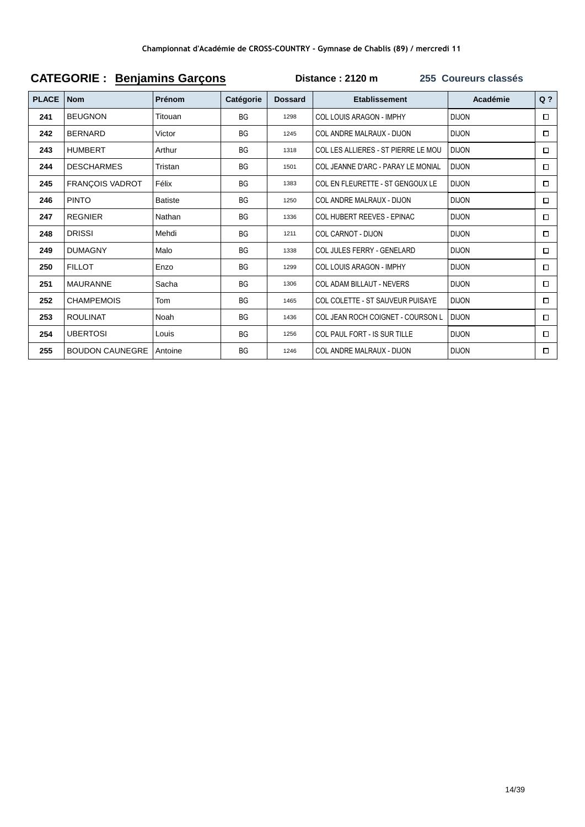| <b>PLACE</b> | <b>Nom</b>             | Prénom         | Catégorie | <b>Dossard</b> | <b>Etablissement</b>                | Académie     | $Q$ ?  |  |  |  |
|--------------|------------------------|----------------|-----------|----------------|-------------------------------------|--------------|--------|--|--|--|
| 241          | <b>BEUGNON</b>         | Titouan        | <b>BG</b> | 1298           | COL LOUIS ARAGON - IMPHY            | <b>DIJON</b> | $\Box$ |  |  |  |
| 242          | <b>BERNARD</b>         | Victor         | <b>BG</b> | 1245           | COL ANDRE MALRAUX - DIJON           | <b>DIJON</b> | □      |  |  |  |
| 243          | <b>HUMBERT</b>         | Arthur         | <b>BG</b> | 1318           | COL LES ALLIERES - ST PIERRE LE MOU | <b>DIJON</b> | $\Box$ |  |  |  |
| 244          | <b>DESCHARMES</b>      | Tristan        | <b>BG</b> | 1501           | COL JEANNE D'ARC - PARAY LE MONIAL  | <b>DIJON</b> | $\Box$ |  |  |  |
| 245          | <b>FRANÇOIS VADROT</b> | Félix          | <b>BG</b> | 1383           | COL EN FLEURETTE - ST GENGOUX LE    | <b>DIJON</b> | $\Box$ |  |  |  |
| 246          | <b>PINTO</b>           | <b>Batiste</b> | <b>BG</b> | 1250           | COL ANDRE MALRAUX - DIJON           | <b>DIJON</b> | $\Box$ |  |  |  |
| 247          | <b>REGNIER</b>         | Nathan         | <b>BG</b> | 1336           | COL HUBERT REEVES - EPINAC          | <b>DIJON</b> | $\Box$ |  |  |  |
| 248          | <b>DRISSI</b>          | Mehdi          | <b>BG</b> | 1211           | <b>COL CARNOT - DIJON</b>           | <b>DIJON</b> | □      |  |  |  |
| 249          | <b>DUMAGNY</b>         | Malo           | <b>BG</b> | 1338           | COL JULES FERRY - GENELARD          | <b>DIJON</b> | $\Box$ |  |  |  |
| 250          | <b>FILLOT</b>          | Enzo           | <b>BG</b> | 1299           | COL LOUIS ARAGON - IMPHY            | <b>DIJON</b> | $\Box$ |  |  |  |
| 251          | <b>MAURANNE</b>        | Sacha          | <b>BG</b> | 1306           | <b>COL ADAM BILLAUT - NEVERS</b>    | <b>DIJON</b> | □      |  |  |  |
| 252          | <b>CHAMPEMOIS</b>      | Tom            | <b>BG</b> | 1465           | COL COLETTE - ST SAUVEUR PUISAYE    | <b>DIJON</b> | □      |  |  |  |
| 253          | <b>ROULINAT</b>        | Noah           | <b>BG</b> | 1436           | COL JEAN ROCH COIGNET - COURSON L   | <b>DIJON</b> | $\Box$ |  |  |  |
| 254          | <b>UBERTOSI</b>        | Louis          | <b>BG</b> | 1256           | COL PAUL FORT - IS SUR TILLE        | <b>DIJON</b> | $\Box$ |  |  |  |
| 255          | <b>BOUDON CAUNEGRE</b> | Antoine        | <b>BG</b> | 1246           | COL ANDRE MALRAUX - DIJON           | <b>DIJON</b> | □      |  |  |  |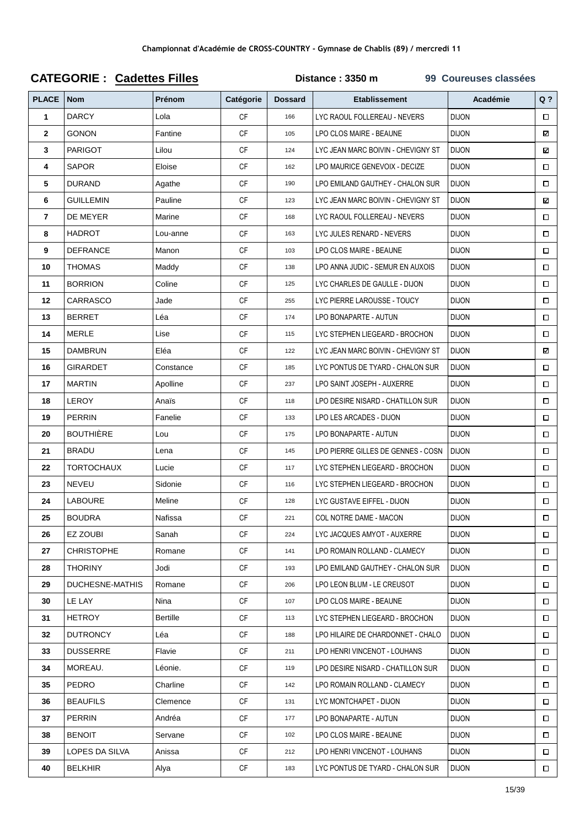| <b>PLACE</b>   | <b>Nom</b>             | Prénom    | Catégorie | <b>Dossard</b> | <b>Etablissement</b>               | Académie     | $Q$ ?  |
|----------------|------------------------|-----------|-----------|----------------|------------------------------------|--------------|--------|
| 1              | <b>DARCY</b>           | Lola      | <b>CF</b> | 166            | LYC RAOUL FOLLEREAU - NEVERS       | <b>DIJON</b> | $\Box$ |
| $\overline{2}$ | <b>GONON</b>           | Fantine   | <b>CF</b> | 105            | LPO CLOS MAIRE - BEAUNE            | <b>DIJON</b> | ⊠      |
| 3              | <b>PARIGOT</b>         | Lilou     | <b>CF</b> | 124            | LYC JEAN MARC BOIVIN - CHEVIGNY ST | <b>DIJON</b> | ⊠      |
| 4              | <b>SAPOR</b>           | Eloise    | <b>CF</b> | 162            | LPO MAURICE GENEVOIX - DECIZE      | <b>DIJON</b> | $\Box$ |
| 5              | <b>DURAND</b>          | Agathe    | <b>CF</b> | 190            | LPO EMILAND GAUTHEY - CHALON SUR   | <b>DIJON</b> | $\Box$ |
| 6              | <b>GUILLEMIN</b>       | Pauline   | <b>CF</b> | 123            | LYC JEAN MARC BOIVIN - CHEVIGNY ST | <b>DIJON</b> | ⊠      |
| 7              | DE MEYER               | Marine    | <b>CF</b> | 168            | LYC RAOUL FOLLEREAU - NEVERS       | <b>DIJON</b> | $\Box$ |
| 8              | <b>HADROT</b>          | Lou-anne  | <b>CF</b> | 163            | LYC JULES RENARD - NEVERS          | <b>DIJON</b> | $\Box$ |
| 9              | <b>DEFRANCE</b>        | Manon     | <b>CF</b> | 103            | LPO CLOS MAIRE - BEAUNE            | <b>DIJON</b> | $\Box$ |
| 10             | <b>THOMAS</b>          | Maddy     | <b>CF</b> | 138            | LPO ANNA JUDIC - SEMUR EN AUXOIS   | <b>DIJON</b> | $\Box$ |
| 11             | <b>BORRION</b>         | Coline    | <b>CF</b> | 125            | LYC CHARLES DE GAULLE - DIJON      | <b>DIJON</b> | $\Box$ |
| 12             | CARRASCO               | Jade      | <b>CF</b> | 255            | LYC PIERRE LAROUSSE - TOUCY        | <b>DIJON</b> | $\Box$ |
| 13             | <b>BERRET</b>          | Léa       | <b>CF</b> | 174            | LPO BONAPARTE - AUTUN              | <b>DIJON</b> | $\Box$ |
| 14             | <b>MERLE</b>           | Lise      | <b>CF</b> | 115            | LYC STEPHEN LIEGEARD - BROCHON     | <b>DIJON</b> | $\Box$ |
| 15             | <b>DAMBRUN</b>         | Eléa      | <b>CF</b> | 122            | LYC JEAN MARC BOIVIN - CHEVIGNY ST | <b>DIJON</b> | ⊠      |
| 16             | <b>GIRARDET</b>        | Constance | <b>CF</b> | 185            | LYC PONTUS DE TYARD - CHALON SUR   | <b>DIJON</b> | $\Box$ |
| 17             | <b>MARTIN</b>          | Apolline  | <b>CF</b> | 237            | LPO SAINT JOSEPH - AUXERRE         | <b>DIJON</b> | $\Box$ |
| 18             | <b>LEROY</b>           | Anaïs     | <b>CF</b> | 118            | LPO DESIRE NISARD - CHATILLON SUR  | <b>DIJON</b> | $\Box$ |
| 19             | <b>PERRIN</b>          | Fanelie   | <b>CF</b> | 133            | LPO LES ARCADES - DIJON            | <b>DIJON</b> | $\Box$ |
| 20             | <b>BOUTHIÈRE</b>       | Lou       | СF        | 175            | LPO BONAPARTE - AUTUN              | <b>DIJON</b> | $\Box$ |
| 21             | <b>BRADU</b>           | Lena      | <b>CF</b> | 145            | LPO PIERRE GILLES DE GENNES - COSN | <b>DIJON</b> | $\Box$ |
| 22             | <b>TORTOCHAUX</b>      | Lucie     | <b>CF</b> | 117            | LYC STEPHEN LIEGEARD - BROCHON     | <b>DIJON</b> | $\Box$ |
| 23             | <b>NEVEU</b>           | Sidonie   | <b>CF</b> | 116            | LYC STEPHEN LIEGEARD - BROCHON     | <b>DIJON</b> | $\Box$ |
| 24             | <b>LABOURE</b>         | Meline    | <b>CF</b> | 128            | LYC GUSTAVE EIFFEL - DIJON         | <b>DIJON</b> | $\Box$ |
| 25             | <b>BOUDRA</b>          | Nafissa   | <b>CF</b> | 221            | COL NOTRE DAME - MACON             | <b>DIJON</b> | $\Box$ |
| 26             | EZ ZOUBI               | Sanah     | СF        | 224            | LYC JACQUES AMYOT - AUXERRE        | <b>DIJON</b> | $\Box$ |
| 27             | <b>CHRISTOPHE</b>      | Romane    | <b>CF</b> | 141            | LPO ROMAIN ROLLAND - CLAMECY       | <b>DIJON</b> | $\Box$ |
| 28             | <b>THORINY</b>         | Jodi      | <b>CF</b> | 193            | LPO EMILAND GAUTHEY - CHALON SUR   | <b>DIJON</b> | $\Box$ |
| 29             | <b>DUCHESNE-MATHIS</b> | Romane    | СF        | 206            | LPO LEON BLUM - LE CREUSOT         | <b>DIJON</b> | $\Box$ |
| 30             | LE LAY                 | Nina      | <b>CF</b> | 107            | LPO CLOS MAIRE - BEAUNE            | <b>DIJON</b> | $\Box$ |
| 31             | HETROY                 | Bertille  | CF        | 113            | LYC STEPHEN LIEGEARD - BROCHON     | <b>DIJON</b> | $\Box$ |
| 32             | <b>DUTRONCY</b>        | Léa       | CF.       | 188            | LPO HILAIRE DE CHARDONNET - CHALO  | <b>DIJON</b> | $\Box$ |
| 33             | <b>DUSSERRE</b>        | Flavie    | <b>CF</b> | 211            | LPO HENRI VINCENOT - LOUHANS       | <b>DIJON</b> | $\Box$ |
| 34             | MOREAU.                | Léonie.   | <b>CF</b> | 119            | LPO DESIRE NISARD - CHATILLON SUR  | <b>DIJON</b> | $\Box$ |
| 35             | PEDRO                  | Charline  | CF        | 142            | LPO ROMAIN ROLLAND - CLAMECY       | <b>DIJON</b> | $\Box$ |
| 36             | <b>BEAUFILS</b>        | Clemence  | <b>CF</b> | 131            | LYC MONTCHAPET - DIJON             | <b>DIJON</b> | $\Box$ |
| 37             | <b>PERRIN</b>          | Andréa    | СF        | 177            | LPO BONAPARTE - AUTUN              | <b>DIJON</b> | $\Box$ |
| 38             | <b>BENOIT</b>          | Servane   | CF        | 102            | LPO CLOS MAIRE - BEAUNE            | <b>DIJON</b> | $\Box$ |
| 39             | LOPES DA SILVA         | Anissa    | <b>CF</b> | 212            | LPO HENRI VINCENOT - LOUHANS       | <b>DIJON</b> | $\Box$ |
| 40             | <b>BELKHIR</b>         | Alya      | CF        | 183            | LYC PONTUS DE TYARD - CHALON SUR   | <b>DIJON</b> | $\Box$ |

## **CATEGORIE : Cadettes Filles Distance : 3350 m 99 Coureuses classées**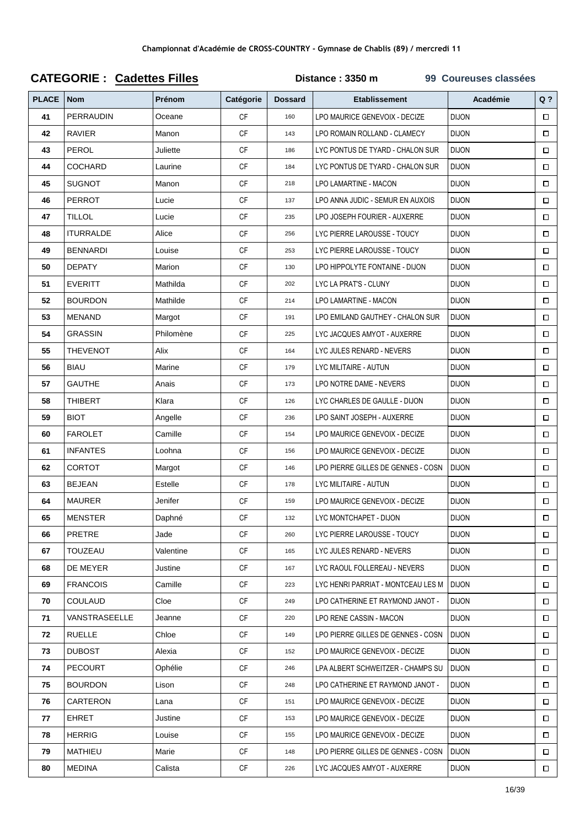| <b>PLACE</b> | <b>Nom</b>       | Prénom    | Catégorie | <b>Dossard</b> | <b>Etablissement</b>               | <b>Académie</b> | $Q$ ?  |
|--------------|------------------|-----------|-----------|----------------|------------------------------------|-----------------|--------|
| 41           | <b>PERRAUDIN</b> | Oceane    | <b>CF</b> | 160            | LPO MAURICE GENEVOIX - DECIZE      | <b>DIJON</b>    | $\Box$ |
| 42           | <b>RAVIER</b>    | Manon     | СF        | 143            | LPO ROMAIN ROLLAND - CLAMECY       | <b>DIJON</b>    | $\Box$ |
| 43           | PEROL            | Juliette  | <b>CF</b> | 186            | LYC PONTUS DE TYARD - CHALON SUR   | <b>DIJON</b>    | $\Box$ |
| 44           | <b>COCHARD</b>   | Laurine   | <b>CF</b> | 184            | LYC PONTUS DE TYARD - CHALON SUR   | <b>DIJON</b>    | $\Box$ |
| 45           | <b>SUGNOT</b>    | Manon     | <b>CF</b> | 218            | LPO LAMARTINE - MACON              | <b>DIJON</b>    | $\Box$ |
| 46           | <b>PERROT</b>    | Lucie     | CF        | 137            | LPO ANNA JUDIC - SEMUR EN AUXOIS   | <b>DIJON</b>    | $\Box$ |
| 47           | <b>TILLOL</b>    | Lucie     | <b>CF</b> | 235            | LPO JOSEPH FOURIER - AUXERRE       | <b>DIJON</b>    | $\Box$ |
| 48           | <b>ITURRALDE</b> | Alice     | СF        | 256            | LYC PIERRE LAROUSSE - TOUCY        | <b>DIJON</b>    | $\Box$ |
| 49           | <b>BENNARDI</b>  | Louise    | CF        | 253            | LYC PIERRE LAROUSSE - TOUCY        | <b>DIJON</b>    | $\Box$ |
| 50           | <b>DEPATY</b>    | Marion    | <b>CF</b> | 130            | LPO HIPPOLYTE FONTAINE - DIJON     | <b>DIJON</b>    | $\Box$ |
| 51           | <b>EVERITT</b>   | Mathilda  | CF        | 202            | LYC LA PRAT'S - CLUNY              | <b>DIJON</b>    | $\Box$ |
| 52           | <b>BOURDON</b>   | Mathilde  | CF        | 214            | LPO LAMARTINE - MACON              | <b>DIJON</b>    | $\Box$ |
| 53           | <b>MENAND</b>    | Margot    | <b>CF</b> | 191            | LPO EMILAND GAUTHEY - CHALON SUR   | <b>DIJON</b>    | $\Box$ |
| 54           | <b>GRASSIN</b>   | Philomène | CF        | 225            | LYC JACQUES AMYOT - AUXERRE        | <b>DIJON</b>    | $\Box$ |
| 55           | <b>THEVENOT</b>  | Alix      | <b>CF</b> | 164            | LYC JULES RENARD - NEVERS          | <b>DIJON</b>    | $\Box$ |
| 56           | <b>BIAU</b>      | Marine    | <b>CF</b> | 179            | LYC MILITAIRE - AUTUN              | <b>DIJON</b>    | $\Box$ |
| 57           | <b>GAUTHE</b>    | Anais     | CF        | 173            | LPO NOTRE DAME - NEVERS            | <b>DIJON</b>    | $\Box$ |
| 58           | <b>THIBERT</b>   | Klara     | CF        | 126            | LYC CHARLES DE GAULLE - DIJON      | <b>DIJON</b>    | $\Box$ |
| 59           | <b>BIOT</b>      | Angelle   | <b>CF</b> | 236            | LPO SAINT JOSEPH - AUXERRE         | <b>DIJON</b>    | $\Box$ |
| 60           | <b>FAROLET</b>   | Camille   | CF        | 154            | LPO MAURICE GENEVOIX - DECIZE      | <b>DIJON</b>    | $\Box$ |
| 61           | <b>INFANTES</b>  | Loohna    | CF        | 156            | LPO MAURICE GENEVOIX - DECIZE      | <b>DIJON</b>    | $\Box$ |
| 62           | <b>CORTOT</b>    | Margot    | <b>CF</b> | 146            | LPO PIERRE GILLES DE GENNES - COSN | <b>DIJON</b>    | $\Box$ |
| 63           | <b>BEJEAN</b>    | Estelle   | CF        | 178            | LYC MILITAIRE - AUTUN              | <b>DIJON</b>    | $\Box$ |
| 64           | <b>MAURER</b>    | Jenifer   | CF        | 159            | LPO MAURICE GENEVOIX - DECIZE      | <b>DIJON</b>    | $\Box$ |
| 65           | <b>MENSTER</b>   | Daphné    | <b>CF</b> | 132            | LYC MONTCHAPET - DIJON             | <b>DIJON</b>    | $\Box$ |
| 66           | <b>PRETRE</b>    | Jade      | CF        | 260            | LYC PIERRE LAROUSSE - TOUCY        | <b>DIJON</b>    | $\Box$ |
| 67           | TOUZEAU          | Valentine | СF        | 165            | LYC JULES RENARD - NEVERS          | <b>DIJON</b>    | $\Box$ |
| 68           | DE MEYER         | Justine   | CF        | 167            | LYC RAOUL FOLLEREAU - NEVERS       | <b>DIJON</b>    | $\Box$ |
| 69           | <b>FRANCOIS</b>  | Camille   | CF        | 223            | LYC HENRI PARRIAT - MONTCEAU LES M | <b>DIJON</b>    | $\Box$ |
| 70           | <b>COULAUD</b>   | Cloe      | CF        | 249            | LPO CATHERINE ET RAYMOND JANOT -   | <b>DIJON</b>    | $\Box$ |
| 71           | VANSTRASEELLE    | Jeanne    | СF        | 220            | LPO RENE CASSIN - MACON            | <b>DIJON</b>    | $\Box$ |
| 72           | <b>RUELLE</b>    | Chloe     | СF        | 149            | LPO PIERRE GILLES DE GENNES - COSN | <b>DIJON</b>    | $\Box$ |
| 73           | <b>DUBOST</b>    | Alexia    | СF        | 152            | LPO MAURICE GENEVOIX - DECIZE      | <b>DIJON</b>    | $\Box$ |
| 74           | <b>PECOURT</b>   | Ophélie   | CF        | 246            | LPA ALBERT SCHWEITZER - CHAMPS SU  | <b>DIJON</b>    | $\Box$ |
| 75           | <b>BOURDON</b>   | Lison     | CF        | 248            | LPO CATHERINE ET RAYMOND JANOT -   | <b>DIJON</b>    | $\Box$ |
| 76           | CARTERON         | Lana      | CF        | 151            | LPO MAURICE GENEVOIX - DECIZE      | <b>DIJON</b>    | $\Box$ |
| 77           | <b>EHRET</b>     | Justine   | CF        | 153            | LPO MAURICE GENEVOIX - DECIZE      | <b>DIJON</b>    | $\Box$ |
| 78           | <b>HERRIG</b>    | Louise    | CF        | 155            | LPO MAURICE GENEVOIX - DECIZE      | <b>DIJON</b>    | $\Box$ |
| 79           | MATHIEU          | Marie     | CF        | 148            | LPO PIERRE GILLES DE GENNES - COSN | <b>DIJON</b>    | $\Box$ |
| 80           | <b>MEDINA</b>    | Calista   | CF        | 226            | LYC JACQUES AMYOT - AUXERRE        | <b>DIJON</b>    | $\Box$ |

## **CATEGORIE : Cadettes Filles Distance : 3350 m 99 Coureuses classées**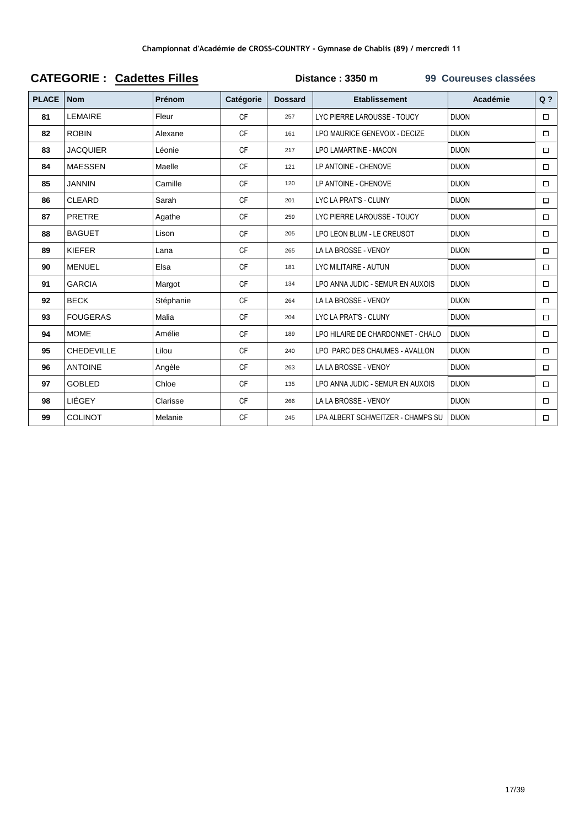|              | VAILVVIIIL .      | OUUVIIVJ I IIIVJ |           | <b>OUGICASCS CIASSCCS</b> |                                   |              |                |  |
|--------------|-------------------|------------------|-----------|---------------------------|-----------------------------------|--------------|----------------|--|
| <b>PLACE</b> | <b>Nom</b>        | Prénom           | Catégorie | <b>Dossard</b>            | <b>Etablissement</b>              | Académie     | Q <sub>2</sub> |  |
| 81           | <b>LEMAIRE</b>    | Fleur            | <b>CF</b> | 257                       | LYC PIERRE LAROUSSE - TOUCY       | <b>DIJON</b> | $\Box$         |  |
| 82           | <b>ROBIN</b>      | Alexane          | <b>CF</b> | 161                       | LPO MAURICE GENEVOIX - DECIZE     | <b>DIJON</b> | $\Box$         |  |
| 83           | <b>JACQUIER</b>   | Léonie           | <b>CF</b> | 217                       | <b>LPO LAMARTINE - MACON</b>      | <b>DIJON</b> | $\Box$         |  |
| 84           | <b>MAESSEN</b>    | Maelle           | <b>CF</b> | 121                       | LP ANTOINE - CHENOVE              | <b>DIJON</b> | $\Box$         |  |
| 85           | <b>JANNIN</b>     | Camille          | <b>CF</b> | 120                       | LP ANTOINE - CHENOVE              | <b>DIJON</b> | $\Box$         |  |
| 86           | <b>CLEARD</b>     | Sarah            | <b>CF</b> | 201                       | LYC LA PRAT'S - CLUNY             | <b>DIJON</b> | $\Box$         |  |
| 87           | <b>PRETRE</b>     | Agathe           | <b>CF</b> | 259                       | LYC PIERRE LAROUSSE - TOUCY       | <b>DIJON</b> | $\Box$         |  |
| 88           | <b>BAGUET</b>     | Lison            | <b>CF</b> | 205                       | LPO LEON BLUM - LE CREUSOT        | <b>DIJON</b> | $\Box$         |  |
| 89           | <b>KIEFER</b>     | Lana             | <b>CF</b> | 265                       | LA LA BROSSE - VENOY              | <b>DIJON</b> | $\Box$         |  |
| 90           | <b>MENUEL</b>     | Elsa             | <b>CF</b> | 181                       | <b>LYC MILITAIRE - AUTUN</b>      | <b>DIJON</b> | $\Box$         |  |
| 91           | <b>GARCIA</b>     | Margot           | <b>CF</b> | 134                       | LPO ANNA JUDIC - SEMUR EN AUXOIS  | <b>DIJON</b> | $\Box$         |  |
| 92           | <b>BECK</b>       | Stéphanie        | <b>CF</b> | 264                       | LA LA BROSSE - VENOY              | <b>DIJON</b> | $\Box$         |  |
| 93           | <b>FOUGERAS</b>   | Malia            | <b>CF</b> | 204                       | LYC LA PRAT'S - CLUNY             | <b>DIJON</b> | $\Box$         |  |
| 94           | <b>MOME</b>       | Amélie           | <b>CF</b> | 189                       | LPO HILAIRE DE CHARDONNET - CHALO | <b>DIJON</b> | $\Box$         |  |
| 95           | <b>CHEDEVILLE</b> | Lilou            | <b>CF</b> | 240                       | LPO PARC DES CHAUMES - AVALLON    | <b>DIJON</b> | $\Box$         |  |
| 96           | <b>ANTOINE</b>    | Angèle           | <b>CF</b> | 263                       | LA LA BROSSE - VENOY              | <b>DIJON</b> | $\Box$         |  |
| 97           | <b>GOBLED</b>     | Chloe            | <b>CF</b> | 135                       | LPO ANNA JUDIC - SEMUR EN AUXOIS  | <b>DIJON</b> | $\Box$         |  |
| 98           | LIÉGEY            | Clarisse         | <b>CF</b> | 266                       | LA LA BROSSE - VENOY              | <b>DIJON</b> | $\Box$         |  |
| 99           | <b>COLINOT</b>    | Melanie          | <b>CF</b> | 245                       | LPA ALBERT SCHWEITZER - CHAMPS SU | <b>DIJON</b> | $\Box$         |  |

#### **CATEGORIE: Cadettes Filles**

Distance: 3350 m 99 Coureuses classées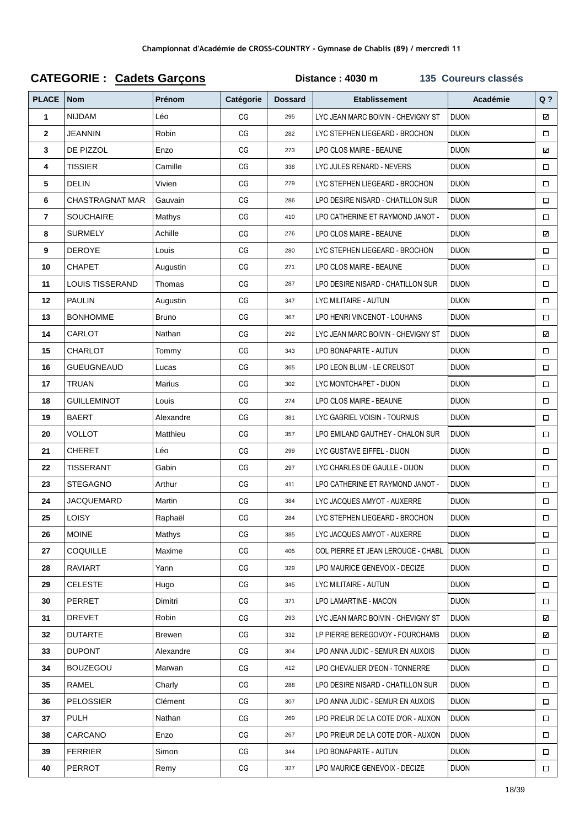| <b>PLACE</b>   | <b>Nom</b>             | Prénom        | Catégorie | <b>Dossard</b> | <b>Etablissement</b>               | Académie     | $Q$ ?  |
|----------------|------------------------|---------------|-----------|----------------|------------------------------------|--------------|--------|
| 1              | <b>NIJDAM</b>          | Léo           | CG        | 295            | LYC JEAN MARC BOIVIN - CHEVIGNY ST | <b>DIJON</b> | N      |
| $\mathbf{2}$   | <b>JEANNIN</b>         | Robin         | CG        | 282            | LYC STEPHEN LIEGEARD - BROCHON     | <b>DIJON</b> | $\Box$ |
| 3              | DE PIZZOL              | Enzo          | CG        | 273            | LPO CLOS MAIRE - BEAUNE            | <b>DIJON</b> | Σ      |
| 4              | <b>TISSIER</b>         | Camille       | CG        | 338            | LYC JULES RENARD - NEVERS          | <b>DIJON</b> | $\Box$ |
| 5              | <b>DELIN</b>           | Vivien        | CG        | 279            | LYC STEPHEN LIEGEARD - BROCHON     | <b>DIJON</b> | $\Box$ |
| 6              | <b>CHASTRAGNAT MAR</b> | Gauvain       | CG        | 286            | LPO DESIRE NISARD - CHATILLON SUR  | <b>DIJON</b> | $\Box$ |
| $\overline{7}$ | <b>SOUCHAIRE</b>       | Mathys        | CG        | 410            | LPO CATHERINE ET RAYMOND JANOT -   | <b>DIJON</b> | $\Box$ |
| 8              | <b>SURMELY</b>         | Achille       | CG        | 276            | LPO CLOS MAIRE - BEAUNE            | <b>DIJON</b> | N      |
| 9              | <b>DEROYE</b>          | Louis         | CG        | 280            | LYC STEPHEN LIEGEARD - BROCHON     | <b>DIJON</b> | $\Box$ |
| 10             | <b>CHAPET</b>          | Augustin      | CG        | 271            | LPO CLOS MAIRE - BEAUNE            | <b>DIJON</b> | $\Box$ |
| 11             | <b>LOUIS TISSERAND</b> | Thomas        | CG        | 287            | LPO DESIRE NISARD - CHATILLON SUR  | <b>DIJON</b> | $\Box$ |
| 12             | <b>PAULIN</b>          | Augustin      | CG        | 347            | LYC MILITAIRE - AUTUN              | <b>DIJON</b> | $\Box$ |
| 13             | <b>BONHOMME</b>        | <b>Bruno</b>  | CG        | 367            | LPO HENRI VINCENOT - LOUHANS       | <b>DIJON</b> | $\Box$ |
| 14             | CARLOT                 | Nathan        | CG        | 292            | LYC JEAN MARC BOIVIN - CHEVIGNY ST | <b>DIJON</b> | N      |
| 15             | CHARLOT                | Tommy         | CG        | 343            | LPO BONAPARTE - AUTUN              | <b>DIJON</b> | $\Box$ |
| 16             | <b>GUEUGNEAUD</b>      | Lucas         | CG        | 365            | LPO LEON BLUM - LE CREUSOT         | <b>DIJON</b> | $\Box$ |
| 17             | <b>TRUAN</b>           | Marius        | CG        | 302            | LYC MONTCHAPET - DIJON             | <b>DIJON</b> | $\Box$ |
| 18             | <b>GUILLEMINOT</b>     | Louis         | CG        | 274            | LPO CLOS MAIRE - BEAUNE            | <b>DIJON</b> | $\Box$ |
| 19             | <b>BAERT</b>           | Alexandre     | CG        | 381            | LYC GABRIEL VOISIN - TOURNUS       | <b>DIJON</b> | $\Box$ |
| 20             | VOLLOT                 | Matthieu      | CG        | 357            | LPO EMILAND GAUTHEY - CHALON SUR   | <b>DIJON</b> | $\Box$ |
| 21             | <b>CHERET</b>          | Léo           | CG        | 299            | LYC GUSTAVE EIFFEL - DIJON         | <b>DIJON</b> | $\Box$ |
| 22             | <b>TISSERANT</b>       | Gabin         | CG        | 297            | LYC CHARLES DE GAULLE - DIJON      | <b>DIJON</b> | $\Box$ |
| 23             | <b>STEGAGNO</b>        | Arthur        | CG        | 411            | LPO CATHERINE ET RAYMOND JANOT -   | <b>DIJON</b> | $\Box$ |
| 24             | <b>JACQUEMARD</b>      | Martin        | CG        | 384            | LYC JACQUES AMYOT - AUXERRE        | <b>DIJON</b> | $\Box$ |
| 25             | <b>LOISY</b>           | Raphaël       | CG        | 284            | LYC STEPHEN LIEGEARD - BROCHON     | <b>DIJON</b> | $\Box$ |
| 26             | <b>MOINE</b>           | Mathys        | CG        | 385            | LYC JACQUES AMYOT - AUXERRE        | <b>DIJON</b> | $\Box$ |
| 27             | COQUILLE               | Maxime        | CG        | 405            | COL PIERRE ET JEAN LEROUGE - CHABL | <b>DIJON</b> | $\Box$ |
| 28             | <b>RAVIART</b>         | Yann          | CG        | 329            | LPO MAURICE GENEVOIX - DECIZE      | <b>DIJON</b> | □      |
| 29             | <b>CELESTE</b>         | Hugo          | CG        | 345            | LYC MILITAIRE - AUTUN              | <b>DIJON</b> | $\Box$ |
| 30             | PERRET                 | Dimitri       | CG        | 371            | LPO LAMARTINE - MACON              | <b>DIJON</b> | □      |
| 31             | <b>DREVET</b>          | Robin         | CG        | 293            | LYC JEAN MARC BOIVIN - CHEVIGNY ST | <b>DIJON</b> | ⊠      |
| 32             | <b>DUTARTE</b>         | <b>Brewen</b> | CG        | 332            | LP PIERRE BEREGOVOY - FOURCHAMB    | <b>DIJON</b> | N      |
| 33             | <b>DUPONT</b>          | Alexandre     | CG        | 304            | LPO ANNA JUDIC - SEMUR EN AUXOIS   | <b>DIJON</b> | $\Box$ |
| 34             | <b>BOUZEGOU</b>        | Marwan        | CG        | 412            | LPO CHEVALIER D'EON - TONNERRE     | <b>DIJON</b> | Π      |
| 35             | RAMEL                  | Charly        | CG        | 288            | LPO DESIRE NISARD - CHATILLON SUR  | <b>DIJON</b> | $\Box$ |
| 36             | PELOSSIER              | Clément       | CG        | 307            | LPO ANNA JUDIC - SEMUR EN AUXOIS   | <b>DIJON</b> | $\Box$ |
| 37             | PULH                   | Nathan        | CG        | 269            | LPO PRIEUR DE LA COTE D'OR - AUXON | <b>DIJON</b> | $\Box$ |
| 38             | CARCANO                | Enzo          | CG        | 267            | LPO PRIEUR DE LA COTE D'OR - AUXON | <b>DIJON</b> | $\Box$ |
| 39             | <b>FERRIER</b>         | Simon         | CG        | 344            | LPO BONAPARTE - AUTUN              | <b>DIJON</b> | $\Box$ |
| 40             | PERROT                 | Remy          | $CG$      | 327            | LPO MAURICE GENEVOIX - DECIZE      | <b>DIJON</b> | $\Box$ |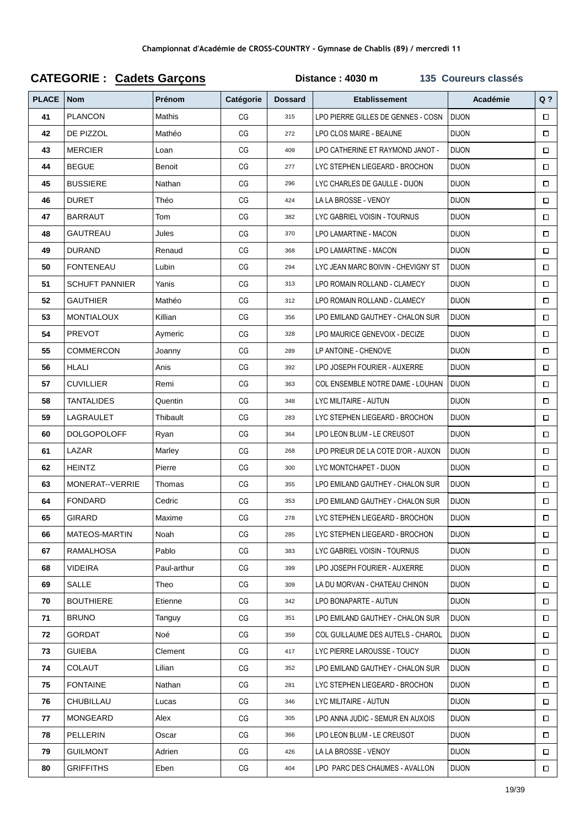| <b>PLACE</b> | <b>Nom</b>            | Prénom      | Catégorie | <b>Dossard</b> | <b>Etablissement</b>               | Académie     | $Q$ ?  |
|--------------|-----------------------|-------------|-----------|----------------|------------------------------------|--------------|--------|
| 41           | <b>PLANCON</b>        | Mathis      | CG        | 315            | LPO PIERRE GILLES DE GENNES - COSN | <b>DIJON</b> | $\Box$ |
| 42           | DE PIZZOL             | Mathéo      | CG        | 272            | LPO CLOS MAIRE - BEAUNE            | <b>DIJON</b> | $\Box$ |
| 43           | <b>MERCIER</b>        | Loan        | CG        | 409            | LPO CATHERINE ET RAYMOND JANOT -   | <b>DIJON</b> | $\Box$ |
| 44           | <b>BEGUE</b>          | Benoit      | CG        | 277            | LYC STEPHEN LIEGEARD - BROCHON     | <b>DIJON</b> | $\Box$ |
| 45           | <b>BUSSIERE</b>       | Nathan      | CG        | 296            | LYC CHARLES DE GAULLE - DIJON      | <b>DIJON</b> | $\Box$ |
| 46           | <b>DURET</b>          | Théo        | CG        | 424            | LA LA BROSSE - VENOY               | <b>DIJON</b> | $\Box$ |
| 47           | <b>BARRAUT</b>        | Tom         | CG        | 382            | LYC GABRIEL VOISIN - TOURNUS       | <b>DIJON</b> | $\Box$ |
| 48           | GAUTREAU              | Jules       | CG        | 370            | LPO LAMARTINE - MACON              | <b>DIJON</b> | $\Box$ |
| 49           | <b>DURAND</b>         | Renaud      | CG        | 368            | LPO LAMARTINE - MACON              | <b>DIJON</b> | $\Box$ |
| 50           | <b>FONTENEAU</b>      | Lubin       | CG        | 294            | LYC JEAN MARC BOIVIN - CHEVIGNY ST | <b>DIJON</b> | $\Box$ |
| 51           | <b>SCHUFT PANNIER</b> | Yanis       | CG        | 313            | LPO ROMAIN ROLLAND - CLAMECY       | <b>DIJON</b> | $\Box$ |
| 52           | <b>GAUTHIER</b>       | Mathéo      | CG        | 312            | LPO ROMAIN ROLLAND - CLAMECY       | <b>DIJON</b> | $\Box$ |
| 53           | <b>MONTIALOUX</b>     | Killian     | CG        | 356            | LPO EMILAND GAUTHEY - CHALON SUR   | <b>DIJON</b> | $\Box$ |
| 54           | <b>PREVOT</b>         | Aymeric     | CG        | 328            | LPO MAURICE GENEVOIX - DECIZE      | <b>DIJON</b> | $\Box$ |
| 55           | <b>COMMERCON</b>      | Joanny      | CG        | 289            | LP ANTOINE - CHENOVE               | <b>DIJON</b> | $\Box$ |
| 56           | <b>HLALI</b>          | Anis        | CG        | 392            | LPO JOSEPH FOURIER - AUXERRE       | <b>DIJON</b> | $\Box$ |
| 57           | <b>CUVILLIER</b>      | Remi        | CG        | 363            | COL ENSEMBLE NOTRE DAME - LOUHAN   | <b>DIJON</b> | $\Box$ |
| 58           | <b>TANTALIDES</b>     | Quentin     | CG        | 348            | LYC MILITAIRE - AUTUN              | <b>DIJON</b> | $\Box$ |
| 59           | LAGRAULET             | Thibault    | CG        | 283            | LYC STEPHEN LIEGEARD - BROCHON     | <b>DIJON</b> | $\Box$ |
| 60           | <b>DOLGOPOLOFF</b>    | Ryan        | CG        | 364            | LPO LEON BLUM - LE CREUSOT         | <b>DIJON</b> | $\Box$ |
| 61           | LAZAR                 | Marley      | CG        | 268            | LPO PRIEUR DE LA COTE D'OR - AUXON | <b>DIJON</b> | $\Box$ |
| 62           | <b>HEINTZ</b>         | Pierre      | CG        | 300            | LYC MONTCHAPET - DIJON             | <b>DIJON</b> | $\Box$ |
| 63           | MONERAT--VERRIE       | Thomas      | CG        | 355            | LPO EMILAND GAUTHEY - CHALON SUR   | <b>DIJON</b> | $\Box$ |
| 64           | <b>FONDARD</b>        | Cedric      | CG        | 353            | LPO EMILAND GAUTHEY - CHALON SUR   | <b>DIJON</b> | $\Box$ |
| 65           | GIRARD                | Maxime      | CG        | 278            | LYC STEPHEN LIEGEARD - BROCHON     | <b>DIJON</b> | $\Box$ |
| 66           | MATEOS-MARTIN         | Noah        | CG        | 285            | LYC STEPHEN LIEGEARD - BROCHON     | <b>DIJON</b> | $\Box$ |
| 67           | <b>RAMALHOSA</b>      | Pablo       | CG        | 383            | LYC GABRIEL VOISIN - TOURNUS       | <b>DIJON</b> | $\Box$ |
| 68           | VIDEIRA               | Paul-arthur | CG        | 399            | LPO JOSEPH FOURIER - AUXERRE       | <b>DIJON</b> | $\Box$ |
| 69           | SALLE                 | Theo        | CG        | 309            | LA DU MORVAN - CHATEAU CHINON      | <b>DIJON</b> | $\Box$ |
| 70           | <b>BOUTHIERE</b>      | Etienne     | CG        | 342            | LPO BONAPARTE - AUTUN              | <b>DIJON</b> | $\Box$ |
| 71           | <b>BRUNO</b>          | Tanguy      | CG        | 351            | LPO EMILAND GAUTHEY - CHALON SUR   | <b>DIJON</b> | $\Box$ |
| 72           | GORDAT                | Noé         | CG        | 359            | COL GUILLAUME DES AUTELS - CHAROL  | <b>DIJON</b> | $\Box$ |
| 73           | <b>GUIEBA</b>         | Clement     | CG        | 417            | LYC PIERRE LAROUSSE - TOUCY        | <b>DIJON</b> | $\Box$ |
| 74           | COLAUT                | Lilian      | CG        | 352            | LPO EMILAND GAUTHEY - CHALON SUR   | <b>DIJON</b> | $\Box$ |
| 75           | <b>FONTAINE</b>       | Nathan      | CG        | 281            | LYC STEPHEN LIEGEARD - BROCHON     | <b>DIJON</b> | $\Box$ |
| 76           | CHUBILLAU             | Lucas       | CG        | 346            | LYC MILITAIRE - AUTUN              | <b>DIJON</b> | $\Box$ |
| 77           | MONGEARD              | Alex        | CG        | 305            | LPO ANNA JUDIC - SEMUR EN AUXOIS   | <b>DIJON</b> | $\Box$ |
| 78           | PELLERIN              | Oscar       | CG        | 366            | LPO LEON BLUM - LE CREUSOT         | <b>DIJON</b> | $\Box$ |
| 79           | <b>GUILMONT</b>       | Adrien      | CG        | 426            | LA LA BROSSE - VENOY               | <b>DIJON</b> | $\Box$ |
| 80           | <b>GRIFFITHS</b>      | Eben        | CG        | 404            | LPO PARC DES CHAUMES - AVALLON     | <b>DIJON</b> | $\Box$ |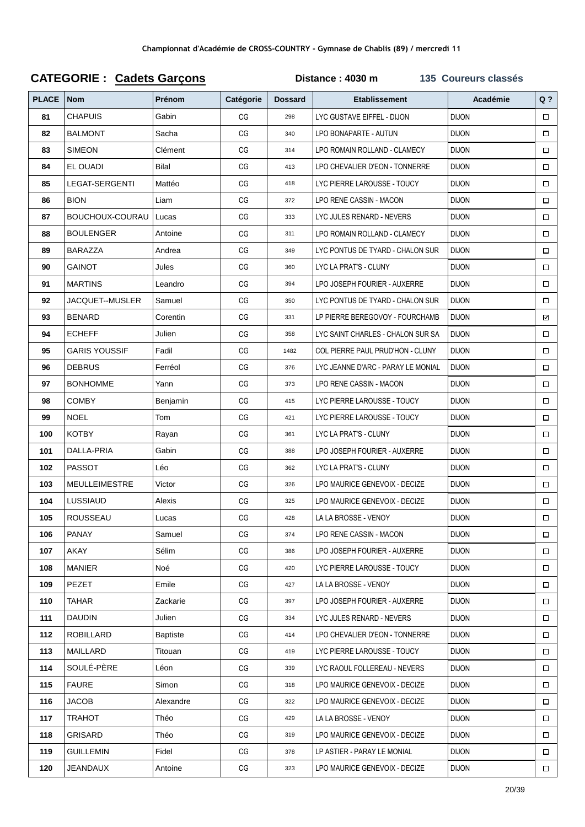| <b>PLACE</b> | <b>Nom</b>            | Prénom          | Catégorie | <b>Dossard</b> | <b>Etablissement</b>               | Académie     | $Q$ ?  |
|--------------|-----------------------|-----------------|-----------|----------------|------------------------------------|--------------|--------|
| 81           | <b>CHAPUIS</b>        | Gabin           | CG        | 298            | LYC GUSTAVE EIFFEL - DIJON         | <b>DIJON</b> | $\Box$ |
| 82           | <b>BALMONT</b>        | Sacha           | CG        | 340            | LPO BONAPARTE - AUTUN              | <b>DIJON</b> | $\Box$ |
| 83           | <b>SIMEON</b>         | Clément         | CG        | 314            | LPO ROMAIN ROLLAND - CLAMECY       | <b>DIJON</b> | $\Box$ |
| 84           | EL OUADI              | <b>Bilal</b>    | CG        | 413            | LPO CHEVALIER D'EON - TONNERRE     | <b>DIJON</b> | $\Box$ |
| 85           | <b>LEGAT-SERGENTI</b> | Mattéo          | CG        | 418            | LYC PIERRE LAROUSSE - TOUCY        | <b>DIJON</b> | $\Box$ |
| 86           | <b>BION</b>           | Liam            | CG        | 372            | LPO RENE CASSIN - MACON            | <b>DIJON</b> | $\Box$ |
| 87           | BOUCHOUX-COURAU       | Lucas           | CG        | 333            | LYC JULES RENARD - NEVERS          | <b>DIJON</b> | $\Box$ |
| 88           | <b>BOULENGER</b>      | Antoine         | CG        | 311            | LPO ROMAIN ROLLAND - CLAMECY       | <b>DIJON</b> | $\Box$ |
| 89           | <b>BARAZZA</b>        | Andrea          | CG        | 349            | LYC PONTUS DE TYARD - CHALON SUR   | <b>DIJON</b> | $\Box$ |
| 90           | <b>GAINOT</b>         | Jules           | CG        | 360            | LYC LA PRAT'S - CLUNY              | <b>DIJON</b> | $\Box$ |
| 91           | <b>MARTINS</b>        | Leandro         | CG        | 394            | LPO JOSEPH FOURIER - AUXERRE       | <b>DIJON</b> | $\Box$ |
| 92           | JACQUET--MUSLER       | Samuel          | CG        | 350            | LYC PONTUS DE TYARD - CHALON SUR   | <b>DIJON</b> | $\Box$ |
| 93           | <b>BENARD</b>         | Corentin        | CG        | 331            | LP PIERRE BEREGOVOY - FOURCHAMB    | <b>DIJON</b> | N      |
| 94           | <b>ECHEFF</b>         | Julien          | CG        | 358            | LYC SAINT CHARLES - CHALON SUR SA  | <b>DIJON</b> | $\Box$ |
| 95           | <b>GARIS YOUSSIF</b>  | Fadil           | CG        | 1482           | COL PIERRE PAUL PRUD'HON - CLUNY   | <b>DIJON</b> | $\Box$ |
| 96           | <b>DEBRUS</b>         | Ferréol         | CG        | 376            | LYC JEANNE D'ARC - PARAY LE MONIAL | <b>DIJON</b> | $\Box$ |
| 97           | <b>BONHOMME</b>       | Yann            | CG        | 373            | LPO RENE CASSIN - MACON            | <b>DIJON</b> | $\Box$ |
| 98           | <b>COMBY</b>          | Benjamin        | CG        | 415            | LYC PIERRE LAROUSSE - TOUCY        | <b>DIJON</b> | $\Box$ |
| 99           | <b>NOEL</b>           | Tom             | CG        | 421            | LYC PIERRE LAROUSSE - TOUCY        | <b>DIJON</b> | $\Box$ |
| 100          | <b>KOTBY</b>          | Rayan           | CG        | 361            | LYC LA PRAT'S - CLUNY              | <b>DIJON</b> | $\Box$ |
| 101          | DALLA-PRIA            | Gabin           | CG        | 388            | LPO JOSEPH FOURIER - AUXERRE       | <b>DIJON</b> | $\Box$ |
| 102          | <b>PASSOT</b>         | Léo             | CG        | 362            | LYC LA PRAT'S - CLUNY              | <b>DIJON</b> | $\Box$ |
| 103          | <b>MEULLEIMESTRE</b>  | Victor          | CG        | 326            | LPO MAURICE GENEVOIX - DECIZE      | <b>DIJON</b> | $\Box$ |
| 104          | LUSSIAUD              | Alexis          | CG        | 325            | LPO MAURICE GENEVOIX - DECIZE      | <b>DIJON</b> | $\Box$ |
| 105          | <b>ROUSSEAU</b>       | Lucas           | CG        | 428            | LA LA BROSSE - VENOY               | <b>DIJON</b> | $\Box$ |
| 106          | <b>PANAY</b>          | Samuel          | CG        | 374            | LPO RENE CASSIN - MACON            | <b>DIJON</b> | $\Box$ |
| 107          | AKAY                  | Sélim           | CG        | 386            | LPO JOSEPH FOURIER - AUXERRE       | <b>DIJON</b> | $\Box$ |
| 108          | MANIER                | Noé             | CG        | 420            | LYC PIERRE LAROUSSE - TOUCY        | <b>DIJON</b> | $\Box$ |
| 109          | PEZET                 | Emile           | CG        | 427            | LA LA BROSSE - VENOY               | <b>DIJON</b> | $\Box$ |
| 110          | TAHAR                 | Zackarie        | CG        | 397            | LPO JOSEPH FOURIER - AUXERRE       | <b>DIJON</b> | $\Box$ |
| 111          | <b>DAUDIN</b>         | Julien          | CG        | 334            | LYC JULES RENARD - NEVERS          | <b>DIJON</b> | $\Box$ |
| 112          | ROBILLARD             | <b>Baptiste</b> | CG        | 414            | LPO CHEVALIER D'EON - TONNERRE     | <b>DIJON</b> | $\Box$ |
| 113          | MAILLARD              | Titouan         | CG        | 419            | LYC PIERRE LAROUSSE - TOUCY        | <b>DIJON</b> | $\Box$ |
| 114          | SOULÉ-PÈRE            | Léon            | CG        | 339            | LYC RAOUL FOLLEREAU - NEVERS       | <b>DIJON</b> | $\Box$ |
| 115          | <b>FAURE</b>          | Simon           | CG        | 318            | LPO MAURICE GENEVOIX - DECIZE      | <b>DIJON</b> | $\Box$ |
| 116          | <b>JACOB</b>          | Alexandre       | CG        | 322            | LPO MAURICE GENEVOIX - DECIZE      | <b>DIJON</b> | $\Box$ |
| 117          | TRAHOT                | Théo            | CG        | 429            | LA LA BROSSE - VENOY               | <b>DIJON</b> | $\Box$ |
| 118          | GRISARD               | Théo            | CG        | 319            | LPO MAURICE GENEVOIX - DECIZE      | <b>DIJON</b> | $\Box$ |
| 119          | <b>GUILLEMIN</b>      | Fidel           | CG        | 378            | LP ASTIER - PARAY LE MONIAL        | <b>DIJON</b> | $\Box$ |
| 120          | JEANDAUX              | Antoine         | CG        | 323            | LPO MAURICE GENEVOIX - DECIZE      | <b>DIJON</b> | $\Box$ |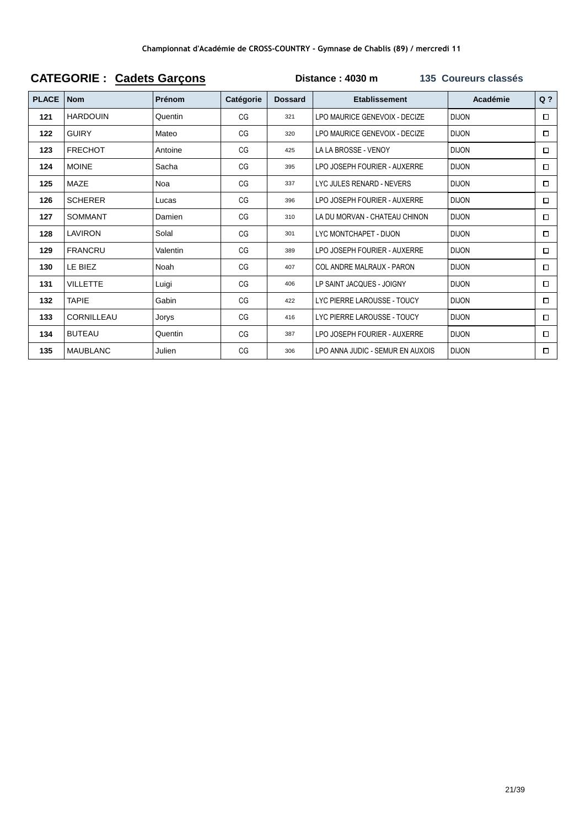|              |                 | <b>PARALLE DAILY</b> |           |                |                                  |              |        |
|--------------|-----------------|----------------------|-----------|----------------|----------------------------------|--------------|--------|
| <b>PLACE</b> | <b>Nom</b>      | <b>Prénom</b>        | Catégorie | <b>Dossard</b> | <b>Etablissement</b>             | Académie     | $Q$ ?  |
| 121          | <b>HARDOUIN</b> | Quentin              | CG        | 321            | LPO MAURICE GENEVOIX - DECIZE    | <b>DIJON</b> | □      |
| 122          | <b>GUIRY</b>    | Mateo                | CG        | 320            | LPO MAURICE GENEVOIX - DECIZE    | <b>DIJON</b> | □      |
| 123          | <b>FRECHOT</b>  | Antoine              | CG        | 425            | LA LA BROSSE - VENOY             | <b>DIJON</b> | $\Box$ |
| 124          | <b>MOINE</b>    | Sacha                | CG        | 395            | LPO JOSEPH FOURIER - AUXERRE     | <b>DIJON</b> | □      |
| 125          | MAZE            | Noa                  | CG        | 337            | LYC JULES RENARD - NEVERS        | <b>DIJON</b> | □      |
| 126          | <b>SCHERER</b>  | Lucas                | CG        | 396            | LPO JOSEPH FOURIER - AUXERRE     | <b>DIJON</b> | $\Box$ |
| 127          | <b>SOMMANT</b>  | Damien               | CG        | 310            | LA DU MORVAN - CHATEAU CHINON    | <b>DIJON</b> | □      |
| 128          | <b>LAVIRON</b>  | Solal                | CG        | 301            | LYC MONTCHAPET - DIJON           | <b>DIJON</b> | $\Box$ |
| 129          | <b>FRANCRU</b>  | Valentin             | CG        | 389            | LPO JOSEPH FOURIER - AUXERRE     | <b>DIJON</b> | $\Box$ |
| 130          | LE BIEZ         | Noah                 | CG        | 407            | COL ANDRE MALRAUX - PARON        | <b>DIJON</b> | □      |
| 131          | <b>VILLETTE</b> | Luigi                | CG        | 406            | LP SAINT JACQUES - JOIGNY        | <b>DIJON</b> | $\Box$ |
| 132          | TAPIE           | Gabin                | CG        | 422            | LYC PIERRE LAROUSSE - TOUCY      | <b>DIJON</b> | □      |
| 133          | CORNILLEAU      | Jorys                | CG        | 416            | LYC PIERRE LAROUSSE - TOUCY      | <b>DIJON</b> | $\Box$ |
| 134          | <b>BUTEAU</b>   | Quentin              | CG        | 387            | LPO JOSEPH FOURIER - AUXERRE     | <b>DIJON</b> | $\Box$ |
| 135          | <b>MAUBLANC</b> | Julien               | CG        | 306            | LPO ANNA JUDIC - SEMUR EN AUXOIS | <b>DIJON</b> | □      |
|              |                 |                      |           |                |                                  |              |        |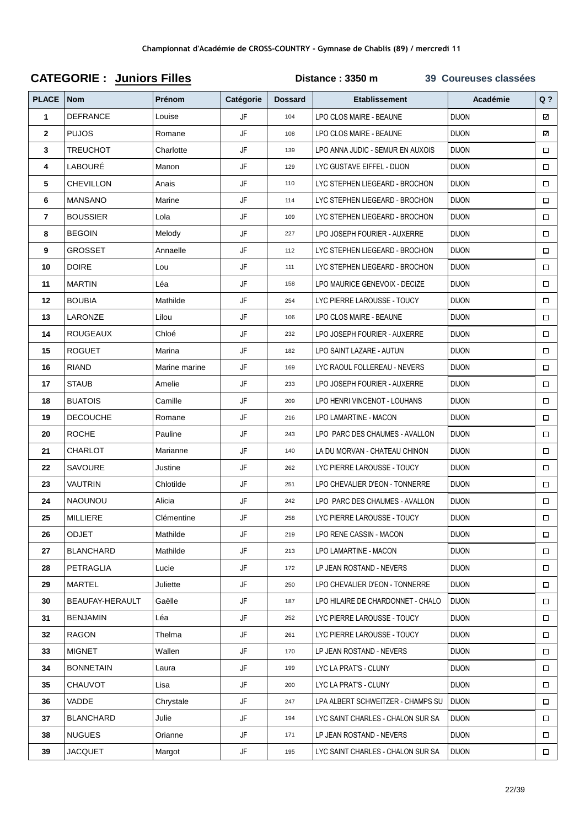|                |                  | -------- - ---- - |           |                |                                   |              |        |
|----------------|------------------|-------------------|-----------|----------------|-----------------------------------|--------------|--------|
| <b>PLACE</b>   | <b>Nom</b>       | Prénom            | Catégorie | <b>Dossard</b> | <b>Etablissement</b>              | Académie     | $Q$ ?  |
| 1              | <b>DEFRANCE</b>  | Louise            | JF        | 104            | LPO CLOS MAIRE - BEAUNE           | <b>DIJON</b> | ⊠      |
| $\mathbf{2}$   | <b>PUJOS</b>     | Romane            | JF        | 108            | LPO CLOS MAIRE - BEAUNE           | <b>DIJON</b> | ⊠      |
| 3              | TREUCHOT         | Charlotte         | JF        | 139            | LPO ANNA JUDIC - SEMUR EN AUXOIS  | <b>DIJON</b> | $\Box$ |
| 4              | LABOURÉ          | Manon             | JF        | 129            | LYC GUSTAVE EIFFEL - DIJON        | <b>DIJON</b> | $\Box$ |
| 5              | CHEVILLON        | Anais             | JF        | 110            | LYC STEPHEN LIEGEARD - BROCHON    | <b>DIJON</b> | $\Box$ |
| 6              | <b>MANSANO</b>   | Marine            | JF        | 114            | LYC STEPHEN LIEGEARD - BROCHON    | <b>DIJON</b> | $\Box$ |
| $\overline{7}$ | <b>BOUSSIER</b>  | Lola              | JF        | 109            | LYC STEPHEN LIEGEARD - BROCHON    | <b>DIJON</b> | $\Box$ |
| 8              | <b>BEGOIN</b>    | Melody            | JF        | 227            | LPO JOSEPH FOURIER - AUXERRE      | <b>DIJON</b> | $\Box$ |
| 9              | GROSSET          | Annaelle          | JF        | 112            | LYC STEPHEN LIEGEARD - BROCHON    | <b>DIJON</b> | $\Box$ |
| 10             | <b>DOIRE</b>     | Lou               | JF        | 111            | LYC STEPHEN LIEGEARD - BROCHON    | <b>DIJON</b> | Π      |
| 11             | <b>MARTIN</b>    | Léa               | JF        | 158            | LPO MAURICE GENEVOIX - DECIZE     | <b>DIJON</b> | $\Box$ |
| 12             | <b>BOUBIA</b>    | Mathilde          | JF        | 254            | LYC PIERRE LAROUSSE - TOUCY       | <b>DIJON</b> | $\Box$ |
| 13             | LARONZE          | Lilou             | JF        | 106            | LPO CLOS MAIRE - BEAUNE           | <b>DIJON</b> | $\Box$ |
| 14             | <b>ROUGEAUX</b>  | Chloé             | JF        | 232            | LPO JOSEPH FOURIER - AUXERRE      | <b>DIJON</b> | $\Box$ |
| 15             | <b>ROGUET</b>    | Marina            | JF        | 182            | LPO SAINT LAZARE - AUTUN          | <b>DIJON</b> | $\Box$ |
| 16             | <b>RIAND</b>     | Marine marine     | JF        | 169            | LYC RAOUL FOLLEREAU - NEVERS      | <b>DIJON</b> | $\Box$ |
| 17             | STAUB            | Amelie            | JF        | 233            | LPO JOSEPH FOURIER - AUXERRE      | <b>DIJON</b> | $\Box$ |
| 18             | <b>BUATOIS</b>   | Camille           | JF        | 209            | LPO HENRI VINCENOT - LOUHANS      | <b>DIJON</b> | $\Box$ |
| 19             | <b>DECOUCHE</b>  | Romane            | JF        | 216            | LPO LAMARTINE - MACON             | <b>DIJON</b> | $\Box$ |
| 20             | <b>ROCHE</b>     | Pauline           | JF        | 243            | LPO PARC DES CHAUMES - AVALLON    | <b>DIJON</b> | $\Box$ |
| 21             | CHARLOT          | Marianne          | JF        | 140            | LA DU MORVAN - CHATEAU CHINON     | <b>DIJON</b> | $\Box$ |
| 22             | SAVOURE          | Justine           | JF        | 262            | LYC PIERRE LAROUSSE - TOUCY       | <b>DIJON</b> | □      |
| 23             | VAUTRIN          | Chlotilde         | JF        | 251            | LPO CHEVALIER D'EON - TONNERRE    | <b>DIJON</b> | $\Box$ |
| 24             | <b>NAOUNOU</b>   | Alicia            | JF        | 242            | LPO PARC DES CHAUMES - AVALLON    | <b>DIJON</b> | $\Box$ |
| 25             | <b>MILLIERE</b>  | Clémentine        | JF        | 258            | LYC PIERRE LAROUSSE - TOUCY       | <b>DIJON</b> | $\Box$ |
| 26             | <b>ODJET</b>     | Mathilde          | JF        | 219            | LPO RENE CASSIN - MACON           | <b>DIJON</b> | $\Box$ |
| 27             | <b>BLANCHARD</b> | Mathilde          | JF        | 213            | LPO LAMARTINE - MACON             | <b>DIJON</b> | $\Box$ |
| 28             | PETRAGLIA        | Lucie             | JF        | 172            | LP JEAN ROSTAND - NEVERS          | <b>DIJON</b> | $\Box$ |
| 29             | MARTEL           | Juliette          | JF        | 250            | LPO CHEVALIER D'EON - TONNERRE    | <b>DIJON</b> | $\Box$ |
| 30             | BEAUFAY-HERAULT  | Gaëlle            | JF        | 187            | LPO HILAIRE DE CHARDONNET - CHALO | <b>DIJON</b> | $\Box$ |
| 31             | <b>BENJAMIN</b>  | Léa               | JF        | 252            | LYC PIERRE LAROUSSE - TOUCY       | <b>DIJON</b> | $\Box$ |
| 32             | <b>RAGON</b>     | Thelma            | JF        | 261            | LYC PIERRE LAROUSSE - TOUCY       | <b>DIJON</b> | $\Box$ |
| 33             | <b>MIGNET</b>    | Wallen            | JF        | 170            | LP JEAN ROSTAND - NEVERS          | <b>DIJON</b> | $\Box$ |
| 34             | <b>BONNETAIN</b> | Laura             | JF        | 199            | LYC LA PRAT'S - CLUNY             | <b>DIJON</b> | Π      |
| 35             | <b>CHAUVOT</b>   | Lisa              | JF        | 200            | LYC LA PRAT'S - CLUNY             | <b>DIJON</b> | $\Box$ |
| 36             | VADDE            | Chrystale         | JF        | 247            | LPA ALBERT SCHWEITZER - CHAMPS SU | <b>DIJON</b> | $\Box$ |
| 37             | <b>BLANCHARD</b> | Julie             | JF        | 194            | LYC SAINT CHARLES - CHALON SUR SA | <b>DIJON</b> | $\Box$ |
| 38             | <b>NUGUES</b>    | Orianne           | JF        | 171            | LP JEAN ROSTAND - NEVERS          | <b>DIJON</b> | $\Box$ |
| 39             | <b>JACQUET</b>   | Margot            | JF        | 195            | LYC SAINT CHARLES - CHALON SUR SA | <b>DIJON</b> | $\Box$ |

## **CATEGORIE : Juniors Filles Distance : 3350 m 39 Coureuses classées**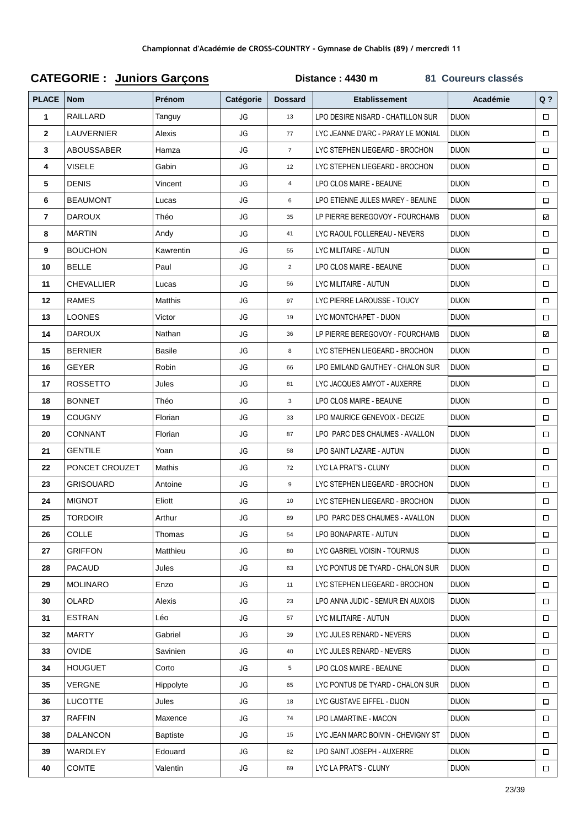| <b>PLACE</b> | <b>Nom</b>        | Prénom          | Catégorie | <b>Dossard</b> | <b>Etablissement</b>               | <b>Académie</b> | $Q$ ?  |
|--------------|-------------------|-----------------|-----------|----------------|------------------------------------|-----------------|--------|
| 1            | <b>RAILLARD</b>   | Tanguy          | JG        | 13             | LPO DESIRE NISARD - CHATILLON SUR  | <b>DIJON</b>    | $\Box$ |
| $\mathbf{2}$ | LAUVERNIER        | Alexis          | JG        | 77             | LYC JEANNE D'ARC - PARAY LE MONIAL | <b>DIJON</b>    | $\Box$ |
| 3            | ABOUSSABER        | Hamza           | JG        | $\overline{7}$ | LYC STEPHEN LIEGEARD - BROCHON     | <b>DIJON</b>    | $\Box$ |
| 4            | <b>VISELE</b>     | Gabin           | JG        | 12             | LYC STEPHEN LIEGEARD - BROCHON     | <b>DIJON</b>    | $\Box$ |
| 5            | <b>DENIS</b>      | Vincent         | JG        | $\overline{4}$ | LPO CLOS MAIRE - BEAUNE            | <b>DIJON</b>    | $\Box$ |
| 6            | <b>BEAUMONT</b>   | Lucas           | JG        | 6              | LPO ETIENNE JULES MAREY - BEAUNE   | <b>DIJON</b>    | $\Box$ |
| 7            | <b>DAROUX</b>     | Théo            | JG        | 35             | LP PIERRE BEREGOVOY - FOURCHAMB    | <b>DIJON</b>    | ⊡      |
| 8            | <b>MARTIN</b>     | Andy            | JG        | 41             | LYC RAOUL FOLLEREAU - NEVERS       | <b>DIJON</b>    | $\Box$ |
| 9            | <b>BOUCHON</b>    | Kawrentin       | JG        | 55             | LYC MILITAIRE - AUTUN              | <b>DIJON</b>    | $\Box$ |
| 10           | <b>BELLE</b>      | Paul            | JG        | $\overline{2}$ | LPO CLOS MAIRE - BEAUNE            | <b>DIJON</b>    | $\Box$ |
| 11           | <b>CHEVALLIER</b> | Lucas           | JG        | 56             | LYC MILITAIRE - AUTUN              | <b>DIJON</b>    | $\Box$ |
| 12           | <b>RAMES</b>      | Matthis         | JG        | 97             | LYC PIERRE LAROUSSE - TOUCY        | <b>DIJON</b>    | $\Box$ |
| 13           | <b>LOONES</b>     | Victor          | JG        | 19             | LYC MONTCHAPET - DIJON             | <b>DIJON</b>    | $\Box$ |
| 14           | <b>DAROUX</b>     | Nathan          | JG        | 36             | LP PIERRE BEREGOVOY - FOURCHAMB    | <b>DIJON</b>    | ⊠      |
| 15           | <b>BERNIER</b>    | <b>Basile</b>   | JG        | 8              | LYC STEPHEN LIEGEARD - BROCHON     | <b>DIJON</b>    | $\Box$ |
| 16           | <b>GEYER</b>      | Robin           | JG        | 66             | LPO EMILAND GAUTHEY - CHALON SUR   | <b>DIJON</b>    | $\Box$ |
| 17           | <b>ROSSETTO</b>   | Jules           | JG        | 81             | LYC JACQUES AMYOT - AUXERRE        | <b>DIJON</b>    | $\Box$ |
| 18           | <b>BONNET</b>     | Théo            | JG        | 3              | LPO CLOS MAIRE - BEAUNE            | <b>DIJON</b>    | $\Box$ |
| 19           | <b>COUGNY</b>     | Florian         | JG        | 33             | LPO MAURICE GENEVOIX - DECIZE      | <b>DIJON</b>    | $\Box$ |
| 20           | <b>CONNANT</b>    | Florian         | JG        | 87             | LPO PARC DES CHAUMES - AVALLON     | <b>DIJON</b>    | $\Box$ |
| 21           | <b>GENTILE</b>    | Yoan            | JG        | 58             | LPO SAINT LAZARE - AUTUN           | <b>DIJON</b>    | $\Box$ |
| 22           | PONCET CROUZET    | Mathis          | JG        | 72             | LYC LA PRAT'S - CLUNY              | <b>DIJON</b>    | $\Box$ |
| 23           | <b>GRISOUARD</b>  | Antoine         | JG        | 9              | LYC STEPHEN LIEGEARD - BROCHON     | <b>DIJON</b>    | $\Box$ |
| 24           | <b>MIGNOT</b>     | Eliott          | JG        | 10             | LYC STEPHEN LIEGEARD - BROCHON     | <b>DIJON</b>    | $\Box$ |
| 25           | <b>TORDOIR</b>    | Arthur          | JG        | 89             | LPO PARC DES CHAUMES - AVALLON     | <b>DIJON</b>    | $\Box$ |
| 26           | <b>COLLE</b>      | Thomas          | JG        | 54             | LPO BONAPARTE - AUTUN              | <b>DIJON</b>    | $\Box$ |
| 27           | <b>GRIFFON</b>    | Matthieu        | JG        | 80             | LYC GABRIEL VOISIN - TOURNUS       | <b>DIJON</b>    | $\Box$ |
| 28           | <b>PACAUD</b>     | Jules           | JG        | 63             | LYC PONTUS DE TYARD - CHALON SUR   | <b>DIJON</b>    | $\Box$ |
| 29           | <b>MOLINARO</b>   | Enzo            | JG        | 11             | LYC STEPHEN LIEGEARD - BROCHON     | <b>DIJON</b>    | $\Box$ |
| 30           | <b>OLARD</b>      | Alexis          | JG        | 23             | LPO ANNA JUDIC - SEMUR EN AUXOIS   | <b>DIJON</b>    | $\Box$ |
| 31           | <b>ESTRAN</b>     | Léo             | JG        | 57             | LYC MILITAIRE - AUTUN              | <b>DIJON</b>    | $\Box$ |
| 32           | <b>MARTY</b>      | Gabriel         | JG        | 39             | LYC JULES RENARD - NEVERS          | <b>DIJON</b>    | $\Box$ |
| 33           | <b>OVIDE</b>      | Savinien        | JG        | 40             | LYC JULES RENARD - NEVERS          | <b>DIJON</b>    | $\Box$ |
| 34           | <b>HOUGUET</b>    | Corto           | JG        | 5              | LPO CLOS MAIRE - BEAUNE            | <b>DIJON</b>    | $\Box$ |
| 35           | <b>VERGNE</b>     | Hippolyte       | JG        | 65             | LYC PONTUS DE TYARD - CHALON SUR   | <b>DIJON</b>    | $\Box$ |
| 36           | <b>LUCOTTE</b>    | Jules           | JG        | 18             | LYC GUSTAVE EIFFEL - DIJON         | <b>DIJON</b>    | $\Box$ |
| 37           | <b>RAFFIN</b>     | Maxence         | JG        | 74             | LPO LAMARTINE - MACON              | <b>DIJON</b>    | $\Box$ |
| 38           | <b>DALANCON</b>   | <b>Baptiste</b> | JG        | 15             | LYC JEAN MARC BOIVIN - CHEVIGNY ST | <b>DIJON</b>    | $\Box$ |
| 39           | WARDLEY           | Edouard         | JG        | 82             | LPO SAINT JOSEPH - AUXERRE         | <b>DIJON</b>    | $\Box$ |
| 40           | <b>COMTE</b>      | Valentin        | JG        | 69             | LYC LA PRAT'S - CLUNY              | <b>DIJON</b>    | $\Box$ |

## **CATEGORIE : Juniors Garçons Distance : 4430 m 81 Coureurs classés**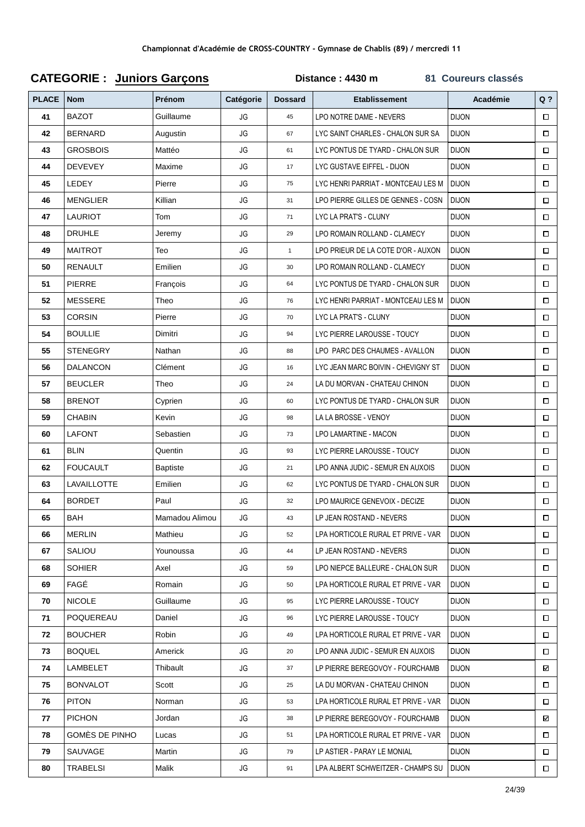| <b>PLACE</b> | <b>Nom</b>      | Prénom          | Catégorie | <b>Dossard</b> | <b>Etablissement</b>                      | Académie     | $Q$ ?  |
|--------------|-----------------|-----------------|-----------|----------------|-------------------------------------------|--------------|--------|
| 41           | <b>BAZOT</b>    | Guillaume       | JG        | 45             | LPO NOTRE DAME - NEVERS                   | <b>DIJON</b> | $\Box$ |
| 42           | <b>BERNARD</b>  | Augustin        | JG        | 67             | LYC SAINT CHARLES - CHALON SUR SA         | <b>DIJON</b> | $\Box$ |
| 43           | <b>GROSBOIS</b> | Mattéo          | JG        | 61             | LYC PONTUS DE TYARD - CHALON SUR          | <b>DIJON</b> | $\Box$ |
| 44           | <b>DEVEVEY</b>  | Maxime          | JG        | 17             | LYC GUSTAVE EIFFEL - DIJON                | <b>DIJON</b> | $\Box$ |
| 45           | LEDEY           | Pierre          | JG        | 75             | LYC HENRI PARRIAT - MONTCEAU LES M        | <b>DIJON</b> | $\Box$ |
| 46           | <b>MENGLIER</b> | Killian         | JG        | 31             | LPO PIERRE GILLES DE GENNES - COSN        | <b>DIJON</b> | $\Box$ |
| 47           | <b>LAURIOT</b>  | Tom             | JG        | 71             | LYC LA PRAT'S - CLUNY                     | <b>DIJON</b> | $\Box$ |
| 48           | <b>DRUHLE</b>   | Jeremy          | JG        | 29             | LPO ROMAIN ROLLAND - CLAMECY              | <b>DIJON</b> | $\Box$ |
| 49           | <b>MAITROT</b>  | Teo             | JG        | $\mathbf{1}$   | LPO PRIEUR DE LA COTE D'OR - AUXON        | <b>DIJON</b> | $\Box$ |
| 50           | <b>RENAULT</b>  | Emilien         | JG        | 30             | LPO ROMAIN ROLLAND - CLAMECY              | <b>DIJON</b> | $\Box$ |
| 51           | <b>PIERRE</b>   | François        | JG        | 64             | LYC PONTUS DE TYARD - CHALON SUR          | <b>DIJON</b> | $\Box$ |
| 52           | <b>MESSERE</b>  | Theo            | JG        | 76             | LYC HENRI PARRIAT - MONTCEAU LES M        | <b>DIJON</b> | $\Box$ |
| 53           | <b>CORSIN</b>   | Pierre          | JG        | 70             | LYC LA PRAT'S - CLUNY                     | <b>DIJON</b> | $\Box$ |
| 54           | <b>BOULLIE</b>  | Dimitri         | JG        | 94             | LYC PIERRE LAROUSSE - TOUCY               | <b>DIJON</b> | $\Box$ |
| 55           | <b>STENEGRY</b> | Nathan          | JG        | 88             | LPO PARC DES CHAUMES - AVALLON            | <b>DIJON</b> | $\Box$ |
| 56           | <b>DALANCON</b> | Clément         | JG        | 16             | LYC JEAN MARC BOIVIN - CHEVIGNY ST        | <b>DIJON</b> | $\Box$ |
| 57           | <b>BEUCLER</b>  | Theo            | JG        | 24             | LA DU MORVAN - CHATEAU CHINON             | <b>DIJON</b> | $\Box$ |
| 58           | <b>BRENOT</b>   | Cyprien         | JG        | 60             | LYC PONTUS DE TYARD - CHALON SUR          | <b>DIJON</b> | $\Box$ |
| 59           | <b>CHABIN</b>   | Kevin           | JG        | 98             | LA LA BROSSE - VENOY                      | <b>DIJON</b> | $\Box$ |
| 60           | <b>LAFONT</b>   | Sebastien       | JG        | 73             | LPO LAMARTINE - MACON                     | <b>DIJON</b> | $\Box$ |
| 61           | <b>BLIN</b>     | Quentin         | JG        | 93             | LYC PIERRE LAROUSSE - TOUCY               | <b>DIJON</b> | $\Box$ |
| 62           | <b>FOUCAULT</b> | <b>Baptiste</b> | JG        | 21             | LPO ANNA JUDIC - SEMUR EN AUXOIS          | <b>DIJON</b> | $\Box$ |
| 63           | LAVAILLOTTE     | Emilien         | JG        | 62             | LYC PONTUS DE TYARD - CHALON SUR          | <b>DIJON</b> | $\Box$ |
| 64           | <b>BORDET</b>   | Paul            | JG        | 32             | LPO MAURICE GENEVOIX - DECIZE             | <b>DIJON</b> | $\Box$ |
| 65           | <b>BAH</b>      | Mamadou Alimou  | JG        | 43             | LP JEAN ROSTAND - NEVERS                  | <b>DIJON</b> | □      |
| 66           | <b>MERLIN</b>   | Mathieu         | JG        | 52             | LPA HORTICOLE RURAL ET PRIVE - VAR        | <b>DIJON</b> | $\Box$ |
| 67           | SALIOU          | Younoussa       | JG        | 44             | LP JEAN ROSTAND - NEVERS                  | <b>DIJON</b> | $\Box$ |
| 68           | <b>SOHIER</b>   | Axel            | JG        | 59             | LPO NIEPCE BALLEURE - CHALON SUR          | <b>DIJON</b> | $\Box$ |
| 69           | FAGÉ            | Romain          | JG        | 50             | LPA HORTICOLE RURAL ET PRIVE - VAR        | <b>DIJON</b> | $\Box$ |
| 70           | <b>NICOLE</b>   | Guillaume       | JG        | 95             | LYC PIERRE LAROUSSE - TOUCY               | <b>DIJON</b> | $\Box$ |
| 71           | POQUEREAU       | Daniel          | JG        | 96             | LYC PIERRE LAROUSSE - TOUCY               | <b>DIJON</b> | $\Box$ |
| 72           | <b>BOUCHER</b>  | Robin           | JG        | 49             | LPA HORTICOLE RURAL ET PRIVE - VAR        | <b>DIJON</b> | $\Box$ |
| 73           | <b>BOQUEL</b>   | Americk         | JG        | 20             | LPO ANNA JUDIC - SEMUR EN AUXOIS          | <b>DIJON</b> | $\Box$ |
| 74           | LAMBELET        | Thibault        | JG        | 37             | LP PIERRE BEREGOVOY - FOURCHAMB           | <b>DIJON</b> | ⊠      |
| 75           | <b>BONVALOT</b> | Scott           | JG        | 25             | LA DU MORVAN - CHATEAU CHINON             | <b>DIJON</b> | $\Box$ |
| 76           | <b>PITON</b>    | Norman          | JG        | 53             | LPA HORTICOLE RURAL ET PRIVE - VAR        | <b>DIJON</b> | $\Box$ |
| 77           | <b>PICHON</b>   | Jordan          | JG        | 38             | LP PIERRE BEREGOVOY - FOURCHAMB           | <b>DIJON</b> | ⊠      |
| 78           | GOMÈS DE PINHO  | Lucas           | JG        | 51             | LPA HORTICOLE RURAL ET PRIVE - VAR        | <b>DIJON</b> | $\Box$ |
| 79           | SAUVAGE         | Martin          | JG        | 79             | LP ASTIER - PARAY LE MONIAL               | <b>DIJON</b> | $\Box$ |
| 80           | <b>TRABELSI</b> | Malik           | JG        | 91             | LPA ALBERT SCHWEITZER - CHAMPS SU   DIJON |              | $\Box$ |

## **CATEGORIE : Juniors Garçons Distance : 4430 m 81 Coureurs classés**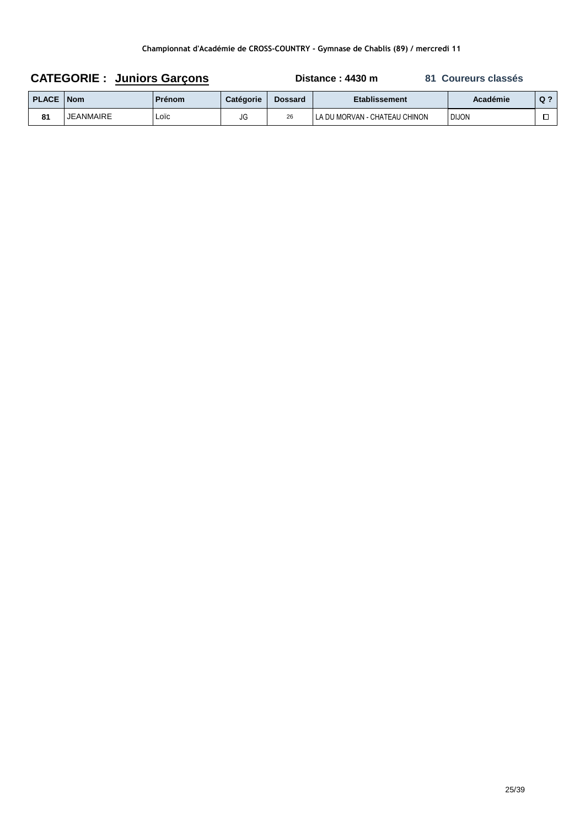| <b>CATEGORIE: Juniors Garcons</b> |                  |               |                  | Distance : 4430 m<br>81 Coureurs classés |                               |              |       |
|-----------------------------------|------------------|---------------|------------------|------------------------------------------|-------------------------------|--------------|-------|
| <b>PLACE   Nom</b>                |                  | <b>Prénom</b> | <b>Catégorie</b> | <b>Dossard</b>                           | Etablissement                 | Académie     | $Q$ ? |
| 81                                | <b>JEANMAIRE</b> | LOÏC          | JG               | 26                                       | LA DU MORVAN - CHATEAU CHINON | <b>DIJON</b> |       |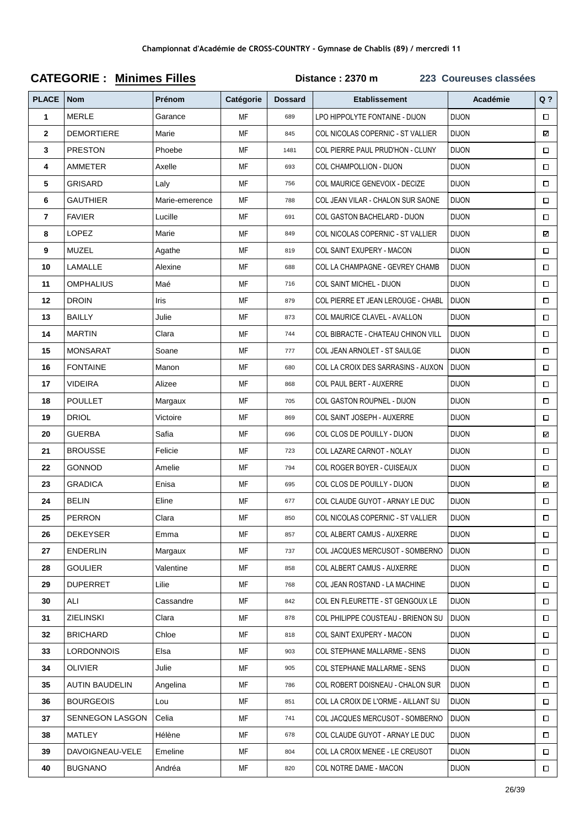| <b>PLACE</b> | <b>Nom</b>            | Prénom         | Catégorie | <b>Dossard</b> | <b>Etablissement</b>                 | Académie     | $Q$ ?  |
|--------------|-----------------------|----------------|-----------|----------------|--------------------------------------|--------------|--------|
| 1            | <b>MERLE</b>          | Garance        | MF        | 689            | LPO HIPPOLYTE FONTAINE - DIJON       | <b>DIJON</b> | $\Box$ |
| $\mathbf{2}$ | <b>DEMORTIERE</b>     | Marie          | МF        | 845            | COL NICOLAS COPERNIC - ST VALLIER    | <b>DIJON</b> | ☑      |
| 3            | <b>PRESTON</b>        | Phoebe         | MF        | 1481           | COL PIERRE PAUL PRUD'HON - CLUNY     | <b>DIJON</b> | $\Box$ |
| 4            | AMMETER               | Axelle         | MF        | 693            | COL CHAMPOLLION - DIJON              | <b>DIJON</b> | $\Box$ |
| 5            | <b>GRISARD</b>        | Laly           | MF        | 756            | <b>COL MAURICE GENEVOIX - DECIZE</b> | <b>DIJON</b> | $\Box$ |
| 6            | <b>GAUTHIER</b>       | Marie-emerence | МF        | 788            | COL JEAN VILAR - CHALON SUR SAONE    | <b>DIJON</b> | $\Box$ |
| 7            | <b>FAVIER</b>         | Lucille        | МF        | 691            | COL GASTON BACHELARD - DIJON         | <b>DIJON</b> | $\Box$ |
| 8            | <b>LOPEZ</b>          | Marie          | MF        | 849            | COL NICOLAS COPERNIC - ST VALLIER    | <b>DIJON</b> | ⊠      |
| 9            | MUZEL                 | Agathe         | MF        | 819            | COL SAINT EXUPERY - MACON            | <b>DIJON</b> | $\Box$ |
| 10           | LAMALLE               | Alexine        | MF        | 688            | COL LA CHAMPAGNE - GEVREY CHAMB      | <b>DIJON</b> | $\Box$ |
| 11           | <b>OMPHALIUS</b>      | Maé            | МF        | 716            | <b>COL SAINT MICHEL - DIJON</b>      | <b>DIJON</b> | $\Box$ |
| 12           | <b>DROIN</b>          | Iris           | МF        | 879            | COL PIERRE ET JEAN LEROUGE - CHABL   | <b>DIJON</b> | $\Box$ |
| 13           | <b>BAILLY</b>         | Julie          | МF        | 873            | COL MAURICE CLAVEL - AVALLON         | <b>DIJON</b> | $\Box$ |
| 14           | <b>MARTIN</b>         | Clara          | MF        | 744            | COL BIBRACTE - CHATEAU CHINON VILL   | <b>DIJON</b> | $\Box$ |
| 15           | <b>MONSARAT</b>       | Soane          | MF        | 777            | COL JEAN ARNOLET - ST SAULGE         | <b>DIJON</b> | $\Box$ |
| 16           | <b>FONTAINE</b>       | Manon          | MF        | 680            | COL LA CROIX DES SARRASINS - AUXON   | <b>DIJON</b> | $\Box$ |
| 17           | <b>VIDEIRA</b>        | Alizee         | МF        | 868            | COL PAUL BERT - AUXERRE              | <b>DIJON</b> | $\Box$ |
| 18           | <b>POULLET</b>        | Margaux        | МF        | 705            | COL GASTON ROUPNEL - DIJON           | <b>DIJON</b> | $\Box$ |
| 19           | <b>DRIOL</b>          | Victoire       | МF        | 869            | COL SAINT JOSEPH - AUXERRE           | <b>DIJON</b> | $\Box$ |
| 20           | <b>GUERBA</b>         | Safia          | MF        | 696            | COL CLOS DE POUILLY - DIJON          | <b>DIJON</b> | ⊠      |
| 21           | <b>BROUSSE</b>        | Felicie        | MF        | 723            | COL LAZARE CARNOT - NOLAY            | <b>DIJON</b> | $\Box$ |
| 22           | <b>GONNOD</b>         | Amelie         | MF        | 794            | COL ROGER BOYER - CUISEAUX           | <b>DIJON</b> | $\Box$ |
| 23           | <b>GRADICA</b>        | Enisa          | МF        | 695            | COL CLOS DE POUILLY - DIJON          | <b>DIJON</b> | ⊠      |
| 24           | <b>BELIN</b>          | Eline          | МF        | 677            | COL CLAUDE GUYOT - ARNAY LE DUC      | <b>DIJON</b> | $\Box$ |
| 25           | <b>PERRON</b>         | Clara          | MF        | 850            | COL NICOLAS COPERNIC - ST VALLIER    | <b>DIJON</b> | $\Box$ |
| 26           | <b>DEKEYSER</b>       | Emma           | МF        | 857            | COL ALBERT CAMUS - AUXERRE           | <b>DIJON</b> | $\Box$ |
| 27           | <b>ENDERLIN</b>       | Margaux        | MF        | 737            | COL JACQUES MERCUSOT - SOMBERNO      | <b>DIJON</b> | $\Box$ |
| 28           | <b>GOULIER</b>        | Valentine      | МF        | 858            | COL ALBERT CAMUS - AUXERRE           | <b>DIJON</b> | $\Box$ |
| 29           | <b>DUPERRET</b>       | Lilie          | МF        | 768            | COL JEAN ROSTAND - LA MACHINE        | <b>DIJON</b> | $\Box$ |
| 30           | ALI                   | Cassandre      | МF        | 842            | COL EN FLEURETTE - ST GENGOUX LE     | <b>DIJON</b> | $\Box$ |
| 31           | <b>ZIELINSKI</b>      | Clara          | ΜF        | 878            | COL PHILIPPE COUSTEAU - BRIENON SU   | <b>DIJON</b> | $\Box$ |
| 32           | <b>BRICHARD</b>       | Chloe          | MF        | 818            | COL SAINT EXUPERY - MACON            | <b>DIJON</b> | $\Box$ |
| 33           | <b>LORDONNOIS</b>     | Elsa           | МF        | 903            | COL STEPHANE MALLARME - SENS         | <b>DIJON</b> | $\Box$ |
| 34           | <b>OLIVIER</b>        | Julie          | МF        | 905            | COL STEPHANE MALLARME - SENS         | <b>DIJON</b> | $\Box$ |
| 35           | <b>AUTIN BAUDELIN</b> | Angelina       | МF        | 786            | COL ROBERT DOISNEAU - CHALON SUR     | <b>DIJON</b> | $\Box$ |
| 36           | <b>BOURGEOIS</b>      | Lou            | МF        | 851            | COL LA CROIX DE L'ORME - AILLANT SU  | <b>DIJON</b> | $\Box$ |
| 37           | SENNEGON LASGON       | Celia          | ΜF        | 741            | COL JACQUES MERCUSOT - SOMBERNO      | <b>DIJON</b> | $\Box$ |
| 38           | MATLEY                | Hélène         | МF        | 678            | COL CLAUDE GUYOT - ARNAY LE DUC      | <b>DIJON</b> | $\Box$ |
| 39           | DAVOIGNEAU-VELE       | Emeline        | МF        | 804            | COL LA CROIX MENEE - LE CREUSOT      | <b>DIJON</b> | $\Box$ |
| 40           | <b>BUGNANO</b>        | Andréa         | MF        | 820            | COL NOTRE DAME - MACON               | <b>DIJON</b> | $\Box$ |

# **CATEGORIE : Minimes Filles**

Distance: 2370 m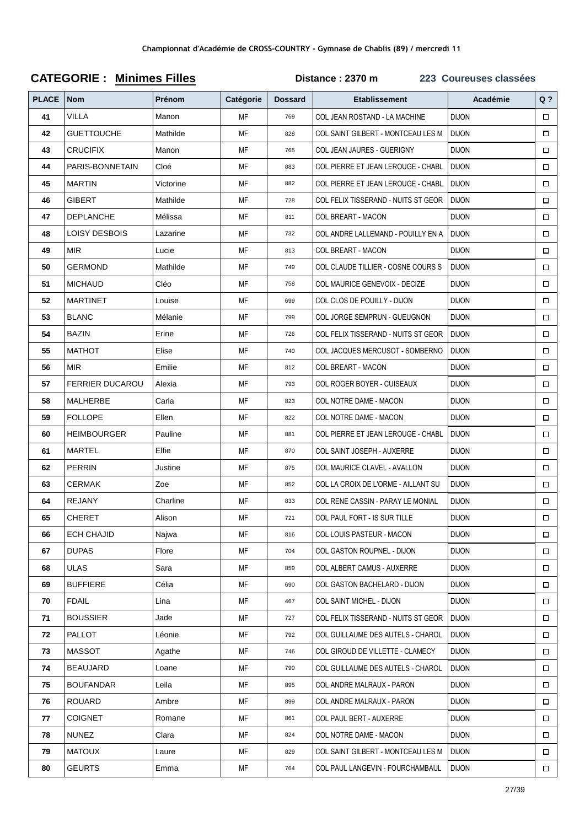| <b>PLACE</b> | <b>Nom</b>             | Prénom    | Catégorie | <b>Dossard</b> | <b>Etablissement</b>                | Académie     | $Q$ ?  |
|--------------|------------------------|-----------|-----------|----------------|-------------------------------------|--------------|--------|
| 41           | <b>VILLA</b>           | Manon     | MF        | 769            | COL JEAN ROSTAND - LA MACHINE       | <b>DIJON</b> | $\Box$ |
| 42           | <b>GUETTOUCHE</b>      | Mathilde  | MF        | 828            | COL SAINT GILBERT - MONTCEAU LES M  | <b>DIJON</b> | $\Box$ |
| 43           | <b>CRUCIFIX</b>        | Manon     | MF        | 765            | COL JEAN JAURES - GUERIGNY          | <b>DIJON</b> | $\Box$ |
| 44           | PARIS-BONNETAIN        | Cloé      | МF        | 883            | COL PIERRE ET JEAN LEROUGE - CHABL  | <b>DIJON</b> | $\Box$ |
| 45           | <b>MARTIN</b>          | Victorine | МF        | 882            | COL PIERRE ET JEAN LEROUGE - CHABL  | <b>DIJON</b> | $\Box$ |
| 46           | <b>GIBERT</b>          | Mathilde  | МF        | 728            | COL FELIX TISSERAND - NUITS ST GEOR | <b>DIJON</b> | $\Box$ |
| 47           | <b>DEPLANCHE</b>       | Mélissa   | МF        | 811            | COL BREART - MACON                  | <b>DIJON</b> | $\Box$ |
| 48           | LOISY DESBOIS          | Lazarine  | MF        | 732            | COL ANDRE LALLEMAND - POUILLY EN A  | <b>DIJON</b> | $\Box$ |
| 49           | <b>MIR</b>             | Lucie     | MF        | 813            | COL BREART - MACON                  | <b>DIJON</b> | $\Box$ |
| 50           | <b>GERMOND</b>         | Mathilde  | МF        | 749            | COL CLAUDE TILLIER - COSNE COURS S  | <b>DIJON</b> | $\Box$ |
| 51           | <b>MICHAUD</b>         | Cléo      | МF        | 758            | COL MAURICE GENEVOIX - DECIZE       | <b>DIJON</b> | $\Box$ |
| 52           | <b>MARTINET</b>        | Louise    | МF        | 699            | COL CLOS DE POUILLY - DIJON         | <b>DIJON</b> | $\Box$ |
| 53           | <b>BLANC</b>           | Mélanie   | MF        | 799            | COL JORGE SEMPRUN - GUEUGNON        | <b>DIJON</b> | $\Box$ |
| 54           | BAZIN                  | Erine     | МF        | 726            | COL FELIX TISSERAND - NUITS ST GEOR | <b>DIJON</b> | $\Box$ |
| 55           | <b>MATHOT</b>          | Elise     | MF        | 740            | COL JACQUES MERCUSOT - SOMBERNO     | <b>DIJON</b> | $\Box$ |
| 56           | MIR.                   | Emilie    | МF        | 812            | COL BREART - MACON                  | <b>DIJON</b> | $\Box$ |
| 57           | <b>FERRIER DUCAROU</b> | Alexia    | МF        | 793            | COL ROGER BOYER - CUISEAUX          | <b>DIJON</b> | $\Box$ |
| 58           | MALHERBE               | Carla     | МF        | 823            | COL NOTRE DAME - MACON              | <b>DIJON</b> | $\Box$ |
| 59           | <b>FOLLOPE</b>         | Ellen     | MF        | 822            | COL NOTRE DAME - MACON              | <b>DIJON</b> | $\Box$ |
| 60           | <b>HEIMBOURGER</b>     | Pauline   | МF        | 881            | COL PIERRE ET JEAN LEROUGE - CHABL  | <b>DIJON</b> | $\Box$ |
| 61           | MARTEL                 | Elfie     | МF        | 870            | COL SAINT JOSEPH - AUXERRE          | <b>DIJON</b> | $\Box$ |
| 62           | <b>PERRIN</b>          | Justine   | МF        | 875            | COL MAURICE CLAVEL - AVALLON        | <b>DIJON</b> | $\Box$ |
| 63           | CERMAK                 | Zoe       | МF        | 852            | COL LA CROIX DE L'ORME - AILLANT SU | <b>DIJON</b> | $\Box$ |
| 64           | <b>REJANY</b>          | Charline  | МF        | 833            | COL RENE CASSIN - PARAY LE MONIAL   | <b>DIJON</b> | $\Box$ |
| 65           | <b>CHERET</b>          | Alison    | МF        | 721            | COL PAUL FORT - IS SUR TILLE        | <b>DIJON</b> | $\Box$ |
| 66           | <b>ECH CHAJID</b>      | Najwa     | МF        | 816            | COL LOUIS PASTEUR - MACON           | <b>DIJON</b> | $\Box$ |
| 67           | <b>DUPAS</b>           | Flore     | МF        | 704            | COL GASTON ROUPNEL - DIJON          | <b>DIJON</b> | $\Box$ |
| 68           | <b>ULAS</b>            | Sara      | МF        | 859            | <b>COL ALBERT CAMUS - AUXERRE</b>   | <b>DIJON</b> | $\Box$ |
| 69           | <b>BUFFIERE</b>        | Célia     | MF        | 690            | COL GASTON BACHELARD - DIJON        | <b>DIJON</b> | $\Box$ |
| 70           | <b>FDAIL</b>           | Lina      | МF        | 467            | <b>COL SAINT MICHEL - DIJON</b>     | <b>DIJON</b> | $\Box$ |
| 71           | <b>BOUSSIER</b>        | Jade      | МF        | 727            | COL FELIX TISSERAND - NUITS ST GEOR | <b>DIJON</b> | $\Box$ |
| 72           | <b>PALLOT</b>          | Léonie    | МF        | 792            | COL GUILLAUME DES AUTELS - CHAROL   | <b>DIJON</b> | $\Box$ |
| 73           | MASSOT                 | Agathe    | МF        | 746            | COL GIROUD DE VILLETTE - CLAMECY    | <b>DIJON</b> | $\Box$ |
| 74           | <b>BEAUJARD</b>        | Loane     | МF        | 790            | COL GUILLAUME DES AUTELS - CHAROL   | <b>DIJON</b> | $\Box$ |
| 75           | <b>BOUFANDAR</b>       | Leila     | MF        | 895            | COL ANDRE MALRAUX - PARON           | <b>DIJON</b> | $\Box$ |
| 76           | ROUARD                 | Ambre     | МF        | 899            | COL ANDRE MALRAUX - PARON           | <b>DIJON</b> | $\Box$ |
| 77           | <b>COIGNET</b>         | Romane    | МF        | 861            | <b>COL PAUL BERT - AUXERRE</b>      | <b>DIJON</b> | $\Box$ |
| 78           | <b>NUNEZ</b>           | Clara     | МF        | 824            | COL NOTRE DAME - MACON              | <b>DIJON</b> | $\Box$ |
| 79           | <b>MATOUX</b>          | Laure     | MF        | 829            | COL SAINT GILBERT - MONTCEAU LES M  | <b>DIJON</b> | $\Box$ |
| 80           | <b>GEURTS</b>          | Emma      | MF        | 764            | COL PAUL LANGEVIN - FOURCHAMBAUL    | <b>DIJON</b> | $\Box$ |

# **CATEGORIE : Minimes Filles Distance : 2370 m 223 Coureuses classées**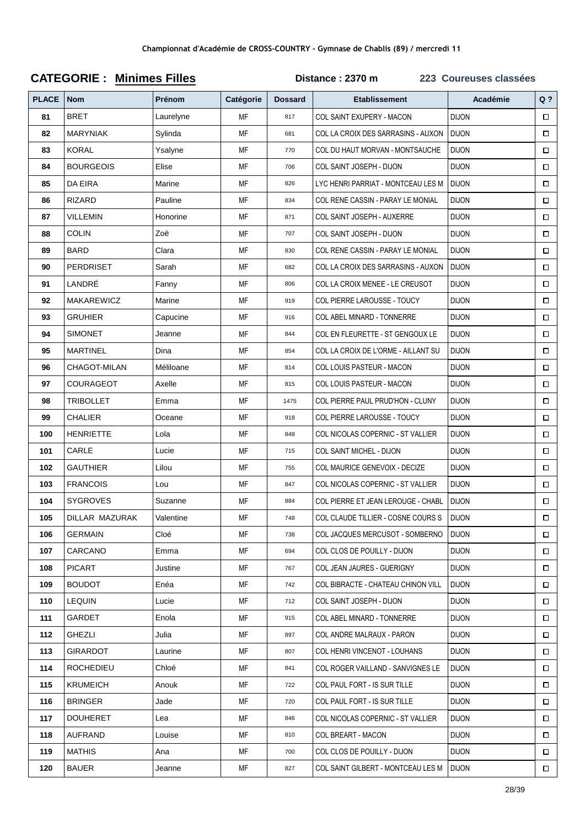| <b>PLACE</b> | <b>Nom</b>        | Prénom    | Catégorie | <b>Dossard</b> | <b>Etablissement</b>                | Académie     | $Q$ ?  |
|--------------|-------------------|-----------|-----------|----------------|-------------------------------------|--------------|--------|
| 81           | <b>BRET</b>       | Laurelyne | MF        | 817            | COL SAINT EXUPERY - MACON           | <b>DIJON</b> | $\Box$ |
| 82           | <b>MARYNIAK</b>   | Sylinda   | MF        | 681            | COL LA CROIX DES SARRASINS - AUXON  | <b>DIJON</b> | $\Box$ |
| 83           | <b>KORAL</b>      | Ysalyne   | MF        | 770            | COL DU HAUT MORVAN - MONTSAUCHE     | <b>DIJON</b> | $\Box$ |
| 84           | <b>BOURGEOIS</b>  | Elise     | MF        | 706            | COL SAINT JOSEPH - DIJON            | <b>DIJON</b> | $\Box$ |
| 85           | DA EIRA           | Marine    | МF        | 826            | LYC HENRI PARRIAT - MONTCEAU LES M  | <b>DIJON</b> | $\Box$ |
| 86           | <b>RIZARD</b>     | Pauline   | МF        | 834            | COL RENE CASSIN - PARAY LE MONIAL   | <b>DIJON</b> | $\Box$ |
| 87           | <b>VILLEMIN</b>   | Honorine  | МF        | 871            | COL SAINT JOSEPH - AUXERRE          | <b>DIJON</b> | $\Box$ |
| 88           | <b>COLIN</b>      | Zoë       | MF        | 707            | COL SAINT JOSEPH - DIJON            | <b>DIJON</b> | $\Box$ |
| 89           | <b>BARD</b>       | Clara     | МF        | 830            | COL RENE CASSIN - PARAY LE MONIAL   | <b>DIJON</b> | $\Box$ |
| 90           | PERDRISET         | Sarah     | MF        | 682            | COL LA CROIX DES SARRASINS - AUXON  | <b>DIJON</b> | $\Box$ |
| 91           | LANDRÉ            | Fanny     | МF        | 806            | COL LA CROIX MENEE - LE CREUSOT     | <b>DIJON</b> | $\Box$ |
| 92           | <b>MAKAREWICZ</b> | Marine    | MF        | 919            | COL PIERRE LAROUSSE - TOUCY         | <b>DIJON</b> | $\Box$ |
| 93           | <b>GRUHIER</b>    | Capucine  | MF        | 916            | <b>COL ABEL MINARD - TONNERRE</b>   | <b>DIJON</b> | $\Box$ |
| 94           | <b>SIMONET</b>    | Jeanne    | МF        | 844            | COL EN FLEURETTE - ST GENGOUX LE    | <b>DIJON</b> | $\Box$ |
| 95           | <b>MARTINEL</b>   | Dina      | MF        | 854            | COL LA CROIX DE L'ORME - AILLANT SU | <b>DIJON</b> | $\Box$ |
| 96           | CHAGOT-MILAN      | Méliloane | MF        | 814            | <b>COL LOUIS PASTEUR - MACON</b>    | <b>DIJON</b> | $\Box$ |
| 97           | COURAGEOT         | Axelle    | МF        | 815            | COL LOUIS PASTEUR - MACON           | <b>DIJON</b> | $\Box$ |
| 98           | TRIBOLLET         | Emma      | МF        | 1475           | COL PIERRE PAUL PRUD'HON - CLUNY    | <b>DIJON</b> | $\Box$ |
| 99           | <b>CHALIER</b>    | Oceane    | MF        | 918            | COL PIERRE LAROUSSE - TOUCY         | <b>DIJON</b> | $\Box$ |
| 100          | <b>HENRIETTE</b>  | Lola      | MF        | 848            | COL NICOLAS COPERNIC - ST VALLIER   | <b>DIJON</b> | $\Box$ |
| 101          | CARLE             | Lucie     | MF        | 715            | COL SAINT MICHEL - DIJON            | <b>DIJON</b> | $\Box$ |
| 102          | <b>GAUTHIER</b>   | Lilou     | MF        | 755            | COL MAURICE GENEVOIX - DECIZE       | <b>DIJON</b> | $\Box$ |
| 103          | <b>FRANCOIS</b>   | Lou       | МF        | 847            | COL NICOLAS COPERNIC - ST VALLIER   | <b>DIJON</b> | $\Box$ |
| 104          | <b>SYGROVES</b>   | Suzanne   | MF        | 884            | COL PIERRE ET JEAN LEROUGE - CHABL  | <b>DIJON</b> | $\Box$ |
| 105          | DILLAR MAZURAK    | Valentine | MF        | 748            | COL CLAUDE TILLIER - COSNE COURS S  | <b>DIJON</b> | $\Box$ |
| 106          | <b>GERMAIN</b>    | Cloé      | МF        | 738            | COL JACQUES MERCUSOT - SOMBERNO     | <b>DIJON</b> | $\Box$ |
| 107          | CARCANO           | Emma      | МF        | 694            | COL CLOS DE POUILLY - DIJON         | <b>DIJON</b> | $\Box$ |
| 108          | <b>PICART</b>     | Justine   | MF        | 767            | COL JEAN JAURES - GUERIGNY          | <b>DIJON</b> | $\Box$ |
| 109          | <b>BOUDOT</b>     | Enéa      | MF        | 742            | COL BIBRACTE - CHATEAU CHINON VILL  | <b>DIJON</b> | $\Box$ |
| 110          | <b>LEQUIN</b>     | Lucie     | MF        | 712            | COL SAINT JOSEPH - DIJON            | <b>DIJON</b> | $\Box$ |
| 111          | GARDET            | Enola     | MF        | 915            | COL ABEL MINARD - TONNERRE          | <b>DIJON</b> | $\Box$ |
| 112          | GHEZLI            | Julia     | MF        | 897            | <b>COL ANDRE MALRAUX - PARON</b>    | <b>DIJON</b> | $\Box$ |
| 113          | <b>GIRARDOT</b>   | Laurine   | МF        | 807            | COL HENRI VINCENOT - LOUHANS        | <b>DIJON</b> | $\Box$ |
| 114          | <b>ROCHEDIEU</b>  | Chloé     | МF        | 841            | COL ROGER VAILLAND - SANVIGNES LE   | <b>DIJON</b> | $\Box$ |
| 115          | <b>KRUMEICH</b>   | Anouk     | MF        | 722            | COL PAUL FORT - IS SUR TILLE        | <b>DIJON</b> | $\Box$ |
| 116          | <b>BRINGER</b>    | Jade      | MF        | 720            | COL PAUL FORT - IS SUR TILLE        | <b>DIJON</b> | $\Box$ |
| 117          | <b>DOUHERET</b>   | Lea       | MF        | 846            | COL NICOLAS COPERNIC - ST VALLIER   | <b>DIJON</b> | $\Box$ |
| 118          | AUFRAND           | Louise    | МF        | 810            | <b>COL BREART - MACON</b>           | <b>DIJON</b> | $\Box$ |
| 119          | <b>MATHIS</b>     | Ana       | MF        | 700            | COL CLOS DE POUILLY - DIJON         | <b>DIJON</b> | $\Box$ |
| 120          | <b>BAUER</b>      | Jeanne    | MF        | 827            | COL SAINT GILBERT - MONTCEAU LES M  | <b>DIJON</b> | $\Box$ |

# **CATEGORIE : Minimes Filles**

Distance: 2370 m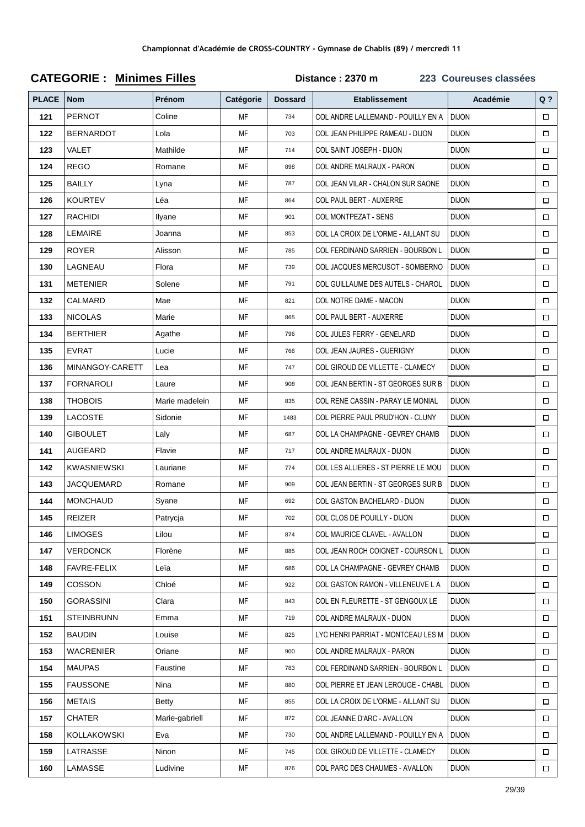| <b>PLACE</b> | <b>Nom</b>         | Prénom         | Catégorie | <b>Dossard</b> | <b>Etablissement</b>                | Académie     | $Q$ ?  |
|--------------|--------------------|----------------|-----------|----------------|-------------------------------------|--------------|--------|
| 121          | <b>PERNOT</b>      | Coline         | MF        | 734            | COL ANDRE LALLEMAND - POUILLY EN A  | <b>DIJON</b> | $\Box$ |
| 122          | <b>BERNARDOT</b>   | Lola           | МF        | 703            | COL JEAN PHILIPPE RAMEAU - DIJON    | <b>DIJON</b> | $\Box$ |
| 123          | VALET              | Mathilde       | МF        | 714            | COL SAINT JOSEPH - DIJON            | <b>DIJON</b> | $\Box$ |
| 124          | <b>REGO</b>        | Romane         | МF        | 898            | COL ANDRE MALRAUX - PARON           | <b>DIJON</b> | $\Box$ |
| 125          | <b>BAILLY</b>      | Lyna           | МF        | 787            | COL JEAN VILAR - CHALON SUR SAONE   | <b>DIJON</b> | $\Box$ |
| 126          | <b>KOURTEV</b>     | Léa            | MF        | 864            | <b>COL PAUL BERT - AUXERRE</b>      | <b>DIJON</b> | $\Box$ |
| 127          | <b>RACHIDI</b>     | Ilyane         | MF        | 901            | COL MONTPEZAT - SENS                | <b>DIJON</b> | □      |
| 128          | LEMAIRE            | Joanna         | МF        | 853            | COL LA CROIX DE L'ORME - AILLANT SU | <b>DIJON</b> | $\Box$ |
| 129          | <b>ROYER</b>       | Alisson        | MF        | 785            | COL FERDINAND SARRIEN - BOURBON L   | <b>DIJON</b> | $\Box$ |
| 130          | LAGNEAU            | Flora          | МF        | 739            | COL JACQUES MERCUSOT - SOMBERNO     | <b>DIJON</b> | $\Box$ |
| 131          | <b>METENIER</b>    | Solene         | МF        | 791            | COL GUILLAUME DES AUTELS - CHAROL   | <b>DIJON</b> | $\Box$ |
| 132          | <b>CALMARD</b>     | Mae            | МF        | 821            | COL NOTRE DAME - MACON              | <b>DIJON</b> | $\Box$ |
| 133          | <b>NICOLAS</b>     | Marie          | MF        | 865            | COL PAUL BERT - AUXERRE             | <b>DIJON</b> | $\Box$ |
| 134          | <b>BERTHIER</b>    | Agathe         | МF        | 796            | COL JULES FERRY - GENELARD          | <b>DIJON</b> | $\Box$ |
| 135          | <b>EVRAT</b>       | Lucie          | МF        | 766            | COL JEAN JAURES - GUERIGNY          | <b>DIJON</b> | П      |
| 136          | MINANGOY-CARETT    | Lea            | MF        | 747            | COL GIROUD DE VILLETTE - CLAMECY    | <b>DIJON</b> | $\Box$ |
| 137          | <b>FORNAROLI</b>   | Laure          | МF        | 908            | COL JEAN BERTIN - ST GEORGES SUR B  | <b>DIJON</b> | $\Box$ |
| 138          | <b>THOBOIS</b>     | Marie madelein | MF        | 835            | COL RENE CASSIN - PARAY LE MONIAL   | <b>DIJON</b> | $\Box$ |
| 139          | LACOSTE            | Sidonie        | MF        | 1483           | COL PIERRE PAUL PRUD'HON - CLUNY    | <b>DIJON</b> | $\Box$ |
| 140          | <b>GIBOULET</b>    | Laly           | МF        | 687            | COL LA CHAMPAGNE - GEVREY CHAMB     | <b>DIJON</b> | $\Box$ |
| 141          | AUGEARD            | Flavie         | МF        | 717            | COL ANDRE MALRAUX - DIJON           | <b>DIJON</b> | $\Box$ |
| 142          | <b>KWASNIEWSKI</b> | Lauriane       | MF        | 774            | COL LES ALLIERES - ST PIERRE LE MOU | <b>DIJON</b> | $\Box$ |
| 143          | <b>JACQUEMARD</b>  | Romane         | МF        | 909            | COL JEAN BERTIN - ST GEORGES SUR B  | <b>DIJON</b> | $\Box$ |
| 144          | <b>MONCHAUD</b>    | Syane          | МF        | 692            | COL GASTON BACHELARD - DIJON        | <b>DIJON</b> | $\Box$ |
| 145          | REIZER             | Patrycja       | MF        | 702            | COL CLOS DE POUILLY - DIJON         | <b>DIJON</b> | $\Box$ |
| 146          | <b>LIMOGES</b>     | Lilou          | МF        | 874            | COL MAURICE CLAVEL - AVALLON        | <b>DIJON</b> | $\Box$ |
| 147          | <b>VERDONCK</b>    | Florène        | МF        | 885            | COL JEAN ROCH COIGNET - COURSON L   | <b>DIJON</b> | □      |
| 148          | FAVRE-FELIX        | Leïa           | МF        | 686            | COL LA CHAMPAGNE - GEVREY CHAMB     | <b>DIJON</b> | □      |
| 149          | <b>COSSON</b>      | Chloé          | MF        | 922            | COL GASTON RAMON - VILLENEUVE L A   | <b>DIJON</b> | $\Box$ |
| 150          | <b>GORASSINI</b>   | Clara          | МF        | 843            | COL EN FLEURETTE - ST GENGOUX LE    | <b>DIJON</b> | □      |
| 151          | <b>STEINBRUNN</b>  | Emma           | МF        | 719            | COL ANDRE MALRAUX - DIJON           | <b>DIJON</b> | 0      |
| 152          | <b>BAUDIN</b>      | Louise         | МF        | 825            | LYC HENRI PARRIAT - MONTCEAU LES M  | <b>DIJON</b> | $\Box$ |
| 153          | <b>WACRENIER</b>   | Oriane         | МF        | 900            | COL ANDRE MALRAUX - PARON           | <b>DIJON</b> | $\Box$ |
| 154          | <b>MAUPAS</b>      | Faustine       | МF        | 783            | COL FERDINAND SARRIEN - BOURBON L   | <b>DIJON</b> | 0      |
| 155          | <b>FAUSSONE</b>    | Nina           | МF        | 880            | COL PIERRE ET JEAN LEROUGE - CHABL  | <b>DIJON</b> | $\Box$ |
| 156          | <b>METAIS</b>      | Betty          | МF        | 855            | COL LA CROIX DE L'ORME - AILLANT SU | <b>DIJON</b> | $\Box$ |
| 157          | <b>CHATER</b>      | Marie-gabriell | МF        | 872            | COL JEANNE D'ARC - AVALLON          | <b>DIJON</b> | $\Box$ |
| 158          | KOLLAKOWSKI        | Eva            | МF        | 730            | COL ANDRE LALLEMAND - POUILLY EN A  | <b>DIJON</b> | $\Box$ |
| 159          | LATRASSE           | Ninon          | МF        | 745            | COL GIROUD DE VILLETTE - CLAMECY    | <b>DIJON</b> | $\Box$ |
| 160          | LAMASSE            | Ludivine       | MF        | 876            | COL PARC DES CHAUMES - AVALLON      | <b>DIJON</b> | $\Box$ |

## **CATEGORIE: Minimes Filles**

Distance: 2370 m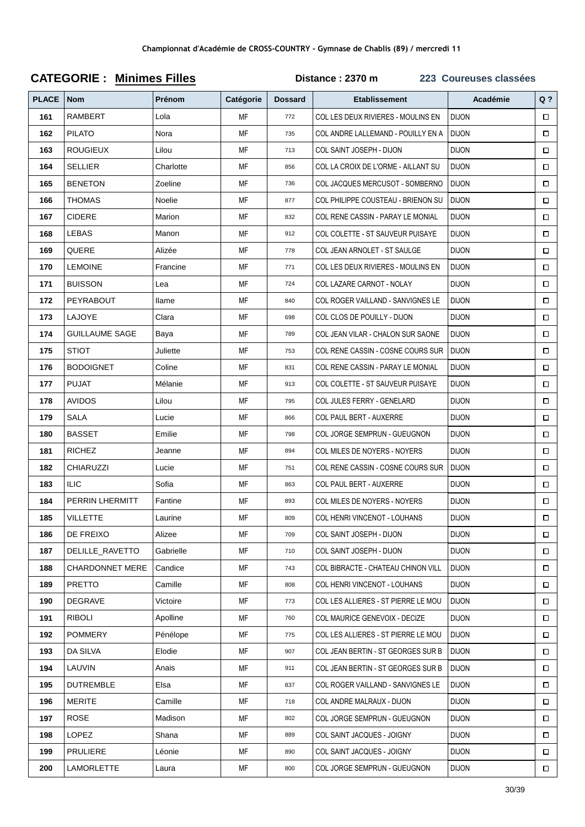| <b>PLACE</b> | <b>Nom</b>             | Prénom    | Catégorie | <b>Dossard</b> | <b>Etablissement</b>                | Académie     | $Q$ ?  |
|--------------|------------------------|-----------|-----------|----------------|-------------------------------------|--------------|--------|
| 161          | <b>RAMBERT</b>         | Lola      | МF        | 772            | COL LES DEUX RIVIERES - MOULINS EN  | <b>DIJON</b> | $\Box$ |
| 162          | <b>PILATO</b>          | Nora      | MF        | 735            | COL ANDRE LALLEMAND - POUILLY EN A  | <b>DIJON</b> | $\Box$ |
| 163          | <b>ROUGIEUX</b>        | Lilou     | МF        | 713            | COL SAINT JOSEPH - DIJON            | <b>DIJON</b> | $\Box$ |
| 164          | SELLIER                | Charlotte | МF        | 856            | COL LA CROIX DE L'ORME - AILLANT SU | <b>DIJON</b> | $\Box$ |
| 165          | <b>BENETON</b>         | Zoeline   | MF        | 736            | COL JACQUES MERCUSOT - SOMBERNO     | <b>DIJON</b> | $\Box$ |
| 166          | <b>THOMAS</b>          | Noelie    | МF        | 877            | COL PHILIPPE COUSTEAU - BRIENON SU  | <b>DIJON</b> | $\Box$ |
| 167          | <b>CIDERE</b>          | Marion    | МF        | 832            | COL RENE CASSIN - PARAY LE MONIAL   | <b>DIJON</b> | $\Box$ |
| 168          | LEBAS                  | Manon     | МF        | 912            | COL COLETTE - ST SAUVEUR PUISAYE    | <b>DIJON</b> | $\Box$ |
| 169          | QUERE                  | Alizée    | МF        | 778            | COL JEAN ARNOLET - ST SAULGE        | <b>DIJON</b> | $\Box$ |
| 170          | <b>LEMOINE</b>         | Francine  | МF        | 771            | COL LES DEUX RIVIERES - MOULINS EN  | <b>DIJON</b> | $\Box$ |
| 171          | <b>BUISSON</b>         | Lea       | МF        | 724            | COL LAZARE CARNOT - NOLAY           | <b>DIJON</b> | $\Box$ |
| 172          | PEYRABOUT              | llame     | МF        | 840            | COL ROGER VAILLAND - SANVIGNES LE   | <b>DIJON</b> | $\Box$ |
| 173          | LAJOYE                 | Clara     | МF        | 698            | COL CLOS DE POUILLY - DIJON         | <b>DIJON</b> | $\Box$ |
| 174          | <b>GUILLAUME SAGE</b>  | Baya      | МF        | 789            | COL JEAN VILAR - CHALON SUR SAONE   | <b>DIJON</b> | $\Box$ |
| 175          | STIOT                  | Juliette  | МF        | 753            | COL RENE CASSIN - COSNE COURS SUR   | <b>DIJON</b> | $\Box$ |
| 176          | <b>BODOIGNET</b>       | Coline    | МF        | 831            | COL RENE CASSIN - PARAY LE MONIAL   | <b>DIJON</b> | $\Box$ |
| 177          | <b>PUJAT</b>           | Mélanie   | MF        | 913            | COL COLETTE - ST SAUVEUR PUISAYE    | <b>DIJON</b> | $\Box$ |
| 178          | <b>AVIDOS</b>          | Lilou     | МF        | 795            | COL JULES FERRY - GENELARD          | <b>DIJON</b> | $\Box$ |
| 179          | SALA                   | Lucie     | MF        | 866            | COL PAUL BERT - AUXERRE             | <b>DIJON</b> | $\Box$ |
| 180          | <b>BASSET</b>          | Emilie    | МF        | 798            | COL JORGE SEMPRUN - GUEUGNON        | <b>DIJON</b> | $\Box$ |
| 181          | <b>RICHEZ</b>          | Jeanne    | МF        | 894            | COL MILES DE NOYERS - NOYERS        | <b>DIJON</b> | $\Box$ |
| 182          | <b>CHIARUZZI</b>       | Lucie     | МF        | 751            | COL RENE CASSIN - COSNE COURS SUR   | <b>DIJON</b> | $\Box$ |
| 183          | <b>ILIC</b>            | Sofia     | МF        | 863            | <b>COL PAUL BERT - AUXERRE</b>      | <b>DIJON</b> | $\Box$ |
| 184          | PERRIN LHERMITT        | Fantine   | МF        | 893            | COL MILES DE NOYERS - NOYERS        | <b>DIJON</b> | $\Box$ |
| 185          | VILLETTE               | Laurine   | МF        | 809            | COL HENRI VINCENOT - LOUHANS        | <b>DIJON</b> | $\Box$ |
| 186          | DE FREIXO              | Alizee    | МF        | 709            | COL SAINT JOSEPH - DIJON            | <b>DIJON</b> | $\Box$ |
| 187          | DELILLE RAVETTO        | Gabrielle | МF        | 710            | COL SAINT JOSEPH - DIJON            | <b>DIJON</b> | $\Box$ |
| 188          | <b>CHARDONNET MERE</b> | Candice   | МF        | 743            | COL BIBRACTE - CHATEAU CHINON VILL  | <b>DIJON</b> | $\Box$ |
| 189          | <b>PRETTO</b>          | Camille   | MF        | 808            | COL HENRI VINCENOT - LOUHANS        | <b>DIJON</b> | $\Box$ |
| 190          | DEGRAVE                | Victoire  | МF        | 773            | COL LES ALLIERES - ST PIERRE LE MOU | <b>DIJON</b> | $\Box$ |
| 191          | <b>RIBOLI</b>          | Apolline  | МF        | 760            | COL MAURICE GENEVOIX - DECIZE       | <b>DIJON</b> | $\Box$ |
| 192          | <b>POMMERY</b>         | Pénélope  | МF        | 775            | COL LES ALLIERES - ST PIERRE LE MOU | <b>DIJON</b> | $\Box$ |
| 193          | DA SILVA               | Elodie    | МF        | 907            | COL JEAN BERTIN - ST GEORGES SUR B  | <b>DIJON</b> | $\Box$ |
| 194          | LAUVIN                 | Anais     | МF        | 911            | COL JEAN BERTIN - ST GEORGES SUR B  | <b>DIJON</b> | $\Box$ |
| 195          | <b>DUTREMBLE</b>       | Elsa      | MF        | 837            | COL ROGER VAILLAND - SANVIGNES LE   | <b>DIJON</b> | $\Box$ |
| 196          | <b>MERITE</b>          | Camille   | МF        | 718            | COL ANDRE MALRAUX - DIJON           | <b>DIJON</b> | $\Box$ |
| 197          | ROSE                   | Madison   | МF        | 802            | COL JORGE SEMPRUN - GUEUGNON        | <b>DIJON</b> | $\Box$ |
| 198          | LOPEZ                  | Shana     | MF        | 889            | COL SAINT JACQUES - JOIGNY          | <b>DIJON</b> | $\Box$ |
| 199          | <b>PRULIERE</b>        | Léonie    | МF        | 890            | COL SAINT JACQUES - JOIGNY          | <b>DIJON</b> | $\Box$ |
| 200          | LAMORLETTE             | Laura     | MF        | 800            | COL JORGE SEMPRUN - GUEUGNON        | <b>DIJON</b> | $\Box$ |

## **CATEGORIE : Minimes Filles Distance : 2370 m 223 Coureuses classées**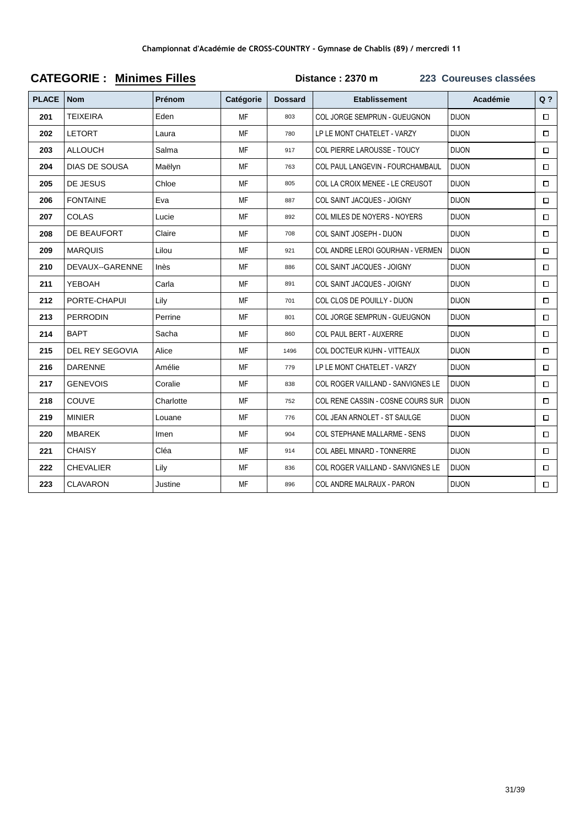| <b>PLACE</b> | <b>Nom</b>             | <b>Prénom</b> | Catégorie | <b>Dossard</b> | <b>Etablissement</b>                    | Académie     | $Q$ ?  |
|--------------|------------------------|---------------|-----------|----------------|-----------------------------------------|--------------|--------|
| 201          | <b>TEIXEIRA</b>        | Eden          | MF        | 803            | COL JORGE SEMPRUN - GUEUGNON            | <b>DIJON</b> | $\Box$ |
| 202          | <b>LETORT</b>          | Laura         | <b>MF</b> | 780            | LP LE MONT CHATELET - VARZY             | <b>DIJON</b> |        |
| 203          | <b>ALLOUCH</b>         | Salma         | <b>MF</b> | 917            | COL PIERRE LAROUSSE - TOUCY             | <b>DIJON</b> | $\Box$ |
| 204          | DIAS DE SOUSA          | Maëlyn        | MF        | 763            | <b>COL PAUL LANGEVIN - FOURCHAMBAUL</b> | <b>DIJON</b> | $\Box$ |
| 205          | DE JESUS               | Chloe         | <b>MF</b> | 805            | COL LA CROIX MENEE - LE CREUSOT         | <b>DIJON</b> | $\Box$ |
| 206          | <b>FONTAINE</b>        | Eva           | MF        | 887            | <b>COL SAINT JACQUES - JOIGNY</b>       | <b>DIJON</b> | $\Box$ |
| 207          | <b>COLAS</b>           | Lucie         | <b>MF</b> | 892            | COL MILES DE NOYERS - NOYERS            | <b>DIJON</b> | $\Box$ |
| 208          | DE BEAUFORT            | Claire        | MF        | 708            | COL SAINT JOSEPH - DIJON                | <b>DIJON</b> | $\Box$ |
| 209          | <b>MARQUIS</b>         | Lilou         | <b>MF</b> | 921            | COL ANDRE LEROI GOURHAN - VERMEN        | <b>DIJON</b> | $\Box$ |
| 210          | DEVAUX--GARENNE        | Inès          | MF        | 886            | <b>COL SAINT JACQUES - JOIGNY</b>       | <b>DIJON</b> |        |
| 211          | YEBOAH                 | Carla         | MF        | 891            | COL SAINT JACQUES - JOIGNY              | <b>DIJON</b> | $\Box$ |
| 212          | PORTE-CHAPUI           | Lily          | MF        | 701            | COL CLOS DE POUILLY - DIJON             | <b>DIJON</b> | $\Box$ |
| 213          | <b>PERRODIN</b>        | Perrine       | <b>MF</b> | 801            | COL JORGE SEMPRUN - GUEUGNON            | <b>DIJON</b> | $\Box$ |
| 214          | <b>BAPT</b>            | Sacha         | MF        | 860            | <b>COL PAUL BERT - AUXERRE</b>          | <b>DIJON</b> | $\Box$ |
| 215          | <b>DEL REY SEGOVIA</b> | Alice         | MF        | 1496           | COL DOCTEUR KUHN - VITTEAUX             | <b>DIJON</b> |        |
| 216          | <b>DARENNE</b>         | Amélie        | <b>MF</b> | 779            | LP LE MONT CHATELET - VARZY             | <b>DIJON</b> | $\Box$ |
| 217          | <b>GENEVOIS</b>        | Coralie       | <b>MF</b> | 838            | COL ROGER VAILLAND - SANVIGNES LE       | <b>DIJON</b> | $\Box$ |
| 218          | <b>COUVE</b>           | Charlotte     | MF        | 752            | COL RENE CASSIN - COSNE COURS SUR       | <b>DIJON</b> | $\Box$ |
| 219          | <b>MINIER</b>          | Louane        | <b>MF</b> | 776            | COL JEAN ARNOLET - ST SAULGE            | <b>DIJON</b> | $\Box$ |
| 220          | <b>MBAREK</b>          | Imen          | MF        | 904            | <b>COL STEPHANE MALLARME - SENS</b>     | <b>DIJON</b> | $\Box$ |
| 221          | <b>CHAISY</b>          | Cléa          | <b>MF</b> | 914            | COL ABEL MINARD - TONNERRE              | <b>DIJON</b> | 0      |
| 222          | <b>CHEVALIER</b>       | Lily          | MF        | 836            | COL ROGER VAILLAND - SANVIGNES LE       | <b>DIJON</b> | $\Box$ |
| 223          | <b>CLAVARON</b>        | Justine       | <b>MF</b> | 896            | COL ANDRE MALRAUX - PARON               | <b>DIJON</b> | $\Box$ |

#### **CATEGORIE : Minimes Filles Distance : 2370 m 223 Coureuses classées**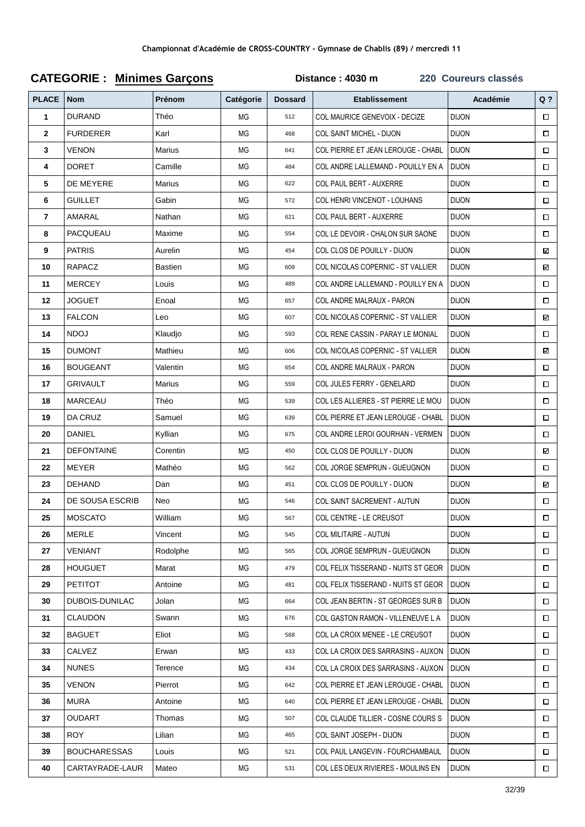| <b>PLACE</b>   | <b>Nom</b>          | Prénom         | Catégorie | <b>Dossard</b> | <b>Etablissement</b>                | Académie     | Q <sub>2</sub> |
|----------------|---------------------|----------------|-----------|----------------|-------------------------------------|--------------|----------------|
| 1              | <b>DURAND</b>       | Théo           | МG        | 512            | COL MAURICE GENEVOIX - DECIZE       | <b>DIJON</b> | $\Box$         |
| $\mathbf{2}$   | <b>FURDERER</b>     | Karl           | МG        | 468            | COL SAINT MICHEL - DIJON            | <b>DIJON</b> | $\Box$         |
| 3              | <b>VENON</b>        | Marius         | МG        | 641            | COL PIERRE ET JEAN LEROUGE - CHABL  | <b>DIJON</b> | $\Box$         |
| 4              | <b>DORET</b>        | Camille        | ΜG        | 484            | COL ANDRE LALLEMAND - POUILLY EN A  | <b>DIJON</b> | $\Box$         |
| 5              | DE MEYERE           | Marius         | MG        | 622            | <b>COL PAUL BERT - AUXERRE</b>      | <b>DIJON</b> | $\Box$         |
| 6              | <b>GUILLET</b>      | Gabin          | МG        | 572            | COL HENRI VINCENOT - LOUHANS        | <b>DIJON</b> | $\Box$         |
| $\overline{7}$ | AMARAL              | Nathan         | МG        | 621            | <b>COL PAUL BERT - AUXERRE</b>      | <b>DIJON</b> | П              |
| 8              | PACQUEAU            | Maxime         | ΜG        | 554            | COL LE DEVOIR - CHALON SUR SAONE    | <b>DIJON</b> | $\Box$         |
| 9              | <b>PATRIS</b>       | Aurelin        | МG        | 454            | COL CLOS DE POUILLY - DIJON         | <b>DIJON</b> | ⊠              |
| 10             | RAPACZ              | <b>Bastien</b> | МG        | 609            | COL NICOLAS COPERNIC - ST VALLIER   | <b>DIJON</b> | ☑              |
| 11             | <b>MERCEY</b>       | Louis          | MG        | 489            | COL ANDRE LALLEMAND - POUILLY EN A  | <b>DIJON</b> | $\Box$         |
| 12             | <b>JOGUET</b>       | Enoal          | МG        | 657            | COL ANDRE MALRAUX - PARON           | <b>DIJON</b> | $\Box$         |
| 13             | <b>FALCON</b>       | Leo            | МG        | 607            | COL NICOLAS COPERNIC - ST VALLIER   | <b>DIJON</b> | ⊠              |
| 14             | <b>NDOJ</b>         | Klaudjo        | МG        | 593            | COL RENE CASSIN - PARAY LE MONIAL   | <b>DIJON</b> | $\Box$         |
| 15             | <b>DUMONT</b>       | Mathieu        | ΜG        | 606            | COL NICOLAS COPERNIC - ST VALLIER   | <b>DIJON</b> | ⊠              |
| 16             | <b>BOUGEANT</b>     | Valentin       | МG        | 654            | COL ANDRE MALRAUX - PARON           | <b>DIJON</b> | $\Box$         |
| 17             | <b>GRIVAULT</b>     | Marius         | MG        | 559            | COL JULES FERRY - GENELARD          | <b>DIJON</b> | $\Box$         |
| 18             | <b>MARCEAU</b>      | Théo           | МG        | 539            | COL LES ALLIERES - ST PIERRE LE MOU | <b>DIJON</b> | $\Box$         |
| 19             | DA CRUZ             | Samuel         | МG        | 639            | COL PIERRE ET JEAN LEROUGE - CHABL  | <b>DIJON</b> | $\Box$         |
| 20             | DANIEL              | Kyllian        | ΜG        | 675            | COL ANDRE LEROI GOURHAN - VERMEN    | <b>DIJON</b> | $\Box$         |
| 21             | <b>DEFONTAINE</b>   | Corentin       | МG        | 450            | COL CLOS DE POUILLY - DIJON         | <b>DIJON</b> | ⊠              |
| 22             | MEYER               | Mathéo         | МG        | 562            | COL JORGE SEMPRUN - GUEUGNON        | <b>DIJON</b> | $\Box$         |
| 23             | <b>DEHAND</b>       | Dan            | MG        | 451            | COL CLOS DE POUILLY - DIJON         | <b>DIJON</b> | N              |
| 24             | DE SOUSA ESCRIB     | Neo            | МG        | 546            | COL SAINT SACREMENT - AUTUN         | <b>DIJON</b> | $\Box$         |
| 25             | <b>MOSCATO</b>      | William        | МG        | 567            | COL CENTRE - LE CREUSOT             | <b>DIJON</b> | $\Box$         |
| 26             | <b>MERLE</b>        | Vincent        | ΜG        | 545            | <b>COL MILITAIRE - AUTUN</b>        | <b>DIJON</b> | □              |
| 27             | <b>VENIANT</b>      | Rodolphe       | ΜG        | 565            | COL JORGE SEMPRUN - GUEUGNON        | <b>DIJON</b> | $\Box$         |
| 28             | <b>HOUGUET</b>      | Marat          | МG        | 479            | COL FELIX TISSERAND - NUITS ST GEOR | <b>DIJON</b> | □              |
| 29             | <b>PETITOT</b>      | Antoine        | МG        | 481            | COL FELIX TISSERAND - NUITS ST GEOR | <b>DIJON</b> | $\Box$         |
| 30             | DUBOIS-DUNILAC      | Jolan          | МG        | 664            | COL JEAN BERTIN - ST GEORGES SUR B  | <b>DIJON</b> | $\Box$         |
| 31             | <b>CLAUDON</b>      | Swann          | МG        | 676            | COL GASTON RAMON - VILLENEUVE L A   | <b>DIJON</b> | $\Box$         |
| 32             | <b>BAGUET</b>       | Eliot          | МG        | 568            | COL LA CROIX MENEE - LE CREUSOT     | <b>DIJON</b> | $\Box$         |
| 33             | CALVEZ              | Erwan          | МG        | 433            | COL LA CROIX DES SARRASINS - AUXON  | <b>DIJON</b> | $\Box$         |
| 34             | <b>NUNES</b>        | Terence        | МG        | 434            | COL LA CROIX DES SARRASINS - AUXON  | <b>DIJON</b> | $\Box$         |
| 35             | <b>VENON</b>        | Pierrot        | МG        | 642            | COL PIERRE ET JEAN LEROUGE - CHABL  | <b>DIJON</b> | $\Box$         |
| 36             | <b>MURA</b>         | Antoine        | МG        | 640            | COL PIERRE ET JEAN LEROUGE - CHABL  | <b>DIJON</b> | $\Box$         |
| 37             | <b>OUDART</b>       | Thomas         | МG        | 507            | COL CLAUDE TILLIER - COSNE COURS S  | <b>DIJON</b> | $\Box$         |
| 38             | <b>ROY</b>          | Lilian         | МG        | 465            | COL SAINT JOSEPH - DIJON            | <b>DIJON</b> | $\Box$         |
| 39             | <b>BOUCHARESSAS</b> | Louis          | МG        | 521            | COL PAUL LANGEVIN - FOURCHAMBAUL    | <b>DIJON</b> | □              |
| 40             | CARTAYRADE-LAUR     | Mateo          | MG        | 531            | COL LES DEUX RIVIERES - MOULINS EN  | <b>DIJON</b> | $\Box$         |

# **CATEGORIE : Minimes Garçons Distance : 4030 m 220 Coureurs classés**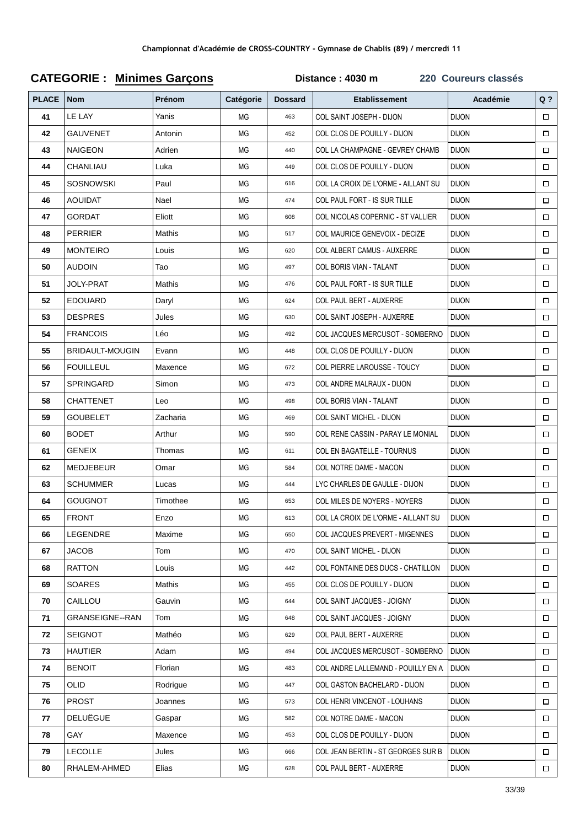| <b>PLACE</b> | <b>Nom</b>             | <b>Prénom</b> | Catégorie | <b>Dossard</b> | <b>Etablissement</b>                  | Académie     | Q <sub>2</sub> |
|--------------|------------------------|---------------|-----------|----------------|---------------------------------------|--------------|----------------|
| 41           | LE LAY                 | Yanis         | ΜG        | 463            | COL SAINT JOSEPH - DIJON              | <b>DIJON</b> | $\Box$         |
| 42           | <b>GAUVENET</b>        | Antonin       | МG        | 452            | COL CLOS DE POUILLY - DIJON           | <b>DIJON</b> | $\Box$         |
| 43           | <b>NAIGEON</b>         | Adrien        | ΜG        | 440            | COL LA CHAMPAGNE - GEVREY CHAMB       | <b>DIJON</b> | $\Box$         |
| 44           | CHANLIAU               | Luka          | ΜG        | 449            | COL CLOS DE POUILLY - DIJON           | <b>DIJON</b> | $\Box$         |
| 45           | <b>SOSNOWSKI</b>       | Paul          | MG        | 616            | COL LA CROIX DE L'ORME - AILLANT SU   | <b>DIJON</b> | $\Box$         |
| 46           | <b>AOUIDAT</b>         | Nael          | МG        | 474            | <b>COL PAUL FORT - IS SUR TILLE</b>   | <b>DIJON</b> | $\Box$         |
| 47           | GORDAT                 | Eliott        | МG        | 608            | COL NICOLAS COPERNIC - ST VALLIER     | <b>DIJON</b> | П              |
| 48           | <b>PERRIER</b>         | Mathis        | ΜG        | 517            | COL MAURICE GENEVOIX - DECIZE         | <b>DIJON</b> | $\Box$         |
| 49           | <b>MONTEIRO</b>        | Louis         | ΜG        | 620            | COL ALBERT CAMUS - AUXERRE            | <b>DIJON</b> | $\Box$         |
| 50           | <b>AUDOIN</b>          | Tao           | ΜG        | 497            | COL BORIS VIAN - TALANT               | <b>DIJON</b> | $\Box$         |
| 51           | <b>JOLY-PRAT</b>       | Mathis        | <b>MG</b> | 476            | COL PAUL FORT - IS SUR TILLE          | <b>DIJON</b> | $\Box$         |
| 52           | <b>EDOUARD</b>         | Daryl         | МG        | 624            | <b>COL PAUL BERT - AUXERRE</b>        | <b>DIJON</b> | $\Box$         |
| 53           | <b>DESPRES</b>         | Jules         | МG        | 630            | COL SAINT JOSEPH - AUXERRE            | <b>DIJON</b> | $\Box$         |
| 54           | <b>FRANCOIS</b>        | Léo           | МG        | 492            | COL JACQUES MERCUSOT - SOMBERNO       | <b>DIJON</b> | □              |
| 55           | <b>BRIDAULT-MOUGIN</b> | Evann         | ΜG        | 448            | COL CLOS DE POUILLY - DIJON           | <b>DIJON</b> | $\Box$         |
| 56           | <b>FOUILLEUL</b>       | Maxence       | <b>MG</b> | 672            | <b>COL PIERRE LAROUSSE - TOUCY</b>    | <b>DIJON</b> | $\Box$         |
| 57           | SPRINGARD              | Simon         | <b>MG</b> | 473            | COL ANDRE MALRAUX - DIJON             | <b>DIJON</b> | $\Box$         |
| 58           | <b>CHATTENET</b>       | Leo           | МG        | 498            | COL BORIS VIAN - TALANT               | <b>DIJON</b> | $\Box$         |
| 59           | <b>GOUBELET</b>        | Zacharia      | МG        | 469            | COL SAINT MICHEL - DIJON              | <b>DIJON</b> | □              |
| 60           | <b>BODET</b>           | Arthur        | ΜG        | 590            | COL RENE CASSIN - PARAY LE MONIAL     | <b>DIJON</b> | $\Box$         |
| 61           | <b>GENEIX</b>          | Thomas        | МG        | 611            | COL EN BAGATELLE - TOURNUS            | <b>DIJON</b> | $\Box$         |
| 62           | <b>MEDJEBEUR</b>       | Omar          | ΜG        | 584            | COL NOTRE DAME - MACON                | <b>DIJON</b> | $\Box$         |
| 63           | <b>SCHUMMER</b>        | Lucas         | MG        | 444            | LYC CHARLES DE GAULLE - DIJON         | <b>DIJON</b> | $\Box$         |
| 64           | <b>GOUGNOT</b>         | Timothee      | МG        | 653            | COL MILES DE NOYERS - NOYERS          | <b>DIJON</b> | $\Box$         |
| 65           | <b>FRONT</b>           | Enzo          | MG        | 613            | COL LA CROIX DE L'ORME - AILLANT SU   | <b>DIJON</b> | $\Box$         |
| 66           | LEGENDRE               | Maxime        | ΜG        | 650            | <b>COL JACQUES PREVERT - MIGENNES</b> | <b>DIJON</b> | 0              |
| 67           | <b>JACOB</b>           | Tom           | МG        | 470            | <b>COL SAINT MICHEL - DIJON</b>       | <b>DIJON</b> | $\Box$         |
| 68           | <b>RATTON</b>          | Louis         | ΜG        | 442            | COL FONTAINE DES DUCS - CHATILLON     | <b>DIJON</b> | $\Box$         |
| 69           | <b>SOARES</b>          | Mathis        | МG        | 455            | COL CLOS DE POUILLY - DIJON           | <b>DIJON</b> | $\Box$         |
| 70           | CAILLOU                | Gauvin        | МG        | 644            | COL SAINT JACQUES - JOIGNY            | <b>DIJON</b> | $\Box$         |
| 71           | <b>GRANSEIGNE--RAN</b> | Tom           | ΜG        | 648            | COL SAINT JACQUES - JOIGNY            | <b>DIJON</b> | $\Box$         |
| 72           | <b>SEIGNOT</b>         | Mathéo        | МG        | 629            | COL PAUL BERT - AUXERRE               | <b>DIJON</b> | $\Box$         |
| 73           | <b>HAUTIER</b>         | Adam          | МG        | 494            | COL JACQUES MERCUSOT - SOMBERNO       | <b>DIJON</b> | $\Box$         |
| 74           | <b>BENOIT</b>          | Florian       | ΜG        | 483            | COL ANDRE LALLEMAND - POUILLY EN A    | <b>DIJON</b> | $\Box$         |
| 75           | <b>OLID</b>            | Rodrigue      | МG        | 447            | COL GASTON BACHELARD - DIJON          | <b>DIJON</b> | $\Box$         |
| 76           | <b>PROST</b>           | Joannes       | МG        | 573            | COL HENRI VINCENOT - LOUHANS          | <b>DIJON</b> | $\Box$         |
| 77           | <b>DELUËGUE</b>        | Gaspar        | МG        | 582            | COL NOTRE DAME - MACON                | <b>DIJON</b> | $\Box$         |
| 78           | GAY                    | Maxence       | МG        | 453            | COL CLOS DE POUILLY - DIJON           | <b>DIJON</b> | $\Box$         |
| 79           | <b>LECOLLE</b>         | Jules         | МG        | 666            | COL JEAN BERTIN - ST GEORGES SUR B    | <b>DIJON</b> | □              |
| 80           | RHALEM-AHMED           | Elias         | $MG$      | 628            | COL PAUL BERT - AUXERRE               | <b>DIJON</b> | $\Box$         |

# **CATEGORIE : Minimes Garçons**

Distance: 4030 m

220 Coureurs classés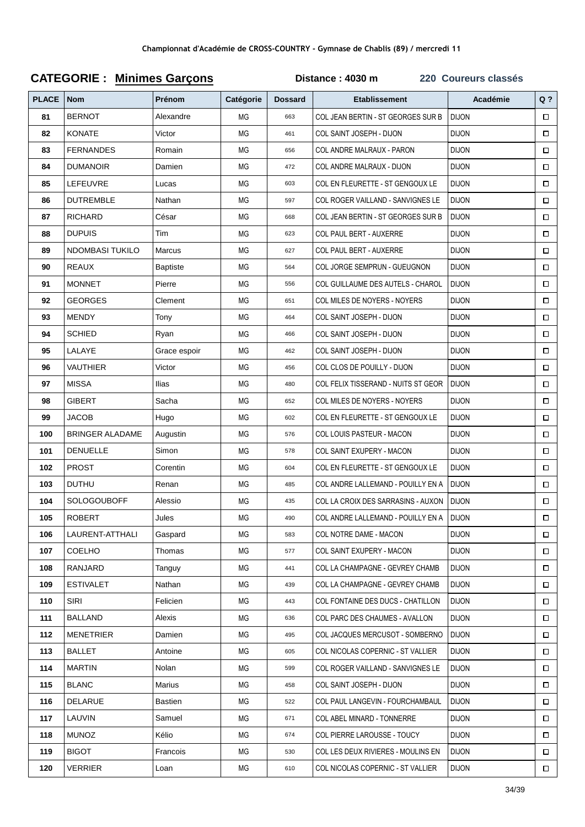| <b>PLACE</b> | <b>Nom</b>             | <b>Prénom</b>   | Catégorie | <b>Dossard</b> | <b>Etablissement</b>                | Académie     | $Q$ ?  |
|--------------|------------------------|-----------------|-----------|----------------|-------------------------------------|--------------|--------|
| 81           | <b>BERNOT</b>          | Alexandre       | ΜG        | 663            | COL JEAN BERTIN - ST GEORGES SUR B  | <b>DIJON</b> | $\Box$ |
| 82           | <b>KONATE</b>          | Victor          | MG        | 461            | COL SAINT JOSEPH - DIJON            | <b>DIJON</b> | $\Box$ |
| 83           | <b>FERNANDES</b>       | Romain          | ΜG        | 656            | COL ANDRE MALRAUX - PARON           | <b>DIJON</b> | $\Box$ |
| 84           | <b>DUMANOIR</b>        | Damien          | <b>MG</b> | 472            | COL ANDRE MALRAUX - DIJON           | <b>DIJON</b> | $\Box$ |
| 85           | LEFEUVRE               | Lucas           | <b>MG</b> | 603            | COL EN FLEURETTE - ST GENGOUX LE    | <b>DIJON</b> | $\Box$ |
| 86           | <b>DUTREMBLE</b>       | Nathan          | ΜG        | 597            | COL ROGER VAILLAND - SANVIGNES LE   | <b>DIJON</b> | $\Box$ |
| 87           | <b>RICHARD</b>         | César           | МG        | 668            | COL JEAN BERTIN - ST GEORGES SUR B  | <b>DIJON</b> | $\Box$ |
| 88           | <b>DUPUIS</b>          | Tim             | <b>MG</b> | 623            | COL PAUL BERT - AUXERRE             | <b>DIJON</b> | $\Box$ |
| 89           | NDOMBASI TUKILO        | Marcus          | ΜG        | 627            | <b>COL PAUL BERT - AUXERRE</b>      | <b>DIJON</b> | $\Box$ |
| 90           | <b>REAUX</b>           | <b>Baptiste</b> | <b>MG</b> | 564            | COL JORGE SEMPRUN - GUEUGNON        | <b>DIJON</b> | $\Box$ |
| 91           | <b>MONNET</b>          | Pierre          | <b>MG</b> | 556            | COL GUILLAUME DES AUTELS - CHAROL   | <b>DIJON</b> | $\Box$ |
| 92           | <b>GEORGES</b>         | Clement         | <b>MG</b> | 651            | COL MILES DE NOYERS - NOYERS        | <b>DIJON</b> | $\Box$ |
| 93           | <b>MENDY</b>           | Tony            | ΜG        | 464            | COL SAINT JOSEPH - DIJON            | <b>DIJON</b> | $\Box$ |
| 94           | <b>SCHIED</b>          | Ryan            | MG        | 466            | COL SAINT JOSEPH - DIJON            | <b>DIJON</b> | $\Box$ |
| 95           | LALAYE                 | Grace espoir    | ΜG        | 462            | COL SAINT JOSEPH - DIJON            | <b>DIJON</b> | □      |
| 96           | VAUTHIER               | Victor          | <b>MG</b> | 456            | COL CLOS DE POUILLY - DIJON         | <b>DIJON</b> | $\Box$ |
| 97           | <b>MISSA</b>           | <b>Ilias</b>    | <b>MG</b> | 480            | COL FELIX TISSERAND - NUITS ST GEOR | <b>DIJON</b> | $\Box$ |
| 98           | <b>GIBERT</b>          | Sacha           | MG        | 652            | COL MILES DE NOYERS - NOYERS        | <b>DIJON</b> | $\Box$ |
| 99           | JACOB                  | Hugo            | ΜG        | 602            | COL EN FLEURETTE - ST GENGOUX LE    | <b>DIJON</b> | $\Box$ |
| 100          | <b>BRINGER ALADAME</b> | Augustin        | ΜG        | 576            | COL LOUIS PASTEUR - MACON           | <b>DIJON</b> | $\Box$ |
| 101          | <b>DENUELLE</b>        | Simon           | ΜG        | 578            | COL SAINT EXUPERY - MACON           | <b>DIJON</b> | $\Box$ |
| 102          | <b>PROST</b>           | Corentin        | <b>MG</b> | 604            | COL EN FLEURETTE - ST GENGOUX LE    | <b>DIJON</b> | $\Box$ |
| 103          | <b>DUTHU</b>           | Renan           | <b>MG</b> | 485            | COL ANDRE LALLEMAND - POUILLY EN A  | <b>DIJON</b> | $\Box$ |
| 104          | <b>SOLOGOUBOFF</b>     | Alessio         | MG        | 435            | COL LA CROIX DES SARRASINS - AUXON  | <b>DIJON</b> | $\Box$ |
| 105          | <b>ROBERT</b>          | Jules           | MG        | 490            | COL ANDRE LALLEMAND - POUILLY EN A  | <b>DIJON</b> | $\Box$ |
| 106          | LAURENT-ATTHALI        | Gaspard         | ΜG        | 583            | COL NOTRE DAME - MACON              | <b>DIJON</b> | $\Box$ |
| 107          | <b>COELHO</b>          | Thomas          | ΜG        | 577            | <b>COL SAINT EXUPERY - MACON</b>    | <b>DIJON</b> | $\Box$ |
| 108          | RANJARD                | Tanguy          | МG        | 441            | COL LA CHAMPAGNE - GEVREY CHAMB     | <b>DIJON</b> | $\Box$ |
| 109          | <b>ESTIVALET</b>       | Nathan          | МG        | 439            | COL LA CHAMPAGNE - GEVREY CHAMB     | <b>DIJON</b> | $\Box$ |
| 110          | SIRI                   | Felicien        | ΜG        | 443            | COL FONTAINE DES DUCS - CHATILLON   | <b>DIJON</b> | $\Box$ |
| 111          | BALLAND                | Alexis          | МG        | 636            | COL PARC DES CHAUMES - AVALLON      | <b>DIJON</b> | □      |
| 112          | MENETRIER              | Damien          | МG        | 495            | COL JACQUES MERCUSOT - SOMBERNO     | <b>DIJON</b> | $\Box$ |
| 113          | <b>BALLET</b>          | Antoine         | МG        | 605            | COL NICOLAS COPERNIC - ST VALLIER   | <b>DIJON</b> | $\Box$ |
| 114          | <b>MARTIN</b>          | Nolan           | ΜG        | 599            | COL ROGER VAILLAND - SANVIGNES LE   | <b>DIJON</b> | $\Box$ |
| 115          | <b>BLANC</b>           | Marius          | МG        | 458            | COL SAINT JOSEPH - DIJON            | <b>DIJON</b> | $\Box$ |
| 116          | DELARUE                | Bastien         | ΜG        | 522            | COL PAUL LANGEVIN - FOURCHAMBAUL    | <b>DIJON</b> | $\Box$ |
| 117          | LAUVIN                 | Samuel          | ΜG        | 671            | COL ABEL MINARD - TONNERRE          | <b>DIJON</b> | $\Box$ |
| 118          | <b>MUNOZ</b>           | Kélio           | МG        | 674            | COL PIERRE LAROUSSE - TOUCY         | <b>DIJON</b> | $\Box$ |
| 119          | <b>BIGOT</b>           | Francois        | МG        | 530            | COL LES DEUX RIVIERES - MOULINS EN  | <b>DIJON</b> | $\Box$ |
| 120          | VERRIER                | Loan            | $MG$      | 610            | COL NICOLAS COPERNIC - ST VALLIER   | <b>DIJON</b> | $\Box$ |

# **CATEGORIE : Minimes Garçons Distance : 4030 m 220 Coureurs classés**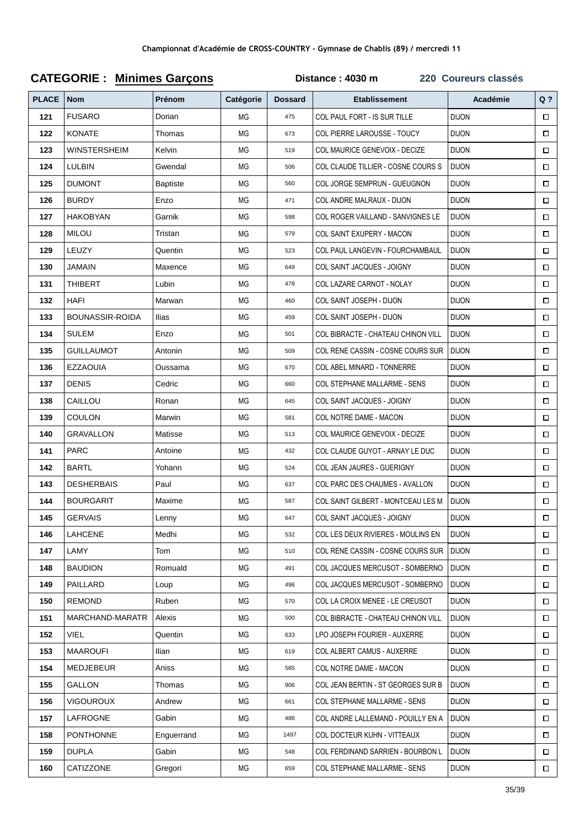| <b>PLACE</b> | <b>Nom</b>             | Prénom     | Catégorie | <b>Dossard</b> | <b>Etablissement</b>                 | Académie     | Q <sub>2</sub> |
|--------------|------------------------|------------|-----------|----------------|--------------------------------------|--------------|----------------|
| 121          | <b>FUSARO</b>          | Dorian     | ΜG        | 475            | COL PAUL FORT - IS SUR TILLE         | <b>DIJON</b> | $\Box$         |
| 122          | <b>KONATE</b>          | Thomas     | ΜG        | 673            | COL PIERRE LAROUSSE - TOUCY          | <b>DIJON</b> | $\Box$         |
| 123          | WINSTERSHEIM           | Kelvin     | ΜG        | 519            | <b>COL MAURICE GENEVOIX - DECIZE</b> | <b>DIJON</b> | $\Box$         |
| 124          | <b>LULBIN</b>          | Gwendal    | ΜG        | 506            | COL CLAUDE TILLIER - COSNE COURS S   | <b>DIJON</b> | $\Box$         |
| 125          | <b>DUMONT</b>          | Baptiste   | ΜG        | 560            | COL JORGE SEMPRUN - GUEUGNON         | <b>DIJON</b> | $\Box$         |
| 126          | <b>BURDY</b>           | Enzo       | ΜG        | 471            | COL ANDRE MALRAUX - DIJON            | <b>DIJON</b> | $\Box$         |
| 127          | <b>HAKOBYAN</b>        | Garnik     | ΜG        | 598            | COL ROGER VAILLAND - SANVIGNES LE    | <b>DIJON</b> | $\Box$         |
| 128          | <b>MILOU</b>           | Tristan    | ΜG        | 579            | COL SAINT EXUPERY - MACON            | <b>DIJON</b> | $\Box$         |
| 129          | LEUZY                  | Quentin    | ΜG        | 523            | COL PAUL LANGEVIN - FOURCHAMBAUL     | <b>DIJON</b> | $\Box$         |
| 130          | JAMAIN                 | Maxence    | ΜG        | 649            | COL SAINT JACQUES - JOIGNY           | <b>DIJON</b> | $\Box$         |
| 131          | <b>THIBERT</b>         | Lubin      | ΜG        | 478            | COL LAZARE CARNOT - NOLAY            | <b>DIJON</b> | $\Box$         |
| 132          | <b>HAFI</b>            | Marwan     | ΜG        | 460            | COL SAINT JOSEPH - DIJON             | <b>DIJON</b> | $\Box$         |
| 133          | <b>BOUNASSIR-ROIDA</b> | Ilias      | ΜG        | 459            | COL SAINT JOSEPH - DIJON             | <b>DIJON</b> | $\Box$         |
| 134          | <b>SULEM</b>           | Enzo       | ΜG        | 501            | COL BIBRACTE - CHATEAU CHINON VILL   | <b>DIJON</b> | $\Box$         |
| 135          | <b>GUILLAUMOT</b>      | Antonin    | ΜG        | 509            | COL RENE CASSIN - COSNE COURS SUR    | <b>DIJON</b> | $\Box$         |
| 136          | <b>EZZAOUIA</b>        | Oussama    | <b>MG</b> | 670            | COL ABEL MINARD - TONNERRE           | <b>DIJON</b> | $\Box$         |
| 137          | <b>DENIS</b>           | Cedric     | ΜG        | 660            | COL STEPHANE MALLARME - SENS         | <b>DIJON</b> | $\Box$         |
| 138          | CAILLOU                | Ronan      | <b>MG</b> | 645            | COL SAINT JACQUES - JOIGNY           | <b>DIJON</b> | $\Box$         |
| 139          | COULON                 | Marwin     | ΜG        | 581            | COL NOTRE DAME - MACON               | <b>DIJON</b> | $\Box$         |
| 140          | GRAVALLON              | Matisse    | ΜG        | 513            | COL MAURICE GENEVOIX - DECIZE        | <b>DIJON</b> | $\Box$         |
| 141          | <b>PARC</b>            | Antoine    | ΜG        | 432            | COL CLAUDE GUYOT - ARNAY LE DUC      | <b>DIJON</b> | $\Box$         |
| 142          | <b>BARTL</b>           | Yohann     | ΜG        | 524            | COL JEAN JAURES - GUERIGNY           | <b>DIJON</b> | $\Box$         |
| 143          | <b>DESHERBAIS</b>      | Paul       | ΜG        | 637            | COL PARC DES CHAUMES - AVALLON       | <b>DIJON</b> | $\Box$         |
| 144          | <b>BOURGARIT</b>       | Maxime     | <b>MG</b> | 587            | COL SAINT GILBERT - MONTCEAU LES M   | <b>DIJON</b> | $\Box$         |
| 145          | <b>GERVAIS</b>         | Lenny      | MG        | 647            | COL SAINT JACQUES - JOIGNY           | <b>DIJON</b> | $\Box$         |
| 146          | <b>LAHCENE</b>         | Medhi      | ΜG        | 532            | COL LES DEUX RIVIERES - MOULINS EN   | <b>DIJON</b> | $\Box$         |
| 147          | LAMY                   | Tom        | ΜG        | 510            | COL RENE CASSIN - COSNE COURS SUR    | <b>DIJON</b> | $\Box$         |
| 148          | <b>BAUDION</b>         | Romuald    | ΜG        | 491            | COL JACQUES MERCUSOT - SOMBERNO      | <b>DIJON</b> | □              |
| 149          | PAILLARD               | Loup       | ΜG        | 496            | COL JACQUES MERCUSOT - SOMBERNO      | <b>DIJON</b> | $\Box$         |
| 150          | <b>REMOND</b>          | Ruben      | МG        | 570            | COL LA CROIX MENEE - LE CREUSOT      | <b>DIJON</b> | $\Box$         |
| 151          | MARCHAND-MARATR        | Alexis     | МG        | 500            | COL BIBRACTE - CHATEAU CHINON VILL   | <b>DIJON</b> | $\Box$         |
| 152          | VIEL                   | Quentin    | МG        | 633            | LPO JOSEPH FOURIER - AUXERRE         | <b>DIJON</b> | $\Box$         |
| 153          | <b>MAAROUFI</b>        | Ilian      | ΜG        | 619            | <b>COL ALBERT CAMUS - AUXERRE</b>    | <b>DIJON</b> | $\Box$         |
| 154          | MEDJEBEUR              | Aniss      | МG        | 585            | COL NOTRE DAME - MACON               | <b>DIJON</b> | $\Box$         |
| 155          | <b>GALLON</b>          | Thomas     | ΜG        | 906            | COL JEAN BERTIN - ST GEORGES SUR B   | <b>DIJON</b> | □              |
| 156          | <b>VIGOUROUX</b>       | Andrew     | ΜG        | 661            | COL STEPHANE MALLARME - SENS         | <b>DIJON</b> | $\Box$         |
| 157          | LAFROGNE               | Gabin      | МG        | 486            | COL ANDRE LALLEMAND - POUILLY EN A   | <b>DIJON</b> | $\Box$         |
| 158          | <b>PONTHONNE</b>       | Enguerrand | ΜG        | 1497           | COL DOCTEUR KUHN - VITTEAUX          | <b>DIJON</b> | □              |
| 159          | <b>DUPLA</b>           | Gabin      | МG        | 548            | COL FERDINAND SARRIEN - BOURBON L    | <b>DIJON</b> | $\Box$         |
| 160          | CATIZZONE              | Gregori    | MG        | 659            | COL STEPHANE MALLARME - SENS         | <b>DIJON</b> | $\Box$         |

# **CATEGORIE : Minimes Garçons**

Distance: 4030 m

220 Coureurs classés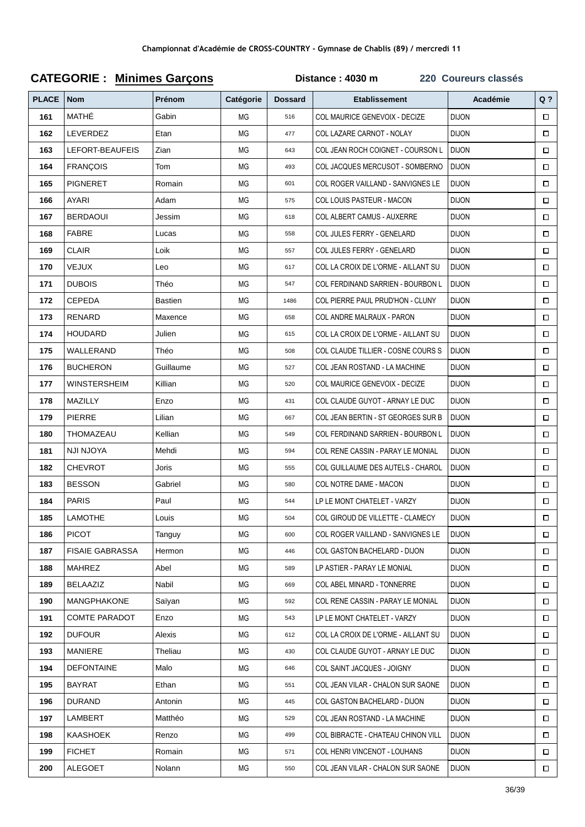| <b>PLACE</b> | <b>Nom</b>             | Prénom         | Catégorie | <b>Dossard</b> | <b>Etablissement</b>                | Académie     | $Q$ ?  |
|--------------|------------------------|----------------|-----------|----------------|-------------------------------------|--------------|--------|
| 161          | MATHÉ                  | Gabin          | МG        | 516            | COL MAURICE GENEVOIX - DECIZE       | <b>DIJON</b> | $\Box$ |
| 162          | LEVERDEZ               | Etan           | ΜG        | 477            | COL LAZARE CARNOT - NOLAY           | <b>DIJON</b> | $\Box$ |
| 163          | LEFORT-BEAUFEIS        | Zian           | МG        | 643            | COL JEAN ROCH COIGNET - COURSON L   | <b>DIJON</b> | $\Box$ |
| 164          | <b>FRANÇOIS</b>        | Tom            | МG        | 493            | COL JACQUES MERCUSOT - SOMBERNO     | <b>DIJON</b> | $\Box$ |
| 165          | <b>PIGNERET</b>        | Romain         | МG        | 601            | COL ROGER VAILLAND - SANVIGNES LE   | <b>DIJON</b> | $\Box$ |
| 166          | AYARI                  | Adam           | МG        | 575            | COL LOUIS PASTEUR - MACON           | <b>DIJON</b> | $\Box$ |
| 167          | <b>BERDAOUI</b>        | Jessim         | МG        | 618            | <b>COL ALBERT CAMUS - AUXERRE</b>   | <b>DIJON</b> | $\Box$ |
| 168          | <b>FABRE</b>           | Lucas          | МG        | 558            | COL JULES FERRY - GENELARD          | <b>DIJON</b> | $\Box$ |
| 169          | <b>CLAIR</b>           | Loik           | МG        | 557            | COL JULES FERRY - GENELARD          | <b>DIJON</b> | $\Box$ |
| 170          | <b>VEJUX</b>           | Leo            | MG        | 617            | COL LA CROIX DE L'ORME - AILLANT SU | <b>DIJON</b> | $\Box$ |
| 171          | <b>DUBOIS</b>          | Théo           | МG        | 547            | COL FERDINAND SARRIEN - BOURBON L   | <b>DIJON</b> | $\Box$ |
| 172          | <b>CEPEDA</b>          | <b>Bastien</b> | МG        | 1486           | COL PIERRE PAUL PRUD'HON - CLUNY    | <b>DIJON</b> | П      |
| 173          | <b>RENARD</b>          | Maxence        | ΜG        | 658            | COL ANDRE MALRAUX - PARON           | <b>DIJON</b> | $\Box$ |
| 174          | <b>HOUDARD</b>         | Julien         | МG        | 615            | COL LA CROIX DE L'ORME - AILLANT SU | <b>DIJON</b> | $\Box$ |
| 175          | WALLERAND              | Théo           | МG        | 508            | COL CLAUDE TILLIER - COSNE COURS S  | <b>DIJON</b> | $\Box$ |
| 176          | <b>BUCHERON</b>        | Guillaume      | MG        | 527            | COL JEAN ROSTAND - LA MACHINE       | <b>DIJON</b> | $\Box$ |
| 177          | <b>WINSTERSHEIM</b>    | Killian        | МG        | 520            | COL MAURICE GENEVOIX - DECIZE       | <b>DIJON</b> | $\Box$ |
| 178          | MAZILLY                | Enzo           | МG        | 431            | COL CLAUDE GUYOT - ARNAY LE DUC     | <b>DIJON</b> | Π      |
| 179          | PIERRE                 | Lilian         | МG        | 667            | COL JEAN BERTIN - ST GEORGES SUR B  | <b>DIJON</b> | $\Box$ |
| 180          | THOMAZEAU              | Kellian        | ΜG        | 549            | COL FERDINAND SARRIEN - BOURBON L   | <b>DIJON</b> | $\Box$ |
| 181          | NJI NJOYA              | Mehdi          | MG        | 594            | COL RENE CASSIN - PARAY LE MONIAL   | <b>DIJON</b> | $\Box$ |
| 182          | <b>CHEVROT</b>         | Joris          | МG        | 555            | COL GUILLAUME DES AUTELS - CHAROL   | <b>DIJON</b> | □      |
| 183          | <b>BESSON</b>          | Gabriel        | МG        | 580            | COL NOTRE DAME - MACON              | <b>DIJON</b> | $\Box$ |
| 184          | <b>PARIS</b>           | Paul           | МG        | 544            | LP LE MONT CHATELET - VARZY         | <b>DIJON</b> | $\Box$ |
| 185          | <b>LAMOTHE</b>         | Louis          | МG        | 504            | COL GIROUD DE VILLETTE - CLAMECY    | <b>DIJON</b> | $\Box$ |
| 186          | <b>PICOT</b>           | Tanguy         | ΜG        | 600            | COL ROGER VAILLAND - SANVIGNES LE   | <b>DIJON</b> | $\Box$ |
| 187          | <b>FISAIE GABRASSA</b> | Hermon         | ΜG        | 446            | COL GASTON BACHELARD - DIJON        | <b>DIJON</b> | $\Box$ |
| 188          | <b>MAHREZ</b>          | Abel           | МG        | 589            | LP ASTIER - PARAY LE MONIAL         | <b>DIJON</b> | $\Box$ |
| 189          | BELAAZIZ               | Nabil          | МG        | 669            | COL ABEL MINARD - TONNERRE          | <b>DIJON</b> | $\Box$ |
| 190          | <b>MANGPHAKONE</b>     | Saïyan         | МG        | 592            | COL RENE CASSIN - PARAY LE MONIAL   | <b>DIJON</b> | □      |
| 191          | <b>COMTE PARADOT</b>   | Enzo           | МG        | 543            | LP LE MONT CHATELET - VARZY         | <b>DIJON</b> | □      |
| 192          | <b>DUFOUR</b>          | Alexis         | МG        | 612            | COL LA CROIX DE L'ORME - AILLANT SU | <b>DIJON</b> | $\Box$ |
| 193          | <b>MANIERE</b>         | Theliau        | ΜG        | 430            | COL CLAUDE GUYOT - ARNAY LE DUC     | <b>DIJON</b> | □      |
| 194          | <b>DEFONTAINE</b>      | Malo           | МG        | 646            | COL SAINT JACQUES - JOIGNY          | <b>DIJON</b> | 0      |
| 195          | <b>BAYRAT</b>          | Ethan          | МG        | 551            | COL JEAN VILAR - CHALON SUR SAONE   | <b>DIJON</b> | $\Box$ |
| 196          | <b>DURAND</b>          | Antonin        | ΜG        | 445            | COL GASTON BACHELARD - DIJON        | <b>DIJON</b> | $\Box$ |
| 197          | LAMBERT                | Matthéo        | МG        | 529            | COL JEAN ROSTAND - LA MACHINE       | <b>DIJON</b> | $\Box$ |
| 198          | KAASHOEK               | Renzo          | МG        | 499            | COL BIBRACTE - CHATEAU CHINON VILL  | <b>DIJON</b> | $\Box$ |
| 199          | <b>FICHET</b>          | Romain         | MG        | 571            | COL HENRI VINCENOT - LOUHANS        | <b>DIJON</b> | $\Box$ |
| 200          | <b>ALEGOET</b>         | Nolann         | MG        | 550            | COL JEAN VILAR - CHALON SUR SAONE   | <b>DIJON</b> | $\Box$ |

# **CATEGORIE : Minimes Garçons Distance : 4030 m 220 Coureurs classés**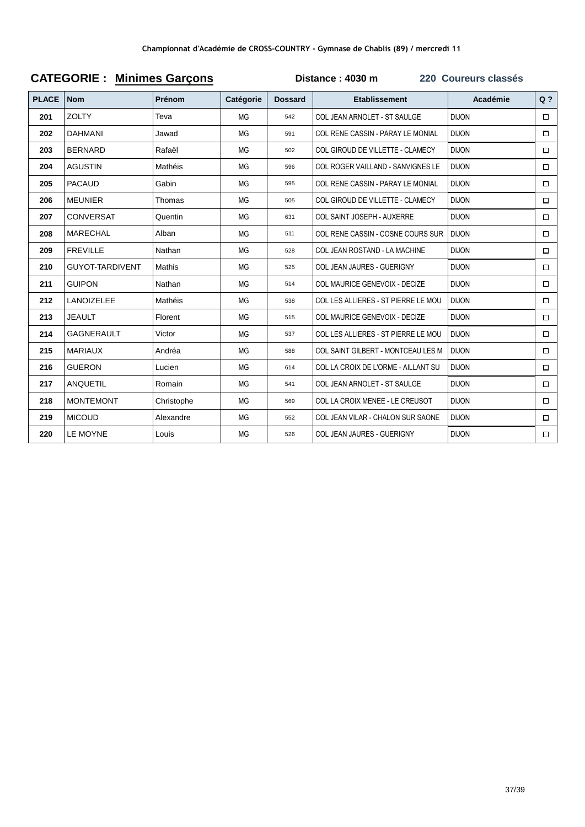| <b>PLACE</b> | <b>Nom</b>             | Prénom        | Catégorie | <b>Dossard</b> | <b>Etablissement</b>                     | Académie     | $Q$ ?  |
|--------------|------------------------|---------------|-----------|----------------|------------------------------------------|--------------|--------|
| 201          | <b>ZOLTY</b>           | Teva          | MG        | 542            | COL JEAN ARNOLET - ST SAULGE             | <b>DIJON</b> | $\Box$ |
| 202          | <b>DAHMANI</b>         | Jawad         | MG        | 591            | COL RENE CASSIN - PARAY LE MONIAL        | <b>DIJON</b> | $\Box$ |
| 203          | <b>BERNARD</b>         | Rafaël        | MG        | 502            | COL GIROUD DE VILLETTE - CLAMECY         | <b>DIJON</b> | □      |
| 204          | <b>AGUSTIN</b>         | Mathéis       | MG        | 596            | COL ROGER VAILLAND - SANVIGNES LE        | <b>DIJON</b> | $\Box$ |
| 205          | <b>PACAUD</b>          | Gabin         | MG        | 595            | COL RENE CASSIN - PARAY LE MONIAL        | <b>DIJON</b> | $\Box$ |
| 206          | <b>MEUNIER</b>         | Thomas        | MG        | 505            | COL GIROUD DE VILLETTE - CLAMECY         | <b>DIJON</b> | $\Box$ |
| 207          | <b>CONVERSAT</b>       | Quentin       | MG        | 631            | COL SAINT JOSEPH - AUXERRE               | <b>DIJON</b> | $\Box$ |
| 208          | <b>MARECHAL</b>        | Alban         | MG        | 511            | COL RENE CASSIN - COSNE COURS SUR        | <b>DIJON</b> | $\Box$ |
| 209          | <b>FREVILLE</b>        | Nathan        | MG        | 528            | COL JEAN ROSTAND - LA MACHINE            | <b>DIJON</b> | □      |
| 210          | <b>GUYOT-TARDIVENT</b> | <b>Mathis</b> | <b>MG</b> | 525            | COL JEAN JAURES - GUERIGNY               | <b>DIJON</b> | $\Box$ |
| 211          | <b>GUIPON</b>          | Nathan        | <b>MG</b> | 514            | COL MAURICE GENEVOIX - DECIZE            | <b>DIJON</b> | $\Box$ |
| 212          | <b>LANOIZELEE</b>      | Mathéis       | MG        | 538            | COL LES ALLIERES - ST PIERRE LE MOU      | <b>DIJON</b> | □      |
| 213          | <b>JEAULT</b>          | Florent       | MG        | 515            | COL MAURICE GENEVOIX - DECIZE            | <b>DIJON</b> | $\Box$ |
| 214          | <b>GAGNERAULT</b>      | Victor        | MG        | 537            | COL LES ALLIERES - ST PIERRE LE MOU      | <b>DIJON</b> | $\Box$ |
| 215          | <b>MARIAUX</b>         | Andréa        | MG        | 588            | COL SAINT GILBERT - MONTCEAU LES M       | <b>DIJON</b> | $\Box$ |
| 216          | <b>GUERON</b>          | Lucien        | MG        | 614            | COL LA CROIX DE L'ORME - AILLANT SU      | <b>DIJON</b> | $\Box$ |
| 217          | ANQUETIL               | Romain        | MG        | 541            | COL JEAN ARNOLET - ST SAULGE             | <b>DIJON</b> | $\Box$ |
| 218          | <b>MONTEMONT</b>       | Christophe    | <b>MG</b> | 569            | COL LA CROIX MENEE - LE CREUSOT          | <b>DIJON</b> | $\Box$ |
| 219          | <b>MICOUD</b>          | Alexandre     | <b>MG</b> | 552            | <b>COL JEAN VILAR - CHALON SUR SAONE</b> | <b>DIJON</b> | $\Box$ |
| 220          | LE MOYNE               | Louis         | <b>MG</b> | 526            | COL JEAN JAURES - GUERIGNY               | <b>DIJON</b> | $\Box$ |

#### **CATEGORIE : Minimes Garçons Distance : 4030 m 220 Coureurs classés**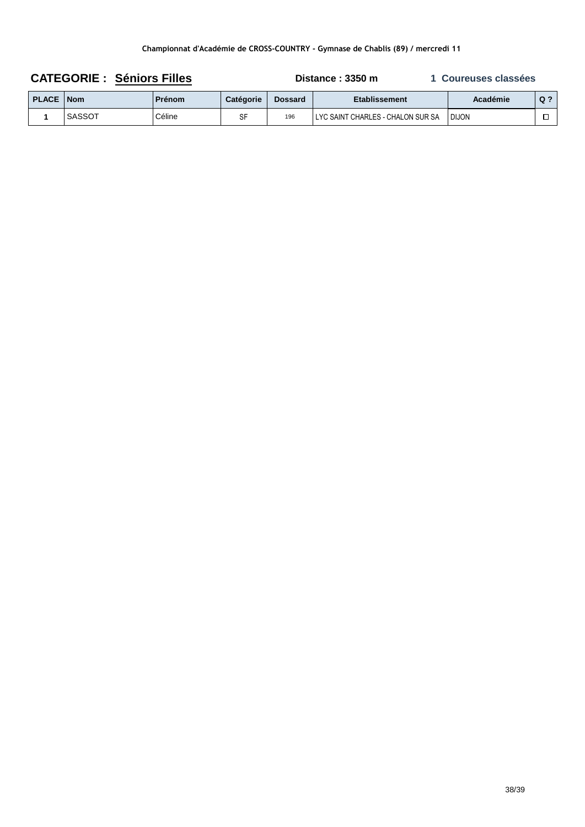| <b>CATEGORIE: Séniors Filles</b> |        |               |                  | Distance: 3350 m | 1 Coureuses classées                |              |       |
|----------------------------------|--------|---------------|------------------|------------------|-------------------------------------|--------------|-------|
| <b>PLACE   Nom</b>               |        | <b>Prénom</b> | <b>Catégorie</b> | <b>Dossard</b>   | Etablissement                       | Académie     | $Q$ ? |
|                                  | SASSOT | Céline        | SF               | 196              | I LYC SAINT CHARLES - CHALON SUR SA | <b>DIJON</b> |       |